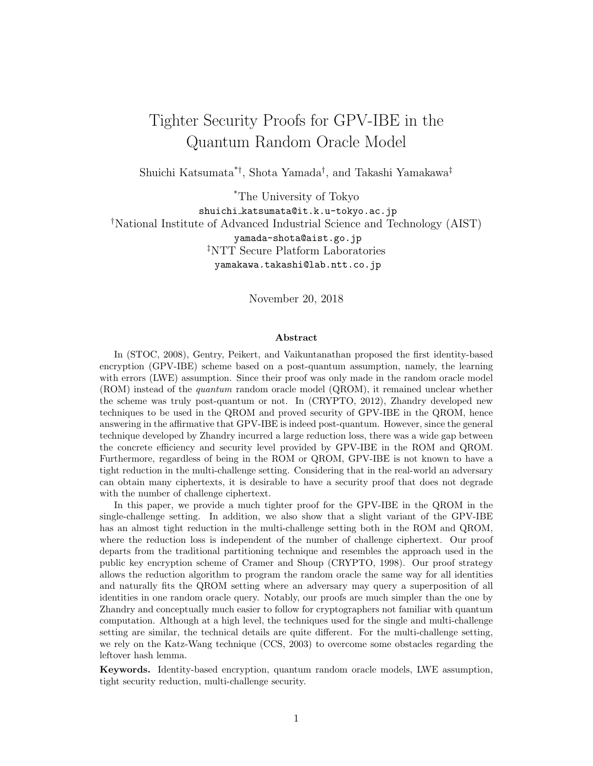# Tighter Security Proofs for GPV-IBE in the Quantum Random Oracle Model

Shuichi Katsumata\*† , Shota Yamada† , and Takashi Yamakawa‡

\*The University of Tokyo shuichi katsumata@it.k.u-tokyo.ac.jp †National Institute of Advanced Industrial Science and Technology (AIST) yamada-shota@aist.go.jp ‡NTT Secure Platform Laboratories yamakawa.takashi@lab.ntt.co.jp

November 20, 2018

#### Abstract

In (STOC, 2008), Gentry, Peikert, and Vaikuntanathan proposed the first identity-based encryption (GPV-IBE) scheme based on a post-quantum assumption, namely, the learning with errors (LWE) assumption. Since their proof was only made in the random oracle model (ROM) instead of the quantum random oracle model (QROM), it remained unclear whether the scheme was truly post-quantum or not. In (CRYPTO, 2012), Zhandry developed new techniques to be used in the QROM and proved security of GPV-IBE in the QROM, hence answering in the affirmative that GPV-IBE is indeed post-quantum. However, since the general technique developed by Zhandry incurred a large reduction loss, there was a wide gap between the concrete efficiency and security level provided by GPV-IBE in the ROM and QROM. Furthermore, regardless of being in the ROM or QROM, GPV-IBE is not known to have a tight reduction in the multi-challenge setting. Considering that in the real-world an adversary can obtain many ciphertexts, it is desirable to have a security proof that does not degrade with the number of challenge ciphertext.

In this paper, we provide a much tighter proof for the GPV-IBE in the QROM in the single-challenge setting. In addition, we also show that a slight variant of the GPV-IBE has an almost tight reduction in the multi-challenge setting both in the ROM and QROM, where the reduction loss is independent of the number of challenge ciphertext. Our proof departs from the traditional partitioning technique and resembles the approach used in the public key encryption scheme of Cramer and Shoup (CRYPTO, 1998). Our proof strategy allows the reduction algorithm to program the random oracle the same way for all identities and naturally fits the QROM setting where an adversary may query a superposition of all identities in one random oracle query. Notably, our proofs are much simpler than the one by Zhandry and conceptually much easier to follow for cryptographers not familiar with quantum computation. Although at a high level, the techniques used for the single and multi-challenge setting are similar, the technical details are quite different. For the multi-challenge setting, we rely on the Katz-Wang technique (CCS, 2003) to overcome some obstacles regarding the leftover hash lemma.

Keywords. Identity-based encryption, quantum random oracle models, LWE assumption, tight security reduction, multi-challenge security.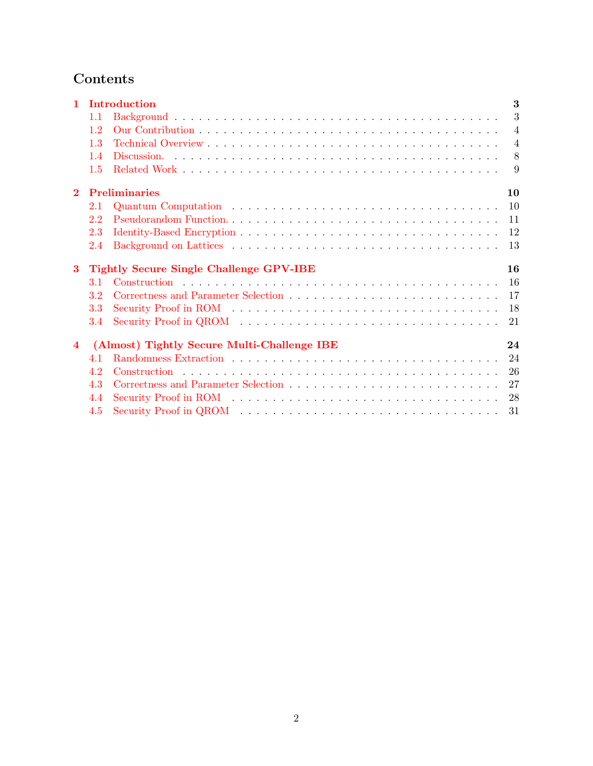# Contents

| $\mathbf{1}$   |                                                      | 3<br>Introduction                           |                |  |
|----------------|------------------------------------------------------|---------------------------------------------|----------------|--|
|                | 1.1                                                  |                                             | 3              |  |
|                | 1.2                                                  |                                             | $\overline{4}$ |  |
|                | 1.3                                                  |                                             | $\overline{4}$ |  |
|                | 1.4                                                  |                                             | 8              |  |
|                | 1.5                                                  |                                             | 9              |  |
| $\mathbf{2}$   |                                                      | <b>Preliminaries</b>                        | 10             |  |
|                | 2.1                                                  |                                             | 10             |  |
|                | 2.2                                                  |                                             | 11             |  |
|                | 2.3                                                  |                                             | 12             |  |
|                | 2.4                                                  |                                             | 13             |  |
| 3              | <b>Tightly Secure Single Challenge GPV-IBE</b><br>16 |                                             |                |  |
|                | 3.1                                                  |                                             | 16             |  |
|                | 3.2                                                  |                                             | 17             |  |
|                | 3.3                                                  |                                             | 18             |  |
|                | 3.4                                                  |                                             | 21             |  |
| $\overline{4}$ |                                                      | (Almost) Tightly Secure Multi-Challenge IBE | 24             |  |
|                | 4.1                                                  |                                             | 24             |  |
|                | 4.2                                                  |                                             | 26             |  |
|                | 4.3                                                  |                                             | 27             |  |
|                | 4.4                                                  |                                             | 28             |  |
|                |                                                      |                                             |                |  |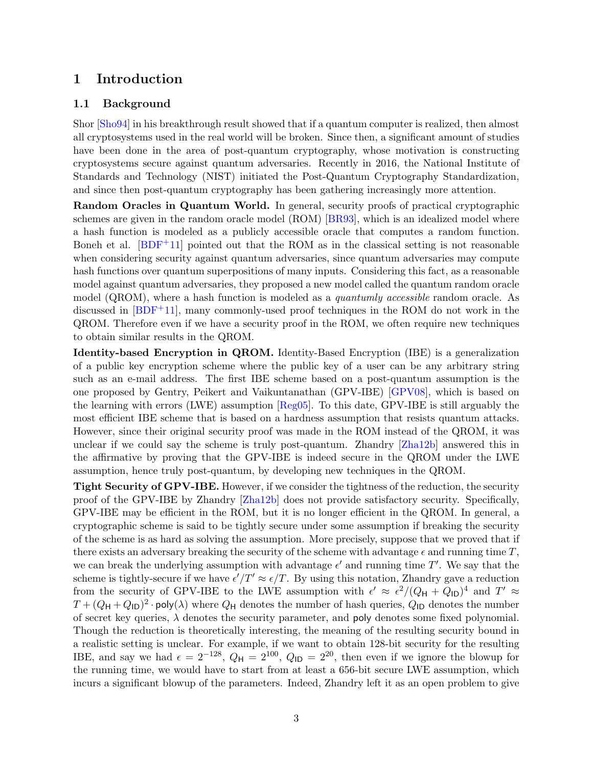# <span id="page-2-2"></span><span id="page-2-0"></span>1 Introduction

### <span id="page-2-1"></span>1.1 Background

Shor [\[Sho94\]](#page-37-0) in his breakthrough result showed that if a quantum computer is realized, then almost all cryptosystems used in the real world will be broken. Since then, a significant amount of studies have been done in the area of post-quantum cryptography, whose motivation is constructing cryptosystems secure against quantum adversaries. Recently in 2016, the National Institute of Standards and Technology (NIST) initiated the Post-Quantum Cryptography Standardization, and since then post-quantum cryptography has been gathering increasingly more attention.

Random Oracles in Quantum World. In general, security proofs of practical cryptographic schemes are given in the random oracle model (ROM) [\[BR93\]](#page-35-0), which is an idealized model where a hash function is modeled as a publicly accessible oracle that computes a random function. Boneh et al.  $[BDF^+11]$  $[BDF^+11]$  pointed out that the ROM as in the classical setting is not reasonable when considering security against quantum adversaries, since quantum adversaries may compute hash functions over quantum superpositions of many inputs. Considering this fact, as a reasonable model against quantum adversaries, they proposed a new model called the quantum random oracle model (QROM), where a hash function is modeled as a *quantumly accessible* random oracle. As discussed in  $[BDF^+11]$  $[BDF^+11]$ , many commonly-used proof techniques in the ROM do not work in the QROM. Therefore even if we have a security proof in the ROM, we often require new techniques to obtain similar results in the QROM.

Identity-based Encryption in QROM. Identity-Based Encryption (IBE) is a generalization of a public key encryption scheme where the public key of a user can be any arbitrary string such as an e-mail address. The first IBE scheme based on a post-quantum assumption is the one proposed by Gentry, Peikert and Vaikuntanathan (GPV-IBE) [\[GPV08\]](#page-35-1), which is based on the learning with errors (LWE) assumption [\[Reg05\]](#page-36-0). To this date, GPV-IBE is still arguably the most efficient IBE scheme that is based on a hardness assumption that resists quantum attacks. However, since their original security proof was made in the ROM instead of the QROM, it was unclear if we could say the scheme is truly post-quantum. Zhandry [\[Zha12b\]](#page-37-1) answered this in the affirmative by proving that the GPV-IBE is indeed secure in the QROM under the LWE assumption, hence truly post-quantum, by developing new techniques in the QROM.

Tight Security of GPV-IBE. However, if we consider the tightness of the reduction, the security proof of the GPV-IBE by Zhandry [\[Zha12b\]](#page-37-1) does not provide satisfactory security. Specifically, GPV-IBE may be efficient in the ROM, but it is no longer efficient in the QROM. In general, a cryptographic scheme is said to be tightly secure under some assumption if breaking the security of the scheme is as hard as solving the assumption. More precisely, suppose that we proved that if there exists an adversary breaking the security of the scheme with advantage  $\epsilon$  and running time T, we can break the underlying assumption with advantage  $\epsilon'$  and running time T'. We say that the scheme is tightly-secure if we have  $\epsilon'/T' \approx \epsilon/T$ . By using this notation, Zhandry gave a reduction from the security of GPV-IBE to the LWE assumption with  $\epsilon' \approx \epsilon^2/(Q_H + Q_{\text{ID}})^4$  and  $T' \approx$  $T + (Q_H + Q_{\text{ID}})^2 \cdot \text{poly}(\lambda)$  where  $Q_H$  denotes the number of hash queries,  $Q_{\text{ID}}$  denotes the number of secret key queries,  $\lambda$  denotes the security parameter, and poly denotes some fixed polynomial. Though the reduction is theoretically interesting, the meaning of the resulting security bound in a realistic setting is unclear. For example, if we want to obtain 128-bit security for the resulting IBE, and say we had  $\epsilon = 2^{-128}$ ,  $Q_H = 2^{100}$ ,  $Q_{ID} = 2^{20}$ , then even if we ignore the blowup for the running time, we would have to start from at least a 656-bit secure LWE assumption, which incurs a significant blowup of the parameters. Indeed, Zhandry left it as an open problem to give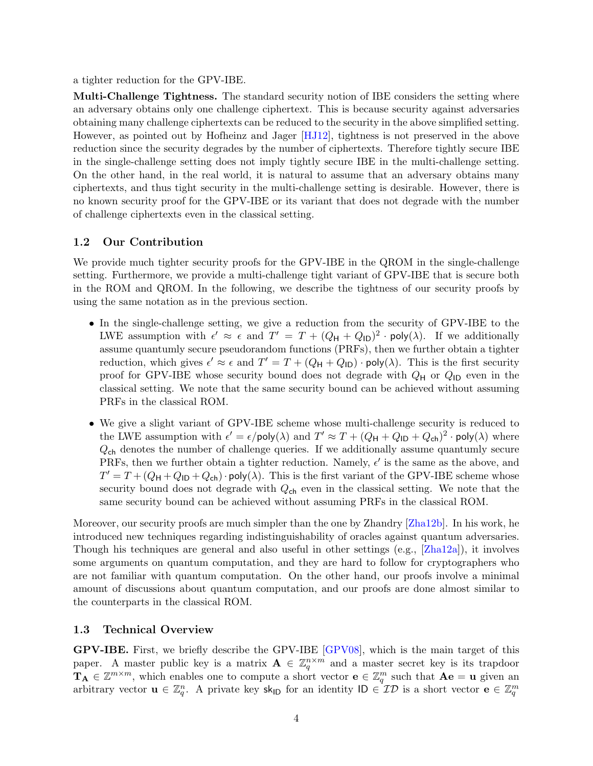<span id="page-3-2"></span>a tighter reduction for the GPV-IBE.

Multi-Challenge Tightness. The standard security notion of IBE considers the setting where an adversary obtains only one challenge ciphertext. This is because security against adversaries obtaining many challenge ciphertexts can be reduced to the security in the above simplified setting. However, as pointed out by Hofheinz and Jager [\[HJ12\]](#page-36-1), tightness is not preserved in the above reduction since the security degrades by the number of ciphertexts. Therefore tightly secure IBE in the single-challenge setting does not imply tightly secure IBE in the multi-challenge setting. On the other hand, in the real world, it is natural to assume that an adversary obtains many ciphertexts, and thus tight security in the multi-challenge setting is desirable. However, there is no known security proof for the GPV-IBE or its variant that does not degrade with the number of challenge ciphertexts even in the classical setting.

### <span id="page-3-0"></span>1.2 Our Contribution

We provide much tighter security proofs for the GPV-IBE in the QROM in the single-challenge setting. Furthermore, we provide a multi-challenge tight variant of GPV-IBE that is secure both in the ROM and QROM. In the following, we describe the tightness of our security proofs by using the same notation as in the previous section.

- In the single-challenge setting, we give a reduction from the security of GPV-IBE to the LWE assumption with  $\epsilon' \approx \epsilon$  and  $T' = T + (Q_H + Q_{\text{ID}})^2 \cdot \text{poly}(\lambda)$ . If we additionally assume quantumly secure pseudorandom functions (PRFs), then we further obtain a tighter reduction, which gives  $\epsilon' \approx \epsilon$  and  $T' = T + (Q_H + Q_{\text{ID}}) \cdot \text{poly}(\lambda)$ . This is the first security proof for GPV-IBE whose security bound does not degrade with  $Q_H$  or  $Q_{ID}$  even in the classical setting. We note that the same security bound can be achieved without assuming PRFs in the classical ROM.
- We give a slight variant of GPV-IBE scheme whose multi-challenge security is reduced to the LWE assumption with  $\epsilon' = \epsilon/\text{poly}(\lambda)$  and  $T' \approx T + (Q_H + Q_{\text{ID}} + Q_{\text{ch}})^2 \cdot \text{poly}(\lambda)$  where  $Q<sub>ch</sub>$  denotes the number of challenge queries. If we additionally assume quantumly secure PRFs, then we further obtain a tighter reduction. Namely,  $\epsilon'$  is the same as the above, and  $T' = T + (Q_H + Q_{\text{ID}} + Q_{\text{ch}}) \cdot \text{poly}(\lambda)$ . This is the first variant of the GPV-IBE scheme whose security bound does not degrade with  $Q_{ch}$  even in the classical setting. We note that the same security bound can be achieved without assuming PRFs in the classical ROM.

Moreover, our security proofs are much simpler than the one by Zhandry [\[Zha12b\]](#page-37-1). In his work, he introduced new techniques regarding indistinguishability of oracles against quantum adversaries. Though his techniques are general and also useful in other settings (e.g., [\[Zha12a\]](#page-37-2)), it involves some arguments on quantum computation, and they are hard to follow for cryptographers who are not familiar with quantum computation. On the other hand, our proofs involve a minimal amount of discussions about quantum computation, and our proofs are done almost similar to the counterparts in the classical ROM.

### <span id="page-3-1"></span>1.3 Technical Overview

GPV-IBE. First, we briefly describe the GPV-IBE [\[GPV08\]](#page-35-1), which is the main target of this paper. A master public key is a matrix  $\mathbf{A} \in \mathbb{Z}_q^{n \times m}$  and a master secret key is its trapdoor  $\mathbf{T}_A \in \mathbb{Z}^{m \times m}$ , which enables one to compute a short vector  $\mathbf{e} \in \mathbb{Z}_q^m$  such that  $A\mathbf{e} = \mathbf{u}$  given an arbitrary vector  $\mathbf{u} \in \mathbb{Z}_q^n$ . A private key sk<sub>ID</sub> for an identity  $\mathsf{ID} \in \mathcal{ID}$  is a short vector  $\mathbf{e} \in \mathbb{Z}_q^m$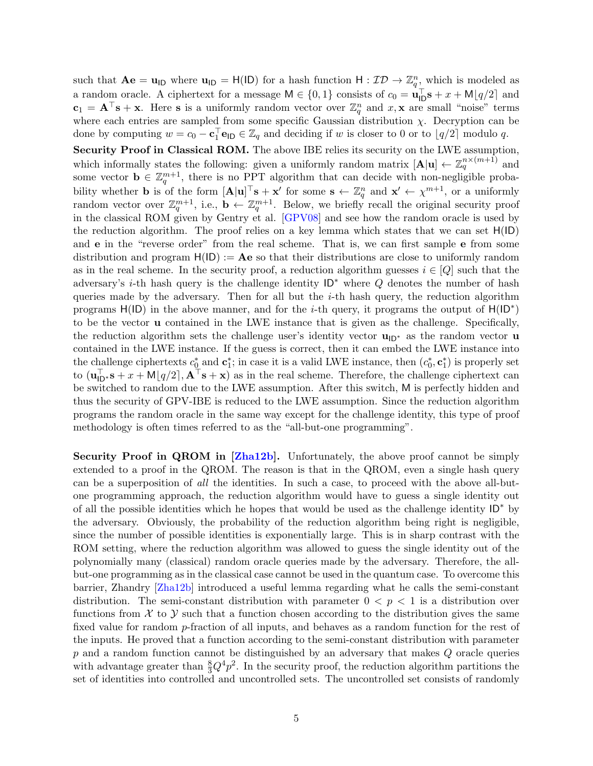<span id="page-4-0"></span>such that  $Ae = u_{1D}$  where  $u_{1D} = H(1D)$  for a hash function  $H : ID \to \mathbb{Z}_q^n$ , which is modeled as a random oracle. A ciphertext for a message  $M \in \{0, 1\}$  consists of  $c_0 = \mathbf{u}_{\mathsf{ID}}^\top \mathbf{s} + x + \mathsf{M}[q/2]$  and  $\mathbf{c}_1 = \mathbf{A}^\top \mathbf{s} + \mathbf{x}$ . Here **s** is a uniformly random vector over  $\mathbb{Z}_q^n$  and  $x, \mathbf{x}$  are small "noise" terms where each entries are sampled from some specific Gaussian distribution  $\chi$ . Decryption can be done by computing  $w = c_0 - \mathbf{c}_1^{\top} \mathbf{e}_{\mathsf{ID}} \in \mathbb{Z}_q$  and deciding if w is closer to 0 or to  $\lfloor q/2 \rfloor$  modulo q.

Security Proof in Classical ROM. The above IBE relies its security on the LWE assumption, which informally states the following: given a uniformly random matrix  $[\mathbf{A}|\mathbf{u}] \leftarrow \mathbb{Z}_q^{n \times (m+1)}$  and some vector  $\mathbf{b} \in \mathbb{Z}_q^{m+1}$ , there is no PPT algorithm that can decide with non-negligible probability whether **b** is of the form  $[\mathbf{A}|\mathbf{u}]^T\mathbf{s} + \mathbf{x}'$  for some  $\mathbf{s} \leftarrow \mathbb{Z}_q^n$  and  $\mathbf{x}' \leftarrow \chi^{m+1}$ , or a uniformly random vector over  $\mathbb{Z}_q^{m+1}$ , i.e.,  $\mathbf{b} \leftarrow \mathbb{Z}_q^{m+1}$ . Below, we briefly recall the original security proof in the classical ROM given by Gentry et al. [\[GPV08\]](#page-35-1) and see how the random oracle is used by the reduction algorithm. The proof relies on a key lemma which states that we can set H(ID) and e in the "reverse order" from the real scheme. That is, we can first sample e from some distribution and program  $H(ID) := Ae$  so that their distributions are close to uniformly random as in the real scheme. In the security proof, a reduction algorithm guesses  $i \in [Q]$  such that the adversary's i-th hash query is the challenge identity  $ID^*$  where Q denotes the number of hash queries made by the adversary. Then for all but the  $i$ -th hash query, the reduction algorithm programs  $H(ID)$  in the above manner, and for the *i*-th query, it programs the output of  $H(ID^*)$ to be the vector u contained in the LWE instance that is given as the challenge. Specifically, the reduction algorithm sets the challenge user's identity vector  $\mathbf{u}_{\mathsf{ID}^*}$  as the random vector **u** contained in the LWE instance. If the guess is correct, then it can embed the LWE instance into the challenge ciphertexts  $c_0^*$  and  $\mathbf{c}_1^*$ ; in case it is a valid LWE instance, then  $(c_0^*, \mathbf{c}_1^*)$  is properly set to  $(\mathbf{u}_{\mathsf{ID}^*}^{\top} \mathbf{s} + x + \mathsf{M}[\mathbf{q}/2], \mathbf{A}^{\top} \mathbf{s} + \mathbf{x})$  as in the real scheme. Therefore, the challenge ciphertext can be switched to random due to the LWE assumption. After this switch, M is perfectly hidden and thus the security of GPV-IBE is reduced to the LWE assumption. Since the reduction algorithm programs the random oracle in the same way except for the challenge identity, this type of proof methodology is often times referred to as the "all-but-one programming".

Security Proof in QROM in [\[Zha12b\]](#page-37-1). Unfortunately, the above proof cannot be simply extended to a proof in the QROM. The reason is that in the QROM, even a single hash query can be a superposition of all the identities. In such a case, to proceed with the above all-butone programming approach, the reduction algorithm would have to guess a single identity out of all the possible identities which he hopes that would be used as the challenge identity ID<sup>∗</sup> by the adversary. Obviously, the probability of the reduction algorithm being right is negligible, since the number of possible identities is exponentially large. This is in sharp contrast with the ROM setting, where the reduction algorithm was allowed to guess the single identity out of the polynomially many (classical) random oracle queries made by the adversary. Therefore, the allbut-one programming as in the classical case cannot be used in the quantum case. To overcome this barrier, Zhandry [\[Zha12b\]](#page-37-1) introduced a useful lemma regarding what he calls the semi-constant distribution. The semi-constant distribution with parameter  $0 < p < 1$  is a distribution over functions from  $\mathcal X$  to  $\mathcal Y$  such that a function chosen according to the distribution gives the same fixed value for random p-fraction of all inputs, and behaves as a random function for the rest of the inputs. He proved that a function according to the semi-constant distribution with parameter  $p$  and a random function cannot be distinguished by an adversary that makes  $Q$  oracle queries with advantage greater than  $\frac{8}{3}Q^4p^2$ . In the security proof, the reduction algorithm partitions the set of identities into controlled and uncontrolled sets. The uncontrolled set consists of randomly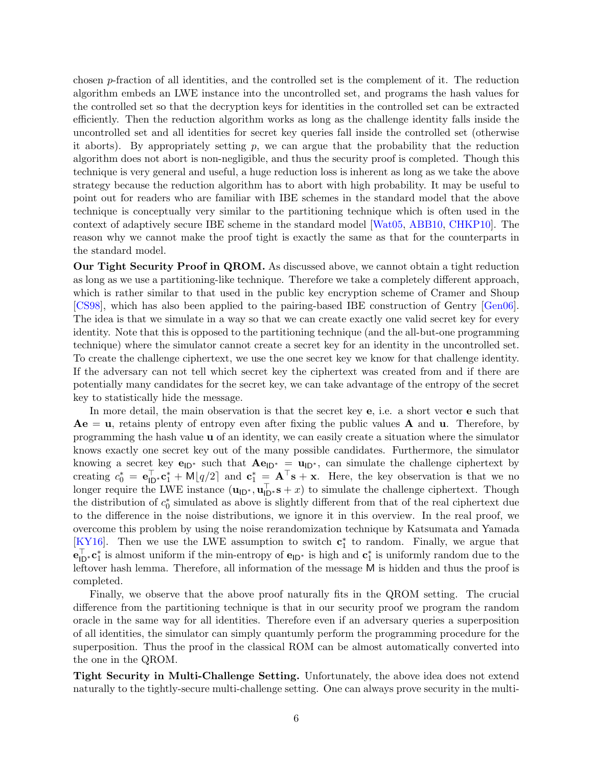<span id="page-5-0"></span>chosen p-fraction of all identities, and the controlled set is the complement of it. The reduction algorithm embeds an LWE instance into the uncontrolled set, and programs the hash values for the controlled set so that the decryption keys for identities in the controlled set can be extracted efficiently. Then the reduction algorithm works as long as the challenge identity falls inside the uncontrolled set and all identities for secret key queries fall inside the controlled set (otherwise it aborts). By appropriately setting  $p$ , we can argue that the probability that the reduction algorithm does not abort is non-negligible, and thus the security proof is completed. Though this technique is very general and useful, a huge reduction loss is inherent as long as we take the above strategy because the reduction algorithm has to abort with high probability. It may be useful to point out for readers who are familiar with IBE schemes in the standard model that the above technique is conceptually very similar to the partitioning technique which is often used in the context of adaptively secure IBE scheme in the standard model [\[Wat05,](#page-37-3) [ABB10,](#page-34-1) [CHKP10\]](#page-35-2). The reason why we cannot make the proof tight is exactly the same as that for the counterparts in the standard model.

Our Tight Security Proof in QROM. As discussed above, we cannot obtain a tight reduction as long as we use a partitioning-like technique. Therefore we take a completely different approach, which is rather similar to that used in the public key encryption scheme of Cramer and Shoup [\[CS98\]](#page-35-3), which has also been applied to the pairing-based IBE construction of Gentry [\[Gen06\]](#page-35-4). The idea is that we simulate in a way so that we can create exactly one valid secret key for every identity. Note that this is opposed to the partitioning technique (and the all-but-one programming technique) where the simulator cannot create a secret key for an identity in the uncontrolled set. To create the challenge ciphertext, we use the one secret key we know for that challenge identity. If the adversary can not tell which secret key the ciphertext was created from and if there are potentially many candidates for the secret key, we can take advantage of the entropy of the secret key to statistically hide the message.

In more detail, the main observation is that the secret key e, i.e. a short vector e such that  $Ae = u$ , retains plenty of entropy even after fixing the public values A and u. Therefore, by programming the hash value u of an identity, we can easily create a situation where the simulator knows exactly one secret key out of the many possible candidates. Furthermore, the simulator knowing a secret key  $e_{\vert D^*}$  such that  $Ae_{\vert D^*} = u_{\vert D^*}$ , can simulate the challenge ciphertext by creating  $c_0^* = \mathbf{e}_{\mathsf{ID}^*}^{\top} \mathbf{c}_1^* + \mathsf{M}[q/2]$  and  $\mathbf{c}_1^* = \mathbf{A}^{\top} \mathbf{s} + \mathbf{x}$ . Here, the key observation is that we no longer require the LWE instance  $(\mathbf{u}_{\mathsf{ID}^*}, \mathbf{u}_{\mathsf{ID}^*}^{\top} \mathbf{s} + x)$  to simulate the challenge ciphertext. Though the distribution of  $c_0^*$  simulated as above is slightly different from that of the real ciphertext due to the difference in the noise distributions, we ignore it in this overview. In the real proof, we overcome this problem by using the noise rerandomization technique by Katsumata and Yamada [\[KY16\]](#page-36-2). Then we use the LWE assumption to switch  $c_1^*$  to random. Finally, we argue that  $\mathbf{e}_{\mathsf{ID}^*}^{\top} \mathbf{c}_1^*$  is almost uniform if the min-entropy of  $\mathbf{e}_{\mathsf{ID}^*}$  is high and  $\mathbf{c}_1^*$  is uniformly random due to the leftover hash lemma. Therefore, all information of the message M is hidden and thus the proof is completed.

Finally, we observe that the above proof naturally fits in the QROM setting. The crucial difference from the partitioning technique is that in our security proof we program the random oracle in the same way for all identities. Therefore even if an adversary queries a superposition of all identities, the simulator can simply quantumly perform the programming procedure for the superposition. Thus the proof in the classical ROM can be almost automatically converted into the one in the QROM.

Tight Security in Multi-Challenge Setting. Unfortunately, the above idea does not extend naturally to the tightly-secure multi-challenge setting. One can always prove security in the multi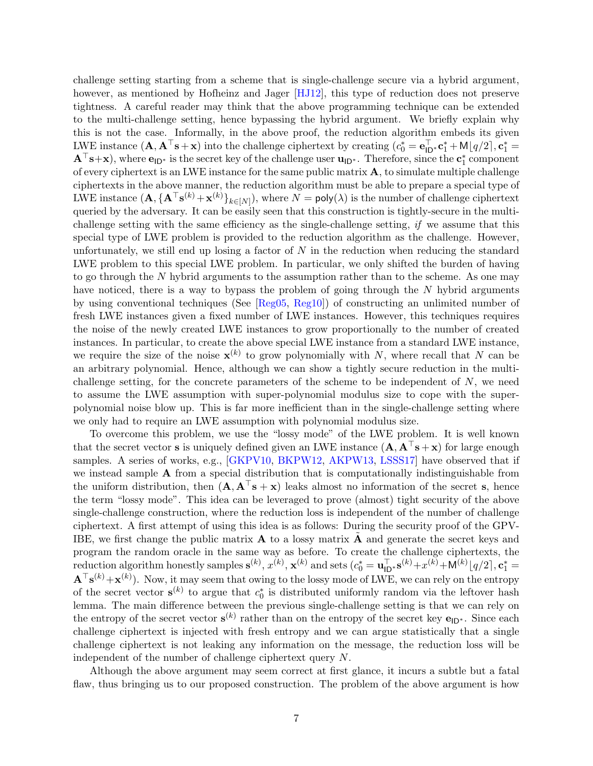<span id="page-6-0"></span>challenge setting starting from a scheme that is single-challenge secure via a hybrid argument, however, as mentioned by Hofheinz and Jager [\[HJ12\]](#page-36-1), this type of reduction does not preserve tightness. A careful reader may think that the above programming technique can be extended to the multi-challenge setting, hence bypassing the hybrid argument. We briefly explain why this is not the case. Informally, in the above proof, the reduction algorithm embeds its given LWE instance  $(\mathbf{A}, \mathbf{A}^T \mathbf{s} + \mathbf{x})$  into the challenge ciphertext by creating  $(c_0^* = \mathbf{e}_{\mathsf{ID}^*}^T \mathbf{c}_1^* + \mathsf{M}[q/2], \mathbf{c}_1^* =$  $A^{\top}s+x$ ), where  $e_{ID}$ ∗ is the secret key of the challenge user  $u_{ID}$ ∗. Therefore, since the  $c_1^*$  component of every ciphertext is an LWE instance for the same public matrix  $\bf{A}$ , to simulate multiple challenge ciphertexts in the above manner, the reduction algorithm must be able to prepare a special type of LWE instance  $(\mathbf{A}, {\{\mathbf{A}^\top\mathbf{s}^{(k)}+\mathbf{x}^{(k)}\}_{k\in[N]}})$ , where  $N = \mathsf{poly}(\lambda)$  is the number of challenge ciphertext queried by the adversary. It can be easily seen that this construction is tightly-secure in the multichallenge setting with the same efficiency as the single-challenge setting, if we assume that this special type of LWE problem is provided to the reduction algorithm as the challenge. However, unfortunately, we still end up losing a factor of  $N$  in the reduction when reducing the standard LWE problem to this special LWE problem. In particular, we only shifted the burden of having to go through the N hybrid arguments to the assumption rather than to the scheme. As one may have noticed, there is a way to bypass the problem of going through the  $N$  hybrid arguments by using conventional techniques (See [\[Reg05,](#page-36-0) [Reg10\]](#page-36-3)) of constructing an unlimited number of fresh LWE instances given a fixed number of LWE instances. However, this techniques requires the noise of the newly created LWE instances to grow proportionally to the number of created instances. In particular, to create the above special LWE instance from a standard LWE instance, we require the size of the noise  $\mathbf{x}^{(k)}$  to grow polynomially with N, where recall that N can be an arbitrary polynomial. Hence, although we can show a tightly secure reduction in the multichallenge setting, for the concrete parameters of the scheme to be independent of  $N$ , we need to assume the LWE assumption with super-polynomial modulus size to cope with the superpolynomial noise blow up. This is far more inefficient than in the single-challenge setting where we only had to require an LWE assumption with polynomial modulus size.

To overcome this problem, we use the "lossy mode" of the LWE problem. It is well known that the secret vector **s** is uniquely defined given an LWE instance  $(A, A^T s + x)$  for large enough samples. A series of works, e.g., [\[GKPV10,](#page-35-5) [BKPW12,](#page-34-2) [AKPW13,](#page-34-3) [LSSS17\]](#page-36-4) have observed that if we instead sample A from a special distribution that is computationally indistinguishable from the uniform distribution, then  $(A, A^T s + x)$  leaks almost no information of the secret s, hence the term "lossy mode". This idea can be leveraged to prove (almost) tight security of the above single-challenge construction, where the reduction loss is independent of the number of challenge ciphertext. A first attempt of using this idea is as follows: During the security proof of the GPV-IBE, we first change the public matrix  $A$  to a lossy matrix  $\overline{A}$  and generate the secret keys and program the random oracle in the same way as before. To create the challenge ciphertexts, the reduction algorithm honestly samples  $\mathbf{s}^{(k)}$ ,  $x^{(k)}$ ,  $\mathbf{x}^{(k)}$  and sets  $(c_0^* = \mathbf{u}_{\mathsf{ID}^*}^{\top} \mathbf{s}^{(k)} + x^{(k)} + \mathsf{M}^{(k)}(q/2), \mathbf{c}_1^* =$  ${\bf A}^{\top}{\bf s}^{(k)}+{\bf x}^{(k)}$ ). Now, it may seem that owing to the lossy mode of LWE, we can rely on the entropy of the secret vector  $\mathbf{s}^{(k)}$  to argue that  $c_0^*$  is distributed uniformly random via the leftover hash lemma. The main difference between the previous single-challenge setting is that we can rely on the entropy of the secret vector  $\mathbf{s}^{(k)}$  rather than on the entropy of the secret key  $\mathbf{e}_{\mathsf{ID}^*}$ . Since each challenge ciphertext is injected with fresh entropy and we can argue statistically that a single challenge ciphertext is not leaking any information on the message, the reduction loss will be independent of the number of challenge ciphertext query N.

Although the above argument may seem correct at first glance, it incurs a subtle but a fatal flaw, thus bringing us to our proposed construction. The problem of the above argument is how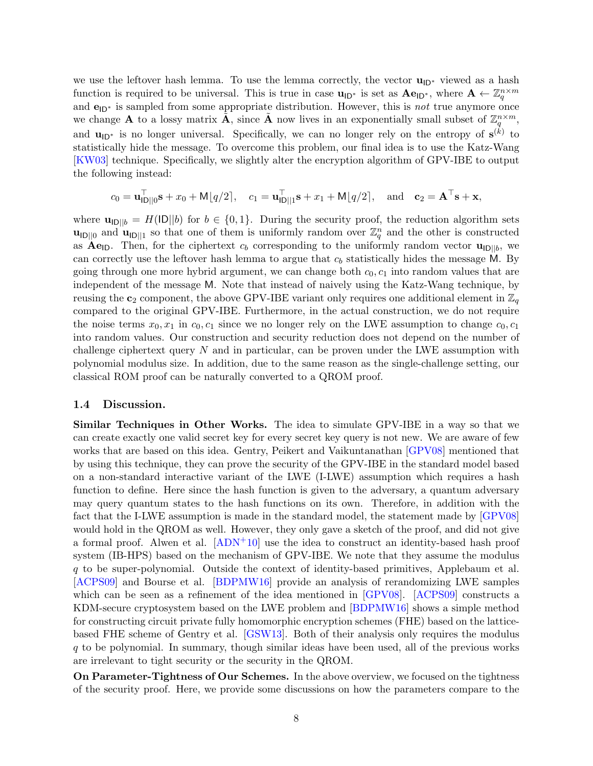<span id="page-7-1"></span>we use the leftover hash lemma. To use the lemma correctly, the vector  $\mathbf{u}_{\mathsf{D}^*}$  viewed as a hash function is required to be universal. This is true in case  $\mathbf{u}_{\mathsf{ID}^*}$  is set as  $\mathbf{A}\mathbf{e}_{\mathsf{ID}^*}$ , where  $\mathbf{A} \leftarrow \mathbb{Z}_q^{n \times m}$ and  $e_{ID}^*$  is sampled from some appropriate distribution. However, this is *not* true anymore once we change **A** to a lossy matrix  $\tilde{A}$ , since  $\tilde{A}$  now lives in an exponentially small subset of  $\mathbb{Z}_q^{n \times m}$ , and  $\mathbf{u}_{\mathsf{ID}^*}$  is no longer universal. Specifically, we can no longer rely on the entropy of  $\mathbf{s}^{(k)}$  to statistically hide the message. To overcome this problem, our final idea is to use the Katz-Wang [\[KW03\]](#page-36-5) technique. Specifically, we slightly alter the encryption algorithm of GPV-IBE to output the following instead:

$$
c_0 = \mathbf{u}_{|\mathsf{D}||0}^\top \mathbf{s} + x_0 + \mathsf{M}[q/2], \quad c_1 = \mathbf{u}_{|\mathsf{D}||1}^\top \mathbf{s} + x_1 + \mathsf{M}[q/2], \text{ and } \mathbf{c}_2 = \mathbf{A}^\top \mathbf{s} + \mathbf{x},
$$

where  $\mathbf{u}_{|\mathbf{D}||b} = H(|\mathbf{D}||b)$  for  $b \in \{0,1\}$ . During the security proof, the reduction algorithm sets  $\mathbf{u}_{|\mathsf{D}||0}$  and  $\mathbf{u}_{|\mathsf{D}||1}$  so that one of them is uniformly random over  $\mathbb{Z}_q^n$  and the other is constructed as  $Ae_{|D}$ . Then, for the ciphertext  $c_b$  corresponding to the uniformly random vector  $u_{|D||b}$ , we can correctly use the leftover hash lemma to argue that  $c<sub>b</sub>$  statistically hides the message M. By going through one more hybrid argument, we can change both  $c_0$ ,  $c_1$  into random values that are independent of the message M. Note that instead of naively using the Katz-Wang technique, by reusing the  $c_2$  component, the above GPV-IBE variant only requires one additional element in  $\mathbb{Z}_q$ compared to the original GPV-IBE. Furthermore, in the actual construction, we do not require the noise terms  $x_0, x_1$  in  $c_0, c_1$  since we no longer rely on the LWE assumption to change  $c_0, c_1$ into random values. Our construction and security reduction does not depend on the number of challenge ciphertext query  $N$  and in particular, can be proven under the LWE assumption with polynomial modulus size. In addition, due to the same reason as the single-challenge setting, our classical ROM proof can be naturally converted to a QROM proof.

### <span id="page-7-0"></span>1.4 Discussion.

Similar Techniques in Other Works. The idea to simulate GPV-IBE in a way so that we can create exactly one valid secret key for every secret key query is not new. We are aware of few works that are based on this idea. Gentry, Peikert and Vaikuntanathan [\[GPV08\]](#page-35-1) mentioned that by using this technique, they can prove the security of the GPV-IBE in the standard model based on a non-standard interactive variant of the LWE (I-LWE) assumption which requires a hash function to define. Here since the hash function is given to the adversary, a quantum adversary may query quantum states to the hash functions on its own. Therefore, in addition with the fact that the I-LWE assumption is made in the standard model, the statement made by [\[GPV08\]](#page-35-1) would hold in the QROM as well. However, they only gave a sketch of the proof, and did not give a formal proof. Alwen et al.  $[ADN+10]$  $[ADN+10]$  use the idea to construct an identity-based hash proof system (IB-HPS) based on the mechanism of GPV-IBE. We note that they assume the modulus  $q$  to be super-polynomial. Outside the context of identity-based primitives, Applebaum et al. [\[ACPS09\]](#page-34-5) and Bourse et al. [\[BDPMW16\]](#page-34-6) provide an analysis of rerandomizing LWE samples which can be seen as a refinement of the idea mentioned in [\[GPV08\]](#page-35-1). [\[ACPS09\]](#page-34-5) constructs a KDM-secure cryptosystem based on the LWE problem and [\[BDPMW16\]](#page-34-6) shows a simple method for constructing circuit private fully homomorphic encryption schemes (FHE) based on the latticebased FHE scheme of Gentry et al. [\[GSW13\]](#page-35-6). Both of their analysis only requires the modulus q to be polynomial. In summary, though similar ideas have been used, all of the previous works are irrelevant to tight security or the security in the QROM.

On Parameter-Tightness of Our Schemes. In the above overview, we focused on the tightness of the security proof. Here, we provide some discussions on how the parameters compare to the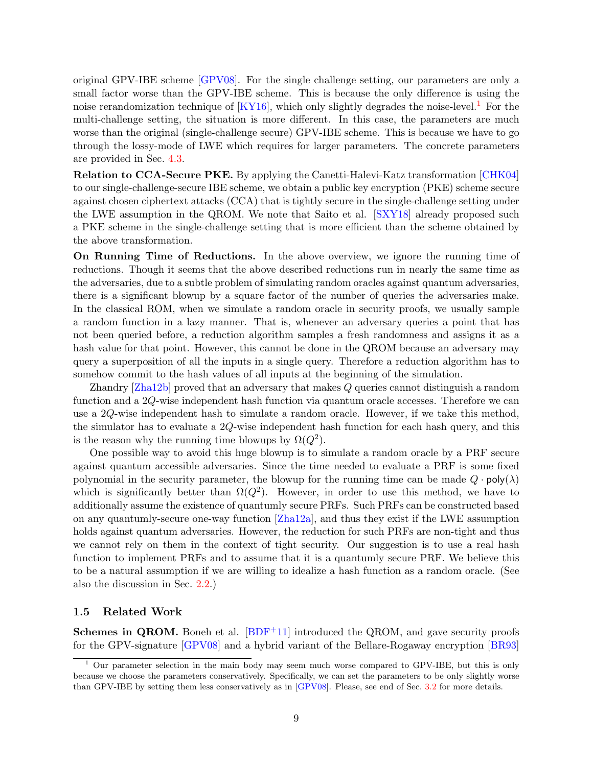<span id="page-8-2"></span>original GPV-IBE scheme [\[GPV08\]](#page-35-1). For the single challenge setting, our parameters are only a small factor worse than the GPV-IBE scheme. This is because the only difference is using the noise rerandomization technique of  $[KY16]$ , which only slightly degrades the noise-level.<sup>[1](#page-8-1)</sup> For the multi-challenge setting, the situation is more different. In this case, the parameters are much worse than the original (single-challenge secure) GPV-IBE scheme. This is because we have to go through the lossy-mode of LWE which requires for larger parameters. The concrete parameters are provided in Sec. [4.3.](#page-26-0)

Relation to CCA-Secure PKE. By applying the Canetti-Halevi-Katz transformation [\[CHK04\]](#page-35-7) to our single-challenge-secure IBE scheme, we obtain a public key encryption (PKE) scheme secure against chosen ciphertext attacks (CCA) that is tightly secure in the single-challenge setting under the LWE assumption in the QROM. We note that Saito et al. [\[SXY18\]](#page-37-4) already proposed such a PKE scheme in the single-challenge setting that is more efficient than the scheme obtained by the above transformation.

On Running Time of Reductions. In the above overview, we ignore the running time of reductions. Though it seems that the above described reductions run in nearly the same time as the adversaries, due to a subtle problem of simulating random oracles against quantum adversaries, there is a significant blowup by a square factor of the number of queries the adversaries make. In the classical ROM, when we simulate a random oracle in security proofs, we usually sample a random function in a lazy manner. That is, whenever an adversary queries a point that has not been queried before, a reduction algorithm samples a fresh randomness and assigns it as a hash value for that point. However, this cannot be done in the QROM because an adversary may query a superposition of all the inputs in a single query. Therefore a reduction algorithm has to somehow commit to the hash values of all inputs at the beginning of the simulation.

Zhandry [\[Zha12b\]](#page-37-1) proved that an adversary that makes Q queries cannot distinguish a random function and a 2Q-wise independent hash function via quantum oracle accesses. Therefore we can use a 2Q-wise independent hash to simulate a random oracle. However, if we take this method, the simulator has to evaluate a  $2Q$ -wise independent hash function for each hash query, and this is the reason why the running time blowups by  $\Omega(Q^2)$ .

One possible way to avoid this huge blowup is to simulate a random oracle by a PRF secure against quantum accessible adversaries. Since the time needed to evaluate a PRF is some fixed polynomial in the security parameter, the blowup for the running time can be made  $Q \cdot \text{poly}(\lambda)$ which is significantly better than  $\Omega(Q^2)$ . However, in order to use this method, we have to additionally assume the existence of quantumly secure PRFs. Such PRFs can be constructed based on any quantumly-secure one-way function [\[Zha12a\]](#page-37-2), and thus they exist if the LWE assumption holds against quantum adversaries. However, the reduction for such PRFs are non-tight and thus we cannot rely on them in the context of tight security. Our suggestion is to use a real hash function to implement PRFs and to assume that it is a quantumly secure PRF. We believe this to be a natural assumption if we are willing to idealize a hash function as a random oracle. (See also the discussion in Sec. [2.2.](#page-10-0))

#### <span id="page-8-0"></span>1.5 Related Work

**Schemes in QROM.** Boneh et al.  $[BDF+11]$  $[BDF+11]$  introduced the QROM, and gave security proofs for the GPV-signature [\[GPV08\]](#page-35-1) and a hybrid variant of the Bellare-Rogaway encryption [\[BR93\]](#page-35-0)

<span id="page-8-1"></span><sup>&</sup>lt;sup>1</sup> Our parameter selection in the main body may seem much worse compared to GPV-IBE, but this is only because we choose the parameters conservatively. Specifically, we can set the parameters to be only slightly worse than GPV-IBE by setting them less conservatively as in [\[GPV08\]](#page-35-1). Please, see end of Sec. [3.2](#page-16-0) for more details.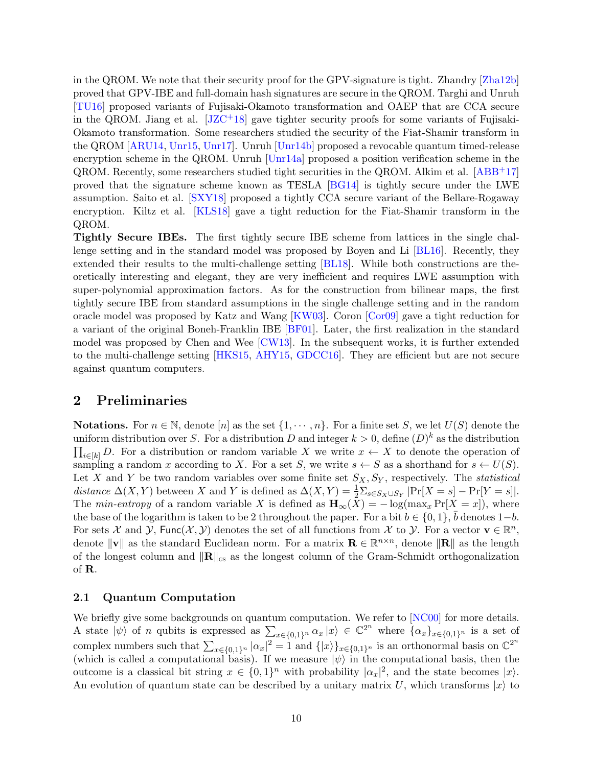<span id="page-9-2"></span>in the QROM. We note that their security proof for the GPV-signature is tight. Zhandry [\[Zha12b\]](#page-37-1) proved that GPV-IBE and full-domain hash signatures are secure in the QROM. Targhi and Unruh [\[TU16\]](#page-37-5) proposed variants of Fujisaki-Okamoto transformation and OAEP that are CCA secure in the QROM. Jiang et al.  $[JZC+18]$  $[JZC+18]$  gave tighter security proofs for some variants of Fujisaki-Okamoto transformation. Some researchers studied the security of the Fiat-Shamir transform in the QROM [\[ARU14,](#page-34-7) [Unr15,](#page-37-6) [Unr17\]](#page-37-7). Unruh [\[Unr14b\]](#page-37-8) proposed a revocable quantum timed-release encryption scheme in the QROM. Unruh [\[Unr14a\]](#page-37-9) proposed a position verification scheme in the  $\alpha$ ROM. Recently, some researchers studied tight securities in the  $\alpha$ ROM. Alkim et al. [\[ABB](#page-34-8)+17] proved that the signature scheme known as TESLA [\[BG14\]](#page-34-9) is tightly secure under the LWE assumption. Saito et al. [\[SXY18\]](#page-37-4) proposed a tightly CCA secure variant of the Bellare-Rogaway encryption. Kiltz et al. [\[KLS18\]](#page-36-7) gave a tight reduction for the Fiat-Shamir transform in the QROM.

Tightly Secure IBEs. The first tightly secure IBE scheme from lattices in the single challenge setting and in the standard model was proposed by Boyen and Li [\[BL16\]](#page-34-10). Recently, they extended their results to the multi-challenge setting [\[BL18\]](#page-34-11). While both constructions are theoretically interesting and elegant, they are very inefficient and requires LWE assumption with super-polynomial approximation factors. As for the construction from bilinear maps, the first tightly secure IBE from standard assumptions in the single challenge setting and in the random oracle model was proposed by Katz and Wang [\[KW03\]](#page-36-5). Coron [\[Cor09\]](#page-35-8) gave a tight reduction for a variant of the original Boneh-Franklin IBE [\[BF01\]](#page-34-12). Later, the first realization in the standard model was proposed by Chen and Wee [\[CW13\]](#page-35-9). In the subsequent works, it is further extended to the multi-challenge setting [\[HKS15,](#page-36-8) [AHY15,](#page-34-13) [GDCC16\]](#page-35-10). They are efficient but are not secure against quantum computers.

# <span id="page-9-0"></span>2 Preliminaries

**Notations.** For  $n \in \mathbb{N}$ , denote [n] as the set  $\{1, \dots, n\}$ . For a finite set S, we let  $U(S)$  denote the uniform distribution over S. For a distribution D and integer  $k > 0$ , define  $(D)^k$  as the distribution  $\prod_{i\in[k]} D$ . For a distribution or random variable X we write  $x \leftarrow X$  to denote the operation of sampling a random x according to X. For a set S, we write  $s \leftarrow S$  as a shorthand for  $s \leftarrow U(S)$ . Let X and Y be two random variables over some finite set  $S_X, S_Y$ , respectively. The *statistical* distance  $\Delta(X, Y)$  between X and Y is defined as  $\Delta(X, Y) = \frac{1}{2} \sum_{s \in S_X \cup S_Y} |\Pr[X = s] - \Pr[Y = s]|$ . The min-entropy of a random variable X is defined as  $\mathbf{H}_{\infty}(X) = -\log(\max_{x} \Pr[X=x])$ , where the base of the logarithm is taken to be 2 throughout the paper. For a bit  $b \in \{0, 1\}$ ,  $\bar{b}$  denotes  $1-b$ . For sets X and Y, Func $(X, Y)$  denotes the set of all functions from X to Y. For a vector  $\mathbf{v} \in \mathbb{R}^n$ , denote  $\|\mathbf{v}\|$  as the standard Euclidean norm. For a matrix  $\mathbf{R} \in \mathbb{R}^{n \times n}$ , denote  $\|\mathbf{R}\|$  as the length of the longest column and  $\|\mathbf{R}\|_{\text{cs}}$  as the longest column of the Gram-Schmidt orthogonalization of R.

### <span id="page-9-1"></span>2.1 Quantum Computation

We briefly give some backgrounds on quantum computation. We refer to [\[NC00\]](#page-36-9) for more details. A state  $|\psi\rangle$  of *n* qubits is expressed as  $\sum_{x \in \{0,1\}^n} \alpha_x |x\rangle \in \mathbb{C}^{2^n}$  where  $\{\alpha_x\}_{x \in \{0,1\}^n}$  is a set of complex numbers such that  $\sum_{x \in \{0,1\}^n} |\alpha_x|^2 = 1$  and  $\{|x\rangle\}_{x \in \{0,1\}^n}$  is an orthonormal basis on  $\mathbb{C}^{2^n}$ (which is called a computational basis). If we measure  $|\psi\rangle$  in the computational basis, then the outcome is a classical bit string  $x \in \{0,1\}^n$  with probability  $|\alpha_x|^2$ , and the state becomes  $|x\rangle$ . An evolution of quantum state can be described by a unitary matrix U, which transforms  $|x\rangle$  to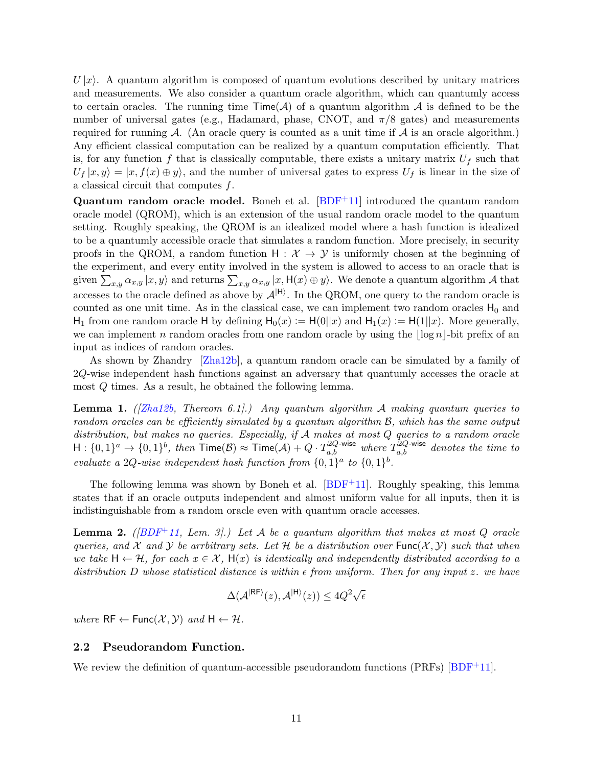<span id="page-10-3"></span> $U|x\rangle$ . A quantum algorithm is composed of quantum evolutions described by unitary matrices and measurements. We also consider a quantum oracle algorithm, which can quantumly access to certain oracles. The running time  $\textsf{Time}(\mathcal{A})$  of a quantum algorithm  $\mathcal{A}$  is defined to be the number of universal gates (e.g., Hadamard, phase, CNOT, and  $\pi/8$  gates) and measurements required for running  $\mathcal A$ . (An oracle query is counted as a unit time if  $\mathcal A$  is an oracle algorithm.) Any efficient classical computation can be realized by a quantum computation efficiently. That is, for any function f that is classically computable, there exists a unitary matrix  $U_f$  such that  $U_f |x, y\rangle = |x, f(x) \oplus y\rangle$ , and the number of universal gates to express  $U_f$  is linear in the size of a classical circuit that computes  $f$ .

**Quantum random oracle model.** Boneh et al.  $[BDF^+11]$  $[BDF^+11]$  introduced the quantum random oracle model (QROM), which is an extension of the usual random oracle model to the quantum setting. Roughly speaking, the QROM is an idealized model where a hash function is idealized to be a quantumly accessible oracle that simulates a random function. More precisely, in security proofs in the QROM, a random function  $H : \mathcal{X} \to \mathcal{Y}$  is uniformly chosen at the beginning of the experiment, and every entity involved in the system is allowed to access to an oracle that is given  $\sum_{x,y} \alpha_{x,y} |x,y\rangle$  and returns  $\sum_{x,y} \alpha_{x,y} |x, \mathsf{H}(x) \oplus y\rangle$ . We denote a quantum algorithm A that accesses to the oracle defined as above by  $\mathcal{A}^{|H\rangle}$ . In the QROM, one query to the random oracle is counted as one unit time. As in the classical case, we can implement two random oracles  $H_0$  and H<sub>1</sub> from one random oracle H by defining  $H_0(x) := H(0||x)$  and  $H_1(x) := H(1||x)$ . More generally, we can implement n random oracles from one random oracle by using the  $\log n$ -bit prefix of an input as indices of random oracles.

As shown by Zhandry [\[Zha12b\]](#page-37-1), a quantum random oracle can be simulated by a family of 2Q-wise independent hash functions against an adversary that quantumly accesses the oracle at most Q times. As a result, he obtained the following lemma.

<span id="page-10-1"></span>**Lemma 1.** ( $\boxed{\text{Zha12b}}$ , Thereom 6.1.) Any quantum algorithm A making quantum queries to random oracles can be efficiently simulated by a quantum algorithm B, which has the same output distribution, but makes no queries. Especially, if A makes at most Q queries to a random oracle  $H: \{0,1\}^a \to \{0,1\}^b$ , then  $\mathsf{Time}(\mathcal{B}) \approx \mathsf{Time}(\mathcal{A}) + Q \cdot T_{a,b}^{2Q\textrm{-wise}}$  where  $T_{a,b}^{2Q\textrm{-wise}}$  denotes the time to evaluate a 2Q-wise independent hash function from  $\{0,1\}^a$  to  $\{0,1\}^b$ .

The following lemma was shown by Boneh et al.  $[BDF^+11]$  $[BDF^+11]$ . Roughly speaking, this lemma states that if an oracle outputs independent and almost uniform value for all inputs, then it is indistinguishable from a random oracle even with quantum oracle accesses.

<span id="page-10-2"></span>**Lemma 2.** ( $|BDF^+11$ , Lem. 3.) Let A be a quantum algorithm that makes at most Q oracle queries, and X and Y be arribitrary sets. Let H be a distribution over  $\text{Func}(\mathcal{X}, \mathcal{Y})$  such that when we take  $H \leftarrow H$ , for each  $x \in \mathcal{X}$ ,  $H(x)$  is identically and independently distributed according to a distribution D whose statistical distance is within  $\epsilon$  from uniform. Then for any input z. we have

$$
\Delta(\mathcal{A}^{|\mathsf{RF}\rangle}(z),\mathcal{A}^{|\mathsf{H}\rangle}(z)) \le 4Q^2\sqrt{\epsilon}
$$

where  $RF \leftarrow Func(\mathcal{X}, \mathcal{Y})$  and  $H \leftarrow \mathcal{H}$ .

### <span id="page-10-0"></span>2.2 Pseudorandom Function.

We review the definition of quantum-accessible pseudorandom functions  $(PRFs)$  [\[BDF](#page-34-0)<sup>+</sup>11].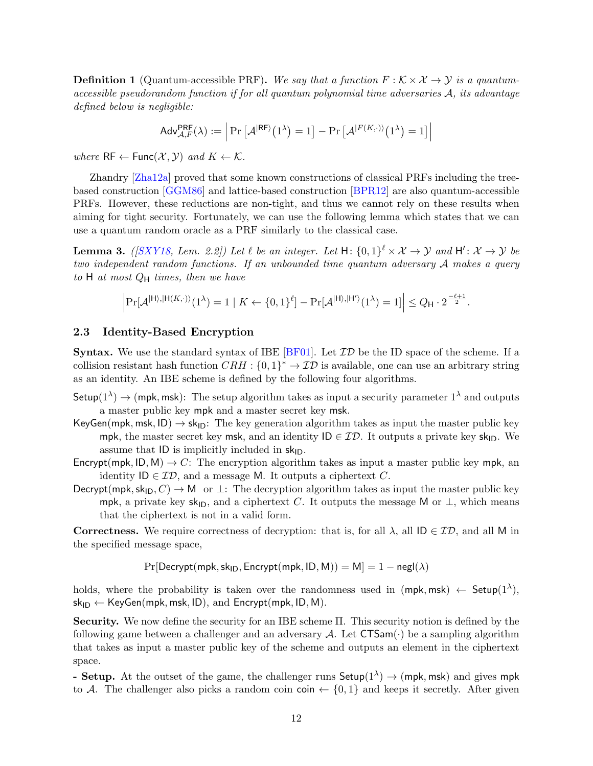<span id="page-11-2"></span>**Definition 1** (Quantum-accessible PRF). We say that a function  $F: K \times \mathcal{X} \rightarrow \mathcal{Y}$  is a quantumaccessible pseudorandom function if for all quantum polynomial time adversaries A, its advantage defined below is negligible:

$$
Adv_{\mathcal{A},F}^{\mathsf{PRF}}(\lambda) := \left| \Pr \left[ \mathcal{A}^{\mathsf{IRF}}(1^{\lambda}) = 1 \right] - \Pr \left[ \mathcal{A}^{\mathsf{|F(K,\cdot)}\rangle}(1^{\lambda}) = 1 \right] \right|
$$

where  $RF \leftarrow Func(\mathcal{X}, \mathcal{Y})$  and  $K \leftarrow \mathcal{K}$ .

Zhandry [\[Zha12a\]](#page-37-2) proved that some known constructions of classical PRFs including the treebased construction [\[GGM86\]](#page-35-11) and lattice-based construction [\[BPR12\]](#page-35-12) are also quantum-accessible PRFs. However, these reductions are non-tight, and thus we cannot rely on these results when aiming for tight security. Fortunately, we can use the following lemma which states that we can use a quantum random oracle as a PRF similarly to the classical case.

<span id="page-11-1"></span>**Lemma 3.** ([\[SXY18,](#page-37-4) Lem. 2.2]) Let  $\ell$  be an integer. Let  $H: \{0,1\}^{\ell} \times \mathcal{X} \to \mathcal{Y}$  and  $H': \mathcal{X} \to \mathcal{Y}$  be two independent random functions. If an unbounded time quantum adversary A makes a query to H at most  $Q_H$  times, then we have

$$
\left|\Pr[\mathcal{A}^{|\mathsf{H}\rangle,|\mathsf{H}(K,\cdot)}(1^{\lambda})=1 \mid K \leftarrow \{0,1\}^{\ell}]-\Pr[\mathcal{A}^{|\mathsf{H}\rangle,|\mathsf{H}'\rangle}(1^{\lambda})=1]\right| \leq Q_{\mathsf{H}} \cdot 2^{\frac{-\ell+1}{2}}.
$$

### <span id="page-11-0"></span>2.3 Identity-Based Encryption

**Syntax.** We use the standard syntax of IBE [\[BF01\]](#page-34-12). Let  $ID$  be the ID space of the scheme. If a collision resistant hash function  $CRH : \{0,1\}^* \to \mathcal{ID}$  is available, one can use an arbitrary string as an identity. An IBE scheme is defined by the following four algorithms.

- Setup( $1^{\lambda}$ )  $\rightarrow$  (mpk, msk): The setup algorithm takes as input a security parameter  $1^{\lambda}$  and outputs a master public key mpk and a master secret key msk.
- KeyGen(mpk, msk, ID)  $\rightarrow$  sk<sub>ID</sub>: The key generation algorithm takes as input the master public key mpk, the master secret key msk, and an identity  $ID \in \mathcal{ID}$ . It outputs a private key sk<sub>ID</sub>. We assume that ID is implicitly included in  $sk_{ID}$ .
- Encrypt(mpk, ID, M)  $\rightarrow$  C: The encryption algorithm takes as input a master public key mpk, an identity  $ID \in \mathcal{ID}$ , and a message M. It outputs a ciphertext C.
- Decrypt(mpk, sk<sub>ID</sub>,  $C$ )  $\rightarrow$  M or  $\perp$ : The decryption algorithm takes as input the master public key mpk, a private key sk<sub>ID</sub>, and a ciphertext C. It outputs the message M or  $\perp$ , which means that the ciphertext is not in a valid form.

**Correctness.** We require correctness of decryption: that is, for all  $\lambda$ , all ID  $\in \mathcal{ID}$ , and all M in the specified message space,

$$
\Pr[\mathsf{Decrypt}(\mathsf{mpk},\mathsf{sk}_{\mathsf{ID}},\mathsf{Encrypt}(\mathsf{mpk},\mathsf{ID},\mathsf{M}))=\mathsf{M}]=1-\mathsf{negl}(\lambda)
$$

holds, where the probability is taken over the randomness used in  $(\text{mpk}, \text{msk}) \leftarrow \text{Setup}(1^{\lambda}),$  $sk_{ID} \leftarrow KeyGen(mpk, msk, ID),$  and  $Energy(mpk, ID, M)$ .

Security. We now define the security for an IBE scheme Π. This security notion is defined by the following game between a challenger and an adversary  $A$ . Let  $CTSam(\cdot)$  be a sampling algorithm that takes as input a master public key of the scheme and outputs an element in the ciphertext space.

- Setup. At the outset of the game, the challenger runs Setup( $1^{\lambda}$ )  $\rightarrow$  (mpk, msk) and gives mpk to A. The challenger also picks a random coin  $\leftarrow \{0,1\}$  and keeps it secretly. After given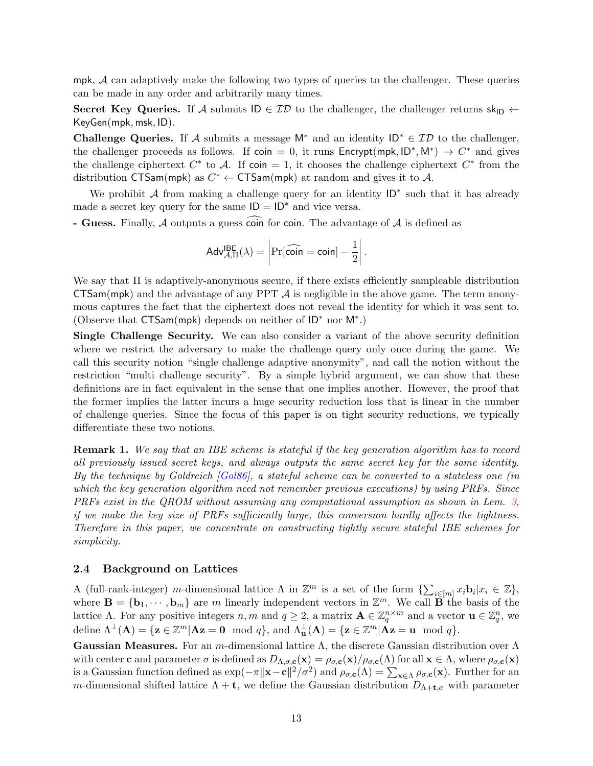<span id="page-12-2"></span>mpk,  $A$  can adaptively make the following two types of queries to the challenger. These queries can be made in any order and arbitrarily many times.

**Secret Key Queries.** If A submits  $ID \in ID$  to the challenger, the challenger returns  $sk_{ID} \leftarrow$ KeyGen(mpk, msk, ID).

Challenge Queries. If A submits a message  $M^*$  and an identity  $ID^* ∈ ID$  to the challenger, the challenger proceeds as follows. If coin = 0, it runs  $\mathsf{Encrypt}(\mathsf{mpk}, \mathsf{ID}^*, \mathsf{M}^*) \to C^*$  and gives the challenge ciphertext  $C^*$  to A. If coin = 1, it chooses the challenge ciphertext  $C^*$  from the distribution CTSam(mpk) as  $C^* \leftarrow \text{CTSam(mpk)}$  at random and gives it to A.

We prohibit  $A$  from making a challenge query for an identity  $ID^*$  such that it has already made a secret key query for the same  $ID = ID^*$  and vice versa.

- Guess. Finally,  $A$  outputs a guess coin for coin. The advantage of  $A$  is defined as

$$
Adv_{\mathcal{A},\Pi}^{\mathsf{IBE}}(\lambda) = \left| \Pr[\widehat{\text{coin}} = \text{coin}] - \frac{1}{2} \right|.
$$

We say that Π is adaptively-anonymous secure, if there exists efficiently sampleable distribution CTSam(mpk) and the advantage of any PPT  $\mathcal A$  is negligible in the above game. The term anonymous captures the fact that the ciphertext does not reveal the identity for which it was sent to. (Observe that CTSam(mpk) depends on neither of ID<sup>∗</sup> nor M<sup>∗</sup> .)

Single Challenge Security. We can also consider a variant of the above security definition where we restrict the adversary to make the challenge query only once during the game. We call this security notion "single challenge adaptive anonymity", and call the notion without the restriction "multi challenge security". By a simple hybrid argument, we can show that these definitions are in fact equivalent in the sense that one implies another. However, the proof that the former implies the latter incurs a huge security reduction loss that is linear in the number of challenge queries. Since the focus of this paper is on tight security reductions, we typically differentiate these two notions.

<span id="page-12-1"></span>**Remark 1.** We say that an IBE scheme is stateful if the key generation algorithm has to record all previously issued secret keys, and always outputs the same secret key for the same identity. By the technique by Goldreich [\[Gol86\]](#page-35-13), a stateful scheme can be converted to a stateless one (in which the key generation algorithm need not remember previous executions) by using PRFs. Since PRFs exist in the QROM without assuming any computational assumption as shown in Lem. [3,](#page-11-1) if we make the key size of PRFs sufficiently large, this conversion hardly affects the tightness. Therefore in this paper, we concentrate on constructing tightly secure stateful IBE schemes for simplicity.

### <span id="page-12-0"></span>2.4 Background on Lattices

A (full-rank-integer) m-dimensional lattice  $\Lambda$  in  $\mathbb{Z}^m$  is a set of the form  $\{\sum_{i\in[m]}x_i\mathbf{b}_i|x_i\in\mathbb{Z}\},$ where  $\mathbf{B} = \{\mathbf{b}_1, \cdots, \mathbf{b}_m\}$  are m linearly independent vectors in  $\mathbb{Z}^m$ . We call **B** the basis of the lattice  $\Lambda$ . For any positive integers  $n, m$  and  $q \geq 2$ , a matrix  $\mathbf{A} \in \mathbb{Z}_q^{n \times m}$  and a vector  $\mathbf{u} \in \mathbb{Z}_q^n$ , we define  $\Lambda^{\perp}(\mathbf{A}) = \{ \mathbf{z} \in \mathbb{Z}^m | \mathbf{A} \mathbf{z} = \mathbf{0} \mod q \},\$ and  $\Lambda^{\perp}_{\mathbf{u}}(\mathbf{A}) = \{ \mathbf{z} \in \mathbb{Z}^m | \mathbf{A} \mathbf{z} = \mathbf{u} \mod q \}.$ 

Gaussian Measures. For an m-dimensional lattice  $\Lambda$ , the discrete Gaussian distribution over  $\Lambda$ with center **c** and parameter  $\sigma$  is defined as  $D_{\Lambda,\sigma,\mathbf{c}}(\mathbf{x}) = \rho_{\sigma,\mathbf{c}}(\mathbf{x})/\rho_{\sigma,\mathbf{c}}(\Lambda)$  for all  $\mathbf{x} \in \Lambda$ , where  $\rho_{\sigma,\mathbf{c}}(\mathbf{x})$ is a Gaussian function defined as  $\exp(-\pi ||\mathbf{x}-\mathbf{c}||^2/\sigma^2)$  and  $\rho_{\sigma,\mathbf{c}}(\Lambda) = \sum_{\mathbf{x} \in \Lambda} \rho_{\sigma,\mathbf{c}}(\mathbf{x})$ . Further for an m-dimensional shifted lattice  $\Lambda + t$ , we define the Gaussian distribution  $D_{\Lambda + t, \sigma}$  with parameter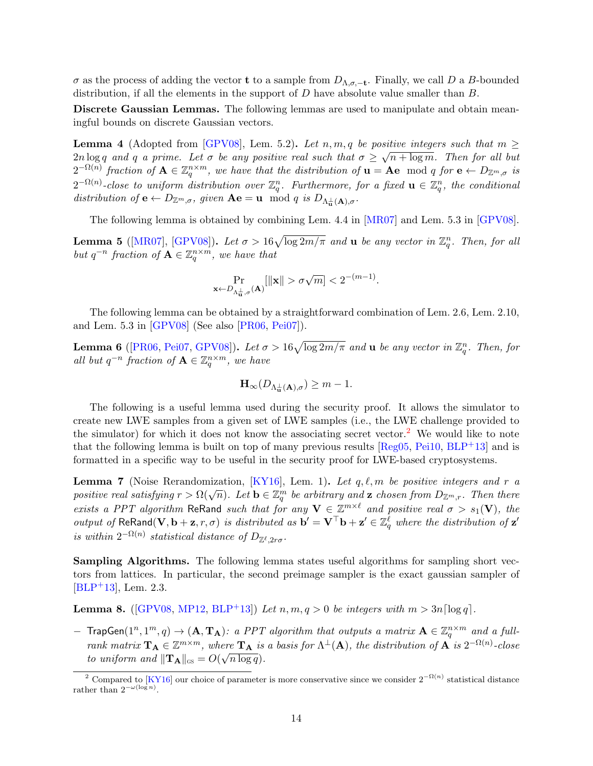<span id="page-13-6"></span> $\sigma$  as the process of adding the vector **t** to a sample from  $D_{\Lambda,\sigma,-\mathbf{t}}$ . Finally, we call D a B-bounded distribution, if all the elements in the support of  $D$  have absolute value smaller than  $B$ .

Discrete Gaussian Lemmas. The following lemmas are used to manipulate and obtain meaningful bounds on discrete Gaussian vectors.

<span id="page-13-3"></span>**Lemma 4** (Adopted from [\[GPV08\]](#page-35-1), Lem. 5.2). Let  $n, m, q$  be positive integers such that  $m \geq 0$  $2n \log q$  and q a prime. Let  $\sigma$  be any positive real such that  $\sigma \geq \sqrt{n + \log m}$ . Then for all but  $2^{-\Omega(n)}$  fraction of  $A \in \mathbb{Z}_q^{n \times m}$ , we have that the distribution of  $u = Ae \mod q$  for  $e \leftarrow D_{\mathbb{Z}^m, \sigma}$  is  $2^{-\Omega(n)}$ -close to uniform distribution over  $\mathbb{Z}_q^n$ . Furthermore, for a fixed  $\mathbf{u}\in\mathbb{Z}_q^n$ , the conditional distribution of  $\mathbf{e} \leftarrow D_{\mathbb{Z}^m,\sigma}$ , given  $\mathbf{A}\mathbf{e} = \mathbf{u} \mod q$  is  $D_{\Lambda_{\mathbf{u}}^{\perp}(\mathbf{A}),\sigma}$ .

The following lemma is obtained by combining Lem. 4.4 in [\[MR07\]](#page-36-10) and Lem. 5.3 in [\[GPV08\]](#page-35-1).

<span id="page-13-2"></span>**Lemma 5** ([\[MR07\]](#page-36-10), [\[GPV08\]](#page-35-1)). Let  $\sigma > 16\sqrt{\log 2m/\pi}$  and **u** be any vector in  $\mathbb{Z}_q^n$ . Then, for all but  $q^{-n}$  fraction of  $\mathbf{A} \in \mathbb{Z}_q^{n \times m}$ , we have that

$$
\Pr_{\mathbf{x} \leftarrow D_{\Lambda_{\mathbf{u}}^{\perp},\sigma}(\mathbf{A})} [\|\mathbf{x}\| > \sigma \sqrt{m}] < 2^{-(m-1)}.
$$

The following lemma can be obtained by a straightforward combination of Lem. 2.6, Lem. 2.10, and Lem.  $5.3$  in [\[GPV08\]](#page-35-1) (See also [\[PR06,](#page-36-11) [Pei07\]](#page-36-12)).

<span id="page-13-4"></span>**Lemma 6** ([\[PR06,](#page-36-11) [Pei07,](#page-36-12) [GPV08\]](#page-35-1)). Let  $\sigma > 16\sqrt{\log 2m/\pi}$  and **u** be any vector in  $\mathbb{Z}_q^n$ . Then, for all but  $q^{-n}$  fraction of  $\mathbf{A} \in \mathbb{Z}_q^{n \times m}$ , we have

$$
\mathbf{H}_{\infty}(D_{\Lambda_{\mathbf{u}}^{\perp}(\mathbf{A}),\sigma}) \geq m-1.
$$

The following is a useful lemma used during the security proof. It allows the simulator to create new LWE samples from a given set of LWE samples (i.e., the LWE challenge provided to the simulator) for which it does not know the associating secret vector.<sup>[2](#page-13-0)</sup> We would like to note that the following lemma is built on top of many previous results  $[Reg05, Pei10, BLP<sup>+</sup>13]$  $[Reg05, Pei10, BLP<sup>+</sup>13]$  $[Reg05, Pei10, BLP<sup>+</sup>13]$  $[Reg05, Pei10, BLP<sup>+</sup>13]$  $[Reg05, Pei10, BLP<sup>+</sup>13]$  $[Reg05, Pei10, BLP<sup>+</sup>13]$  and is formatted in a specific way to be useful in the security proof for LWE-based cryptosystems.

<span id="page-13-5"></span>**Lemma 7** (Noise Rerandomization, [\[KY16\]](#page-36-2), Lem. 1). Let  $q, \ell, m$  be positive integers and r a **Definite real satisfying r** >  $\Omega(\sqrt{n})$ . Let  $\mathbf{b} \in \mathbb{Z}_q^m$  be arbitrary and **z** chosen from  $D_{\mathbb{Z}^m,r}$ . Then there positive real satisfying  $r > \Omega(\sqrt{n})$ . Let  $\mathbf{b} \in \mathbb{Z}_q^m$  be arbitrary and **z** chosen from  $D$ exists a PPT algorithm ReRand such that for any  $V \in \mathbb{Z}^{m \times \ell}$  and positive real  $\sigma > s_1(V)$ , the output of ReRand $(\mathbf{V}, \mathbf{b} + \mathbf{z}, r, \sigma)$  is distributed as  $\mathbf{b}' = \mathbf{V}^\top \mathbf{b} + \mathbf{z}' \in \mathbb{Z}_q^\ell$  where the distribution of  $\mathbf{z}'$ is within  $2^{-\Omega(n)}$  statistical distance of  $D_{\mathbb{Z}^{\ell},2r\sigma}$ .

Sampling Algorithms. The following lemma states useful algorithms for sampling short vectors from lattices. In particular, the second preimage sampler is the exact gaussian sampler of [\[BLP](#page-35-14)+13], Lem. 2.3.

<span id="page-13-1"></span>**Lemma 8.** ([\[GPV08,](#page-35-1) [MP12,](#page-36-14) [BLP](#page-35-14)<sup>+</sup>13]) Let  $n, m, q > 0$  be integers with  $m > 3n \lceil \log q \rceil$ .

 $-$  TrapGen(1<sup>n</sup>, 1<sup>m</sup>, q) → (**A**, **T**<sub>A</sub>): a PPT algorithm that outputs a matrix **A** ∈  $\mathbb{Z}_q^{n \times m}$  and a fullrank matrix  $\mathbf{T_A} \in \mathbb{Z}^{m \times m}$ , where  $\mathbf{T_A}$  is a basis for  $\Lambda^{\perp}(\mathbf{A})$ , the distribution of  $\mathbf{A}$  is  $2^{-\Omega(n)}$ -close to uniform and  $\|\mathbf{T}_\mathbf{A}\|_{\text{cs}} = O(\sqrt{n \log q}).$ 

<span id="page-13-0"></span><sup>&</sup>lt;sup>2</sup> Compared to [\[KY16\]](#page-36-2) our choice of parameter is more conservative since we consider  $2^{-\Omega(n)}$  statistical distance rather than  $2^{-\omega(\log n)}$ .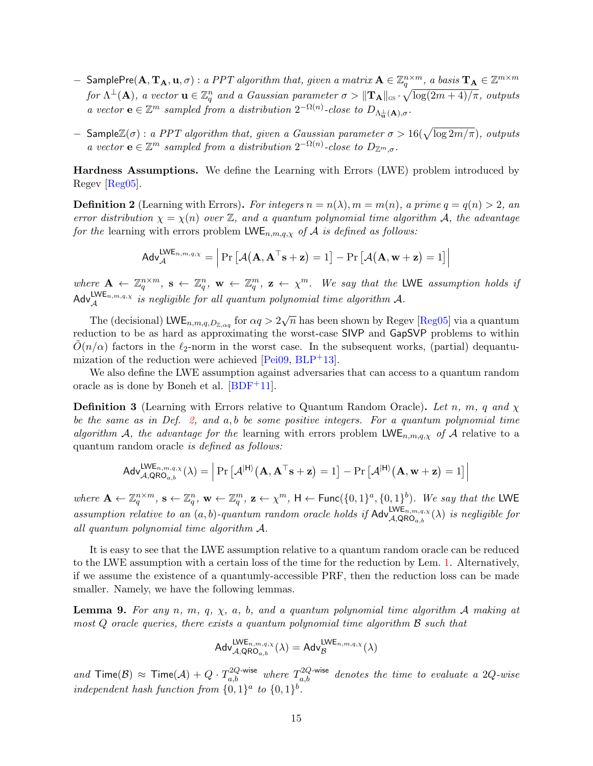- <span id="page-14-2"></span> $-$  SamplePre( $\mathbf{A}, \mathbf{T_A}, \mathbf{u}, \sigma$ ) : a PPT algorithm that, given a matrix  $\mathbf{A} \in \mathbb{Z}_q^{n \times m}$ , a basis  $\mathbf{T_A} \in \mathbb{Z}^{m \times m}$ for  $\Lambda^{\perp}(\mathbf{A})$ , a vector  $\mathbf{u} \in \mathbb{Z}_q^n$  and a Gaussian parameter  $\sigma > ||\mathbf{T}_\mathbf{A}||_{\text{cs}} \cdot \sqrt{\log(2m+4)/\pi}$ , outputs a vector  $\mathbf{e} \in \mathbb{Z}^m$  sampled from a distribution  $2^{-\Omega(n)}$ -close to  $D_{\Lambda_{\mathbf{u}}^{\perp}(\mathbf{A}),\sigma}$ .
- $-$  Sample $\mathbb{Z}(\sigma)$ : a PPT algorithm that, given a Gaussian parameter  $\sigma > 16(\sqrt{\log 2m/\pi})$ , outputs a vector  $\mathbf{e} \in \mathbb{Z}^m$  sampled from a distribution  $2^{-\Omega(n)}$ -close to  $D_{\mathbb{Z}^m,\sigma}$ .

Hardness Assumptions. We define the Learning with Errors (LWE) problem introduced by Regev [\[Reg05\]](#page-36-0).

<span id="page-14-0"></span>**Definition 2** (Learning with Errors). For integers  $n = n(\lambda)$ ,  $m = m(n)$ , a prime  $q = q(n) > 2$ , and error distribution  $\chi = \chi(n)$  over  $\mathbb{Z}$ , and a quantum polynomial time algorithm A, the advantage for the learning with errors problem  $LWE_{n,m,q,\chi}$  of A is defined as follows:

$$
Adv_{\mathcal{A}}^{LWE_{n,m,q,\chi}} = \left| \Pr \left[ \mathcal{A}(\mathbf{A}, \mathbf{A}^{\top} \mathbf{s} + \mathbf{z}) = 1 \right] - \Pr \left[ \mathcal{A}(\mathbf{A}, \mathbf{w} + \mathbf{z}) = 1 \right] \right|
$$

where  $\mathbf{A} \leftarrow \mathbb{Z}_q^{n \times m}$ ,  $\mathbf{s} \leftarrow \mathbb{Z}_q^n$ ,  $\mathbf{w} \leftarrow \mathbb{Z}_q^m$ ,  $\mathbf{z} \leftarrow \chi^m$ . We say that the LWE assumption holds if  $\mathsf{Adv}_{\mathcal{A}}^{\mathsf{LWE}_{n,m,q,\chi}}$  is negligible for all quantum polynomial time algorithm  $\mathcal{A}.$ 

The (decisional) LWE<sub>n,m,q,D<sub>Z, $\alpha$ q</sub> for  $\alpha q > 2\sqrt{n}$  has been shown by Regev [\[Reg05\]](#page-36-0) via a quantum</sub> reduction to be as hard as approximating the worst-case SIVP and GapSVP problems to within  $O(n/\alpha)$  factors in the  $\ell_2$ -norm in the worst case. In the subsequent works, (partial) dequantumization of the reduction were achieved  $[Pei09, BLP^+13]$  $[Pei09, BLP^+13]$  $[Pei09, BLP^+13]$  $[Pei09, BLP^+13]$ .

We also define the LWE assumption against adversaries that can access to a quantum random oracle as is done by Boneh et al.  $[BDF^+11]$  $[BDF^+11]$ .

**Definition 3** (Learning with Errors relative to Quantum Random Oracle). Let n, m, q and  $\chi$ be the same as in Def. [2,](#page-14-0) and  $a, b$  be some positive integers. For a quantum polynomial time algorithm A, the advantage for the learning with errors problem  $LWE_{n,m,q,\chi}$  of A relative to a quantum random oracle is defined as follows:

$$
Adv_{\mathcal{A},QRO_{a,b}}^{LWE_{n,m,q,\chi}}(\lambda) = \left| \Pr\left[\mathcal{A}^{|H\rangle}\left(\mathbf{A},\mathbf{A}^{\top}\mathbf{s}+\mathbf{z}\right)=1\right] - \Pr\left[\mathcal{A}^{|H\rangle}\left(\mathbf{A},\mathbf{w}+\mathbf{z}\right)=1\right] \right|
$$

where  $\mathbf{A} \leftarrow \mathbb{Z}_q^{n \times m}$ ,  $\mathbf{s} \leftarrow \mathbb{Z}_q^n$ ,  $\mathbf{w} \leftarrow \mathbb{Z}_q^m$ ,  $\mathbf{z} \leftarrow \chi^m$ ,  $\mathsf{H} \leftarrow \mathsf{Func}(\{0,1\}^a,\{0,1\}^b)$ . We say that the LWE assumption relative to an  $(a, b)$ -quantum random oracle holds if  $\text{Adv}_{\mathcal{A},\text{QRO}_{a,b}}^{\text{LWE}_{n,m,q,\chi}}(\lambda)$  is negligible for all quantum polynomial time algorithm A.

It is easy to see that the LWE assumption relative to a quantum random oracle can be reduced to the LWE assumption with a certain loss of the time for the reduction by Lem. [1.](#page-10-1) Alternatively, if we assume the existence of a quantumly-accessible PRF, then the reduction loss can be made smaller. Namely, we have the following lemmas.

<span id="page-14-1"></span>**Lemma 9.** For any n, m, q,  $\chi$ , a, b, and a quantum polynomial time algorithm A making at most  $Q$  oracle queries, there exists a quantum polynomial time algorithm  $B$  such that

$$
\mathsf{Adv}_{\mathcal{A},\mathsf{QRO}_{a,b}}^{\mathsf{LWE}_{n,m,q,\chi}}(\lambda)=\mathsf{Adv}_{\mathcal{B}}^{\mathsf{LWE}_{n,m,q,\chi}}(\lambda)
$$

and  $\textsf{Time}(\mathcal{B}) \approx \textsf{Time}(\mathcal{A}) + Q \cdot T_{a,b}^{2Q\text{-wise}}$  where  $T_{a,b}^{2Q\text{-wise}}$  denotes the time to evaluate a 2Q-wise independent hash function from  $\{0,1\}^a$  to  $\{0,1\}^b$ .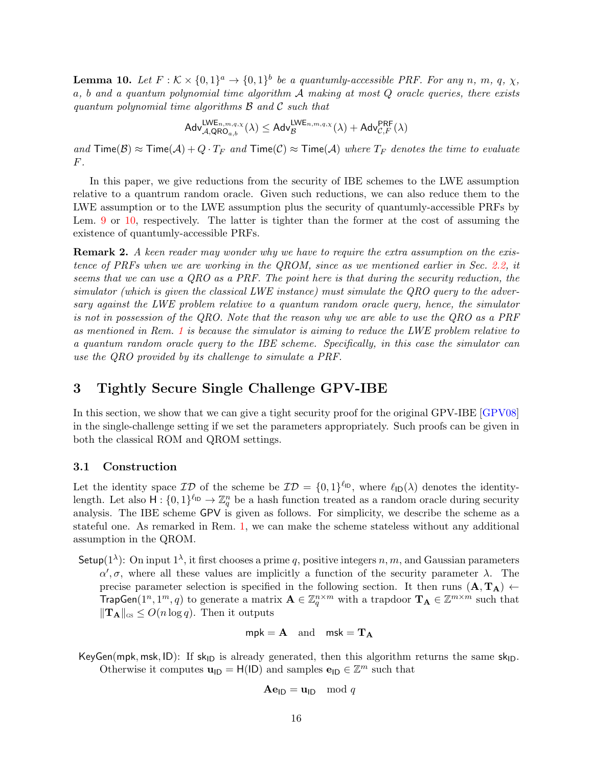<span id="page-15-3"></span><span id="page-15-2"></span>**Lemma 10.** Let  $F: K \times \{0,1\}^a \to \{0,1\}^b$  be a quantumly-accessible PRF. For any n, m, q,  $\chi$ ,  $a, b$  and a quantum polynomial time algorithm  $A$  making at most  $Q$  oracle queries, there exists quantum polynomial time algorithms  $\beta$  and  $\beta$  such that

$$
\mathsf{Adv}_{\mathcal{A},\mathsf{QRO}_{a,b}}^{\mathsf{LWE}_{n,m,q,\chi}}(\lambda) \leq \mathsf{Adv}_{\mathcal{B}}^{\mathsf{LWE}_{n,m,q,\chi}}(\lambda) + \mathsf{Adv}_{\mathcal{C},F}^{\mathsf{PRF}}(\lambda)
$$

and  $\text{Time}(\mathcal{B}) \approx \text{Time}(\mathcal{A}) + Q \cdot T_F$  and  $\text{Time}(\mathcal{C}) \approx \text{Time}(\mathcal{A})$  where  $T_F$  denotes the time to evaluate  $F$ .

In this paper, we give reductions from the security of IBE schemes to the LWE assumption relative to a quantrum random oracle. Given such reductions, we can also reduce them to the LWE assumption or to the LWE assumption plus the security of quantumly-accessible PRFs by Lem. [9](#page-14-1) or [10,](#page-15-2) respectively. The latter is tighter than the former at the cost of assuming the existence of quantumly-accessible PRFs.

**Remark 2.** A keen reader may wonder why we have to require the extra assumption on the existence of PRFs when we are working in the QROM, since as we mentioned earlier in Sec. [2.2,](#page-10-0) it seems that we can use a QRO as a PRF. The point here is that during the security reduction, the simulator (which is given the classical LWE instance) must simulate the QRO query to the adversary against the LWE problem relative to a quantum random oracle query, hence, the simulator is not in possession of the QRO. Note that the reason why we are able to use the QRO as a PRF as mentioned in Rem. [1](#page-12-1) is because the simulator is aiming to reduce the LWE problem relative to a quantum random oracle query to the IBE scheme. Specifically, in this case the simulator can use the QRO provided by its challenge to simulate a PRF.

# <span id="page-15-0"></span>3 Tightly Secure Single Challenge GPV-IBE

In this section, we show that we can give a tight security proof for the original GPV-IBE [\[GPV08\]](#page-35-1) in the single-challenge setting if we set the parameters appropriately. Such proofs can be given in both the classical ROM and QROM settings.

### <span id="page-15-1"></span>3.1 Construction

Let the identity space  $\mathcal{ID}$  of the scheme be  $\mathcal{ID} = \{0,1\}^{\ell_{\text{ID}}}$ , where  $\ell_{\text{ID}}(\lambda)$  denotes the identitylength. Let also  $H: \{0,1\}^{\ell_{\text{ID}}} \to \mathbb{Z}_q^n$  be a hash function treated as a random oracle during security analysis. The IBE scheme GPV is given as follows. For simplicity, we describe the scheme as a stateful one. As remarked in Rem. [1,](#page-12-1) we can make the scheme stateless without any additional assumption in the QROM.

Setup(1<sup> $\lambda$ </sup>): On input 1<sup> $\lambda$ </sup>, it first chooses a prime q, positive integers n, m, and Gaussian parameters  $\alpha', \sigma$ , where all these values are implicitly a function of the security parameter  $\lambda$ . The precise parameter selection is specified in the following section. It then runs  $(A, T_A) \leftarrow$ TrapGen $(1^n,1^m,q)$  to generate a matrix  $\mathbf{A}\in\mathbb{Z}_q^{n\times m}$  with a trapdoor  $\mathbf{T}_\mathbf{A}\in\mathbb{Z}^{m\times m}$  such that  $\|\mathbf{T_A}\|_{\text{GS}} \leq O(n \log q)$ . Then it outputs

$$
\mathsf{mpk} = \mathbf{A} \quad \text{and} \quad \mathsf{msk} = \mathbf{T_A}
$$

KeyGen(mpk, msk, ID): If sk<sub>ID</sub> is already generated, then this algorithm returns the same sk<sub>ID</sub>. Otherwise it computes  $\mathbf{u}_{\mathsf{ID}} = \mathsf{H}(\mathsf{ID})$  and samples  $\mathbf{e}_{\mathsf{ID}} \in \mathbb{Z}^m$  such that

$$
\mathbf{A}\mathbf{e}_{\mathsf{ID}} = \mathbf{u}_{\mathsf{ID}} \mod q
$$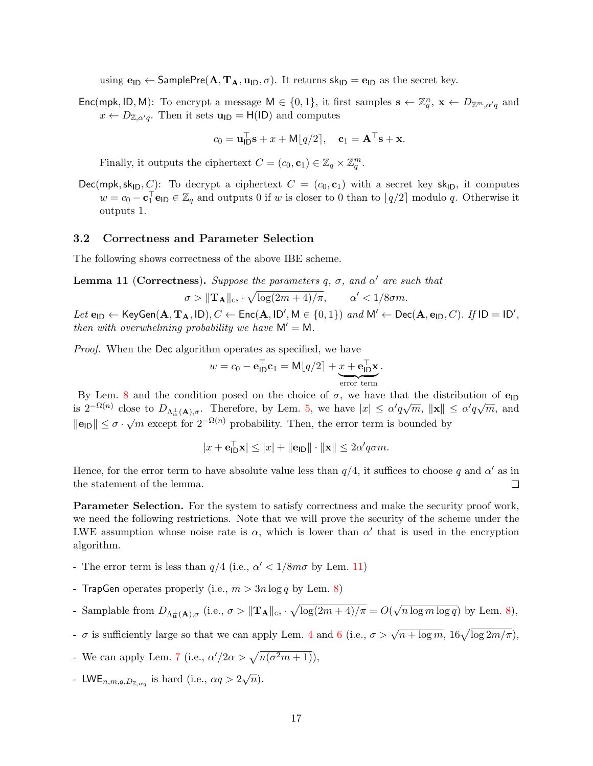using  $e_{ID} \leftarrow$  SamplePre $(A, T_A, u_{ID}, \sigma)$ . It returns  $sk_{ID} = e_{ID}$  as the secret key.

Enc(mpk, ID, M): To encrypt a message  $M \in \{0, 1\}$ , it first samples  $\mathbf{s} \leftarrow \mathbb{Z}_q^n$ ,  $\mathbf{x} \leftarrow D_{\mathbb{Z}^m, \alpha'q}$  and  $x \leftarrow D_{\mathbb{Z}, \alpha'q}$ . Then it sets  $\mathbf{u}_{ID} = H(ID)$  and computes

$$
c_0 = \mathbf{u}_{\mathsf{ID}}^\top \mathbf{s} + x + \mathsf{M}[q/2], \quad \mathbf{c}_1 = \mathbf{A}^\top \mathbf{s} + \mathbf{x}.
$$

Finally, it outputs the ciphertext  $C = (c_0, \mathbf{c}_1) \in \mathbb{Z}_q \times \mathbb{Z}_q^m$ .

Dec(mpk, sk<sub>ID</sub>, C): To decrypt a ciphertext  $C = (c_0, c_1)$  with a secret key sk<sub>ID</sub>, it computes  $w = c_0 - \mathbf{c}_1^{\top} \mathbf{e}_{\mathsf{ID}} \in \mathbb{Z}_q$  and outputs 0 if w is closer to 0 than to  $\lfloor q/2 \rfloor$  modulo q. Otherwise it outputs 1.

### <span id="page-16-0"></span>3.2 Correctness and Parameter Selection

The following shows correctness of the above IBE scheme.

<span id="page-16-1"></span>**Lemma 11 (Correctness).** Suppose the parameters q,  $\sigma$ , and  $\alpha'$  are such that

 $\sigma > \|{\bf T}_{\bf A}\|_{\scriptscriptstyle{\mathsf{GS}}} \cdot \sqrt{\log(2m+4)/\pi}, \qquad \alpha' < 1/8\sigma m.$ 

Let  $e_{ID} \leftarrow \text{KeyGen}(A, T_A, ID), C \leftarrow \text{Enc}(A, ID', M \in \{0, 1\})$  and  $M' \leftarrow \text{Dec}(A, e_{ID}, C)$ . If  $ID = ID',$ then with overwhelming probability we have  $M' = M$ .

Proof. When the Dec algorithm operates as specified, we have

$$
w = c_0 - \mathbf{e}_{\mathsf{ID}}^{\top} \mathbf{c}_1 = \mathsf{M}[q/2] + \underbrace{x + \mathbf{e}_{\mathsf{ID}}^{\top} \mathbf{x}}_{\text{error term}}.
$$

By Lem. [8](#page-13-1) and the condition posed on the choice of  $\sigma$ , we have that the distribution of  $e_{\text{ID}}$ is  $2^{-\Omega(n)}$  close to  $D_{\Lambda_{\mathbf{u}}^{\perp}(\mathbf{A}),\sigma}$ . Therefore, by Lem. [5,](#page-13-2) we have  $|x| \leq \alpha'q\sqrt{m}$ ,  $\|\mathbf{x}\| \leq \alpha'q\sqrt{m}$ , and  $||e_{\text{ID}}|| \leq \sigma \cdot \sqrt{m}$  except for  $2^{-\Omega(n)}$  probability. Then, the error term is bounded by

$$
|x + \mathbf{e}_{\mathsf{ID}}^{\top} \mathbf{x}| \le |x| + ||\mathbf{e}_{\mathsf{ID}}|| \cdot ||\mathbf{x}|| \le 2\alpha' q \sigma m.
$$

Hence, for the error term to have absolute value less than  $q/4$ , it suffices to choose q and  $\alpha'$  as in the statement of the lemma.  $\Box$ 

Parameter Selection. For the system to satisfy correctness and make the security proof work, we need the following restrictions. Note that we will prove the security of the scheme under the LWE assumption whose noise rate is  $\alpha$ , which is lower than  $\alpha'$  that is used in the encryption algorithm.

- The error term is less than  $q/4$  (i.e.,  $\alpha' < 1/8m\sigma$  by Lem. [11\)](#page-16-1)
- TrapGen operates properly (i.e.,  $m > 3n \log q$  by Lem. [8\)](#page-13-1)
- Samplable from  $D_{\Lambda_{\mathbf{u}}^{\perp}(\mathbf{A}),\sigma}$  (i.e.,  $\sigma > ||\mathbf{T}_{\mathbf{A}}||_{\text{cs}} \cdot \sqrt{\log(2m+4)/\pi} = O(m)$ √  $\overline{n \log m \log q}$  by Lem. [8\)](#page-13-1),
- $\sigma$  is sufficiently large so that we can apply Lem. [4](#page-13-3) and [6](#page-13-4) (i.e.,  $\sigma > \sqrt{n + \log m}$ ,  $16\sqrt{\log 2m/\pi}$ ),
- We can apply Lem. [7](#page-13-5) (i.e.,  $\alpha'/2\alpha > \sqrt{n(\sigma^2 m + 1)}$ ),
- LWE<sub>n,m,q,D<sub>Z, $\alpha$ q</sub> is hard (i.e.,  $\alpha q > 2\sqrt{n}$ ).</sub>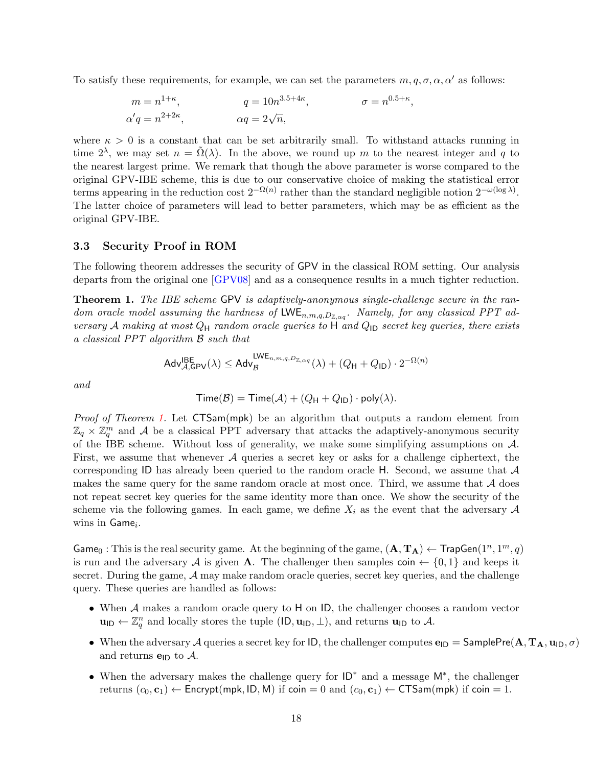<span id="page-17-2"></span>To satisfy these requirements, for example, we can set the parameters  $m, q, \sigma, \alpha, \alpha'$  as follows:

$$
m = n^{1+\kappa}, \qquad q = 10n^{3.5+4\kappa}, \qquad \sigma = n^{0.5+\kappa},
$$
  
\n
$$
\alpha'q = n^{2+2\kappa}, \qquad \alpha q = 2\sqrt{n},
$$

where  $\kappa > 0$  is a constant that can be set arbitrarily small. To withstand attacks running in time  $2^{\lambda}$ , we may set  $n = \tilde{\Omega}(\lambda)$ . In the above, we round up m to the nearest integer and q to the nearest largest prime. We remark that though the above parameter is worse compared to the original GPV-IBE scheme, this is due to our conservative choice of making the statistical error terms appearing in the reduction cost  $2^{-\Omega(n)}$  rather than the standard negligible notion  $2^{-\omega(\log \lambda)}$ . The latter choice of parameters will lead to better parameters, which may be as efficient as the original GPV-IBE.

## <span id="page-17-0"></span>3.3 Security Proof in ROM

The following theorem addresses the security of GPV in the classical ROM setting. Our analysis departs from the original one [\[GPV08\]](#page-35-1) and as a consequence results in a much tighter reduction.

<span id="page-17-1"></span>Theorem 1. The IBE scheme GPV is adaptively-anonymous single-challenge secure in the random oracle model assuming the hardness of  $LWE_{n,m,q,D_{\mathbb{Z},\alpha q}}$ . Namely, for any classical PPT adversary A making at most  $Q_H$  random oracle queries to H and  $Q_{ID}$  secret key queries, there exists a classical PPT algorithm B such that

$$
\mathsf{Adv}_{\mathcal{A},\mathsf{GPV}}^{\mathsf{IBE}}(\lambda) \leq \mathsf{Adv}_{\mathcal{B}}^{\mathsf{LWE}_{n,m,q,D_{\mathbb{Z},\alpha q}}}(\lambda) + (Q_{\mathsf{H}} + Q_{\mathsf{ID}}) \cdot 2^{-\Omega(n)}
$$

and

$$
Time(\mathcal{B}) = Time(\mathcal{A}) + (Q_{\mathsf{H}} + Q_{\mathsf{ID}}) \cdot \mathsf{poly}(\lambda).
$$

Proof of Theorem [1.](#page-17-1) Let CTSam(mpk) be an algorithm that outputs a random element from  $\mathbb{Z}_q \times \mathbb{Z}_q^m$  and A be a classical PPT adversary that attacks the adaptively-anonymous security of the IBE scheme. Without loss of generality, we make some simplifying assumptions on A. First, we assume that whenever  $A$  queries a secret key or asks for a challenge ciphertext, the corresponding ID has already been queried to the random oracle H. Second, we assume that  $A$ makes the same query for the same random oracle at most once. Third, we assume that  $A$  does not repeat secret key queries for the same identity more than once. We show the security of the scheme via the following games. In each game, we define  $X_i$  as the event that the adversary  $A$ wins in  $\mathsf{Game}_i$ .

Game<sub>0</sub>: This is the real security game. At the beginning of the game,  $(A, T_A) \leftarrow$  TrapGen $(1^n, 1^m, q)$ is run and the adversary A is given A. The challenger then samples coin  $\leftarrow \{0,1\}$  and keeps it secret. During the game, A may make random oracle queries, secret key queries, and the challenge query. These queries are handled as follows:

- $\bullet\,$  When  ${\mathcal A}$  makes a random oracle query to  ${\mathsf H}$  on  ${\mathsf ID},$  the challenger chooses a random vector  $\mathbf{u}_{\mathsf{ID}} \leftarrow \mathbb{Z}_q^n$  and locally stores the tuple  $(\mathsf{ID}, \mathbf{u}_{\mathsf{ID}}, \perp)$ , and returns  $\mathbf{u}_{\mathsf{ID}}$  to A.
- When the adversary A queries a secret key for ID, the challenger computes  $e_{ID} =$  SamplePre $(A, T_A, u_{ID}, \sigma)$ and returns  $e_{\text{ID}}$  to A.
- When the adversary makes the challenge query for ID<sup>∗</sup> and a message M<sup>∗</sup> , the challenger returns  $(c_0, c_1) \leftarrow$  Encrypt(mpk, ID, M) if coin = 0 and  $(c_0, c_1) \leftarrow$  CTSam(mpk) if coin = 1.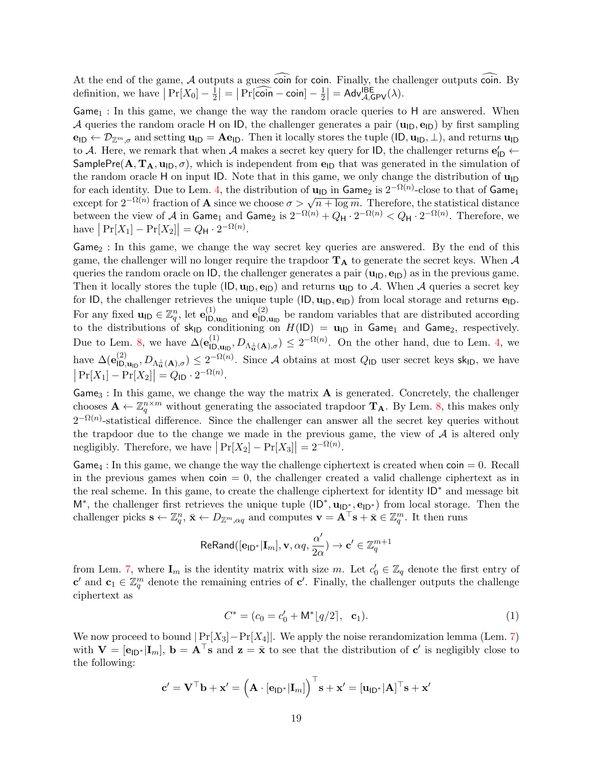At the end of the game, A outputs a guess coin for coin. Finally, the challenger outputs coin. By definition, we have  $\left| \Pr[X_0] - \frac{1}{2} \right|$  $\frac{1}{2}$  =  $\left| \Pr[\widehat{\text{coin}} - \text{coin}] - \frac{1}{2} \right|$  $\frac{1}{2}$  = Adv<sup>IBE</sup><sub>A,GPV</sub>( $\lambda$ ).

 $Game<sub>1</sub>$ : In this game, we change the way the random oracle queries to H are answered. When A queries the random oracle H on ID, the challenger generates a pair  $(\mathbf{u}_{\mathsf{ID}}, \mathbf{e}_{\mathsf{ID}})$  by first sampling  $e_{ID} \leftarrow \mathcal{D}_{\mathbb{Z}^m,\sigma}$  and setting  $\mathbf{u}_{ID} = \mathbf{A}e_{ID}$ . Then it locally stores the tuple  $(ID, \mathbf{u}_{ID}, \bot)$ , and returns  $\mathbf{u}_{ID}$ to A. Here, we remark that when A makes a secret key query for  $ID$ , the challenger returns  $e'_{ID} \leftarrow$ SamplePre( $\mathbf{A}, \mathbf{T_A}, \mathbf{u}_{\vert D}, \sigma$ ), which is independent from  $\mathbf{e}_{\vert D}$  that was generated in the simulation of the random oracle  $H$  on input ID. Note that in this game, we only change the distribution of  $\mathbf{u}_{\text{ID}}$ for each identity. Due to Lem. [4,](#page-13-3) the distribution of  ${\bf u}_{\sf ID}$  in <code>Game $_2$ </code> is  $2^{-\Omega(n)}$ -close to that of <code>Game $_1$ </code> for each identity. Due to Lem. 4, the distribution of  $d_0$  in Galleg is 2 and 2-Close to that of Galleg except for  $2^{-\Omega(n)}$  fraction of **A** since we choose  $\sigma > \sqrt{n + \log m}$ . Therefore, the statistical distance between the view of  ${\cal A}$  in  ${\sf Game}_1$  and  ${\sf Game}_2$  is  $2^{-\Omega(n)}+Q_{\sf H}\cdot 2^{-\Omega(n)}< Q_{\sf H}\cdot 2^{-\Omega(n)}.$  Therefore, we have  $|\Pr[X_1]-\Pr[X_2]|=Q_{\mathsf{H}}\cdot 2^{-\Omega(n)}$ .

 $Game_2$ : In this game, we change the way secret key queries are answered. By the end of this game, the challenger will no longer require the trapdoor  $T_A$  to generate the secret keys. When  $A$ queries the random oracle on ID, the challenger generates a pair  $(\mathbf{u}_{\vert \mathbf{D}}, \mathbf{e}_{\vert \mathbf{D}})$  as in the previous game. Then it locally stores the tuple (ID,  $\mathbf{u}_{\text{ID}}, \mathbf{e}_{\text{ID}}$ ) and returns  $\mathbf{u}_{\text{ID}}$  to A. When A queries a secret key for ID, the challenger retrieves the unique tuple  $(ID, u<sub>ID</sub>, e<sub>ID</sub>)$  from local storage and returns  $e<sub>ID</sub>$ . For any fixed  $\mathbf{u}_{\mathsf{ID}} \in \mathbb{Z}_q^n$ , let  $\mathbf{e}_{\mathsf{ID},\mathsf{ID}}^{(1)}$  $_{\mathsf{ID},\mathbf{u}_{\mathsf{ID}}}^{(1)}$  and  $\mathbf{e}_{\mathsf{ID},\mathsf{ID}}^{(2)}$  $\sum_{n=0}^{(2)}$  be random variables that are distributed according to the distributions of  $sk_{ID}$  conditioning on  $H(ID) = u_{ID}$  in Game<sub>1</sub> and Game<sub>2</sub>, respectively. Due to Lem. [8,](#page-13-1) we have  $\Delta(\mathbf{e}_{\mathsf{ID}}^{(1)})$  $I_{\mathsf{ID},\mathbf{u}_{\mathsf{ID}}}(L)$ ,  $D_{\Lambda_{\mathbf{u}}(\mathbf{A}),\sigma}$   $\leq 2^{-\Omega(n)}$ . On the other hand, due to Lem. [4,](#page-13-3) we have  $\Delta(\mathbf{e}_{\mathsf{ID}}^{(2)}$  $I_{\text{ID},\text{u}_D}^{(2)}, D_{\Lambda_{\text{u}}^{\perp}(\textbf{A}),\sigma} \leq 2^{-\Omega(n)}$ . Since A obtains at most  $Q_{\text{ID}}$  user secret keys sk<sub>ID</sub>, we have  $|Pr[X_1] - Pr[X_2]| = Q_{\text{ID}} \cdot 2^{-\Omega(n)}$ .

Game<sub>3</sub> : In this game, we change the way the matrix  $A$  is generated. Concretely, the challenger chooses  $\mathbf{A} \leftarrow \mathbb{Z}_q^{n \times m}$  without generating the associated trapdoor  $\mathbf{T}_\mathbf{A}$ . By Lem. [8,](#page-13-1) this makes only  $2^{-\Omega(n)}$ -statistical difference. Since the challenger can answer all the secret key queries without the trapdoor due to the change we made in the previous game, the view of  $A$  is altered only negligibly. Therefore, we have  $|Pr[X_2] - Pr[X_3]| = 2^{-\Omega(n)}$ .

 $Game<sub>4</sub>$ : In this game, we change the way the challenge ciphertext is created when  $coin = 0$ . Recall in the previous games when  $\dot{\rm coin} = 0$ , the challenger created a valid challenge ciphertext as in the real scheme. In this game, to create the challenge ciphertext for identity ID<sup>∗</sup> and message bit M<sup>∗</sup>, the challenger first retrieves the unique tuple (ID<sup>∗</sup>, **u**<sub>ID<sup>∗</sup>, **e**<sub>ID<sup>∗</sup></sub>) from local storage. Then the</sub> challenger picks  $\mathbf{s} \leftarrow \mathbb{Z}_q^n$ ,  $\bar{\mathbf{x}} \leftarrow D_{\mathbb{Z}^m, \alpha q}$  and computes  $\mathbf{v} = \mathbf{A}^\top \mathbf{s} + \bar{\mathbf{x}} \in \mathbb{Z}_q^m$ . It then runs

$$
\mathsf{ReRand}([\mathbf{e}_{\mathsf{ID}^*}|\mathbf{I}_m],\mathbf{v},\alpha q,\frac{\alpha'}{2\alpha})\rightarrow \mathbf{c'}\in \mathbb{Z}_q^{m+1}
$$

from Lem. [7,](#page-13-5) where  $I_m$  is the identity matrix with size m. Let  $c'_0 \in \mathbb{Z}_q$  denote the first entry of  $\mathbf{c}'$  and  $\mathbf{c}_1 \in \mathbb{Z}_q^m$  denote the remaining entries of  $\mathbf{c}'$ . Finally, the challenger outputs the challenge ciphertext as

<span id="page-18-0"></span>
$$
C^* = (c_0 = c'_0 + \mathsf{M}^* \lfloor q/2 \rfloor, \mathbf{c}_1). \tag{1}
$$

We now proceed to bound  $|Pr[X_3]-Pr[X_4]|$ . We apply the noise rerandomization lemma (Lem. [7\)](#page-13-5) with  $\mathbf{V} = [\mathbf{e}_{\mathsf{ID}^*}|\mathbf{I}_m], \mathbf{b} = \mathbf{A}^\top \mathbf{s}$  and  $\mathbf{z} = \bar{\mathbf{x}}$  to see that the distribution of  $\mathbf{c}'$  is negligibly close to the following:

$$
\mathbf{c}' = \mathbf{V}^\top \mathbf{b} + \mathbf{x}' = \left(\mathbf{A} \cdot [\mathbf{e}_{\mathsf{ID}^*}|\mathbf{I}_m]\right)^\top \mathbf{s} + \mathbf{x}' = [\mathbf{u}_{\mathsf{ID}^*}|\mathbf{A}]^\top \mathbf{s} + \mathbf{x}'
$$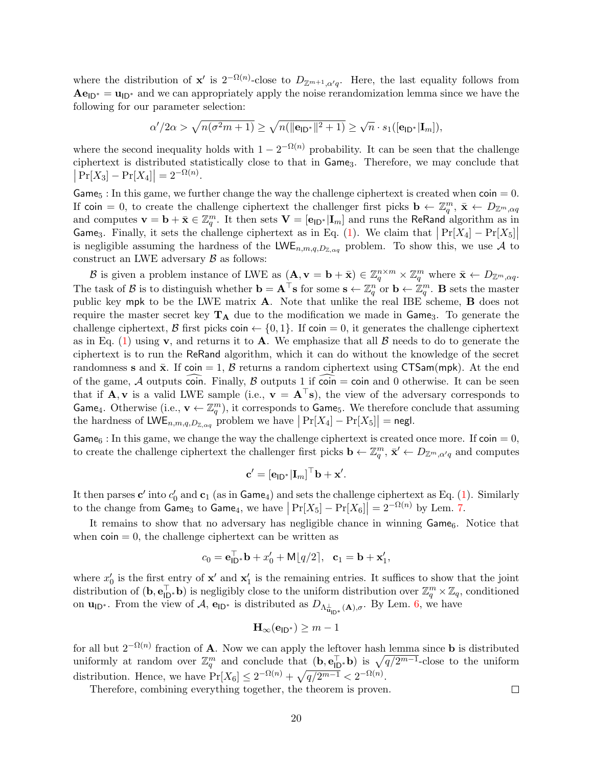where the distribution of  $\mathbf{x}'$  is  $2^{-\Omega(n)}$ -close to  $D_{\mathbb{Z}^{m+1},\alpha'q}$ . Here, the last equality follows from  $Ae_{D^*} = u_{D^*}$  and we can appropriately apply the noise rerandomization lemma since we have the following for our parameter selection:

$$
\alpha'/2\alpha > \sqrt{n(\sigma^2 m + 1)} \ge \sqrt{n(||\mathbf{e}_{\mathsf{ID}^*}||^2 + 1)} \ge \sqrt{n} \cdot s_1([\mathbf{e}_{\mathsf{ID}^*}|\mathbf{I}_m]),
$$

where the second inequality holds with  $1 - 2^{-\Omega(n)}$  probability. It can be seen that the challenge ciphertext is distributed statistically close to that in Game3. Therefore, we may conclude that  $|Pr[X_3] - Pr[X_4]| = 2^{-\Omega(n)}$ .

 $Game_5$ : In this game, we further change the way the challenge ciphertext is created when coin = 0. If coin = 0, to create the challenge ciphertext the challenger first picks  $\mathbf{b} \leftarrow \mathbb{Z}_q^m$ ,  $\bar{\mathbf{x}} \leftarrow D_{\mathbb{Z}^m, \alpha q}$ and computes  $\mathbf{v} = \mathbf{b} + \bar{\mathbf{x}} \in \mathbb{Z}_q^m$ . It then sets  $\mathbf{V} = [\mathbf{e}_{|\mathbf{D}^*}|\mathbf{I}_m]$  and runs the ReRand algorithm as in Game<sub>3</sub>. Finally, it sets the challenge ciphertext as in Eq. [\(1\)](#page-18-0). We claim that  $|\Pr[X_4] - \Pr[X_5]|$ is negligible assuming the hardness of the  $LWE_{n,m,q,D_{\mathbb{Z},\alpha q}}$  problem. To show this, we use A to construct an LWE adversary  $\beta$  as follows:

B is given a problem instance of LWE as  $(\mathbf{A}, \mathbf{v} = \mathbf{b} + \bar{\mathbf{x}}) \in \mathbb{Z}_q^{n \times m} \times \mathbb{Z}_q^m$  where  $\bar{\mathbf{x}} \leftarrow D_{\mathbb{Z}^m, \alpha q}$ . The task of  $\mathcal B$  is to distinguish whether  $\mathbf{b} = \mathbf{A}^\top \mathbf{s}$  for some  $\mathbf{s} \leftarrow \mathbb{Z}_q^n$  or  $\mathbf{b} \leftarrow \mathbb{Z}_q^m$ . **B** sets the master public key mpk to be the LWE matrix A. Note that unlike the real IBE scheme, B does not require the master secret key  $T_A$  due to the modification we made in Game<sub>3</sub>. To generate the challenge ciphertext, B first picks coin  $\leftarrow \{0,1\}$ . If coin = 0, it generates the challenge ciphertext as in Eq. [\(1\)](#page-18-0) using v, and returns it to A. We emphasize that all  $\beta$  needs to do to generate the ciphertext is to run the ReRand algorithm, which it can do without the knowledge of the secret randomness s and  $\bar{x}$ . If coin = 1, B returns a random ciphertext using CTSam(mpk). At the end of the game, A outputs coin. Finally, B outputs 1 if coin  $=$  coin and 0 otherwise. It can be seen that if  $\mathbf{A}, \mathbf{v}$  is a valid LWE sample (i.e.,  $\mathbf{v} = \mathbf{A}^T \mathbf{s}$ ), the view of the adversary corresponds to Game<sub>4</sub>. Otherwise (i.e.,  $\mathbf{v} \leftarrow \mathbb{Z}_q^m$ ), it corresponds to Game<sub>5</sub>. We therefore conclude that assuming the hardness of  $LWE_{n,m,q,D_{\mathbb{Z},\alpha q}}$  problem we have  $|Pr[X_4] - Pr[X_5]| =$  negl.

Game<sub>6</sub> : In this game, we change the way the challenge ciphertext is created once more. If coin = 0, to create the challenge ciphertext the challenger first picks  $\mathbf{b} \leftarrow \mathbb{Z}_q^m$ ,  $\bar{\mathbf{x}}' \leftarrow D_{\mathbb{Z}^m, \alpha'q}$  and computes

$$
\mathbf{c}' = [\mathbf{e}_{\mathsf{ID}^*}|\mathbf{I}_m]^\top \mathbf{b} + \mathbf{x}'.
$$

It then parses  $c'$  into  $c'_0$  and  $c_1$  (as in Game<sub>4</sub>) and sets the challenge ciphertext as Eq. [\(1\)](#page-18-0). Similarly to the change from Game<sub>3</sub> to Game<sub>4</sub>, we have  $|Pr[X_5] - Pr[X_6]| = 2^{-\Omega(n)}$  by Lem. [7.](#page-13-5)

It remains to show that no adversary has negligible chance in winning  $\mathsf{Game}_6$ . Notice that when  $\text{coin} = 0$ , the challenge ciphertext can be written as

$$
c_0 = \mathbf{e}_{\mathsf{ID}^*}^\top \mathbf{b} + x_0' + \mathsf{M}[q/2], \quad \mathbf{c}_1 = \mathbf{b} + \mathbf{x}_1',
$$

where  $x'_0$  is the first entry of  $x'$  and  $x'_1$  is the remaining entries. It suffices to show that the joint distribution of  $(\mathbf{b}, \mathbf{e}_{\mathsf{ID}^*}^{\top} \mathbf{b})$  is negligibly close to the uniform distribution over  $\mathbb{Z}_q^m \times \mathbb{Z}_q$ , conditioned on  $\mathbf{u}_{\mathsf{ID}^*}$ . From the view of  $\mathcal{A}$ ,  $\mathbf{e}_{\mathsf{ID}^*}$  is distributed as  $D_{\Lambda_{\mathbf{u}_{\mathsf{ID}^*}}^{\perp}(\mathbf{A}),\sigma}$ . By Lem. [6,](#page-13-4) we have

$$
\mathbf{H}_{\infty}(\mathbf{e}_{\mathsf{ID}^*}) \geq m - 1
$$

for all but  $2^{-\Omega(n)}$  fraction of **A**. Now we can apply the leftover hash lemma since **b** is distributed uniformly at random over  $\mathbb{Z}_q^m$  and conclude that  $(\mathbf{b}, \mathbf{e}_{\mathsf{ID}^*}^{\top} \mathbf{b})$  is  $\sqrt{q/2^{m-1}}$ -close to the uniform distribution. Hence, we have  $Pr[X_6] \leq 2^{-\Omega(n)} + \sqrt{q/2^{m-1}} < 2^{-\Omega(n)}$ .

 $\Box$ 

Therefore, combining everything together, the theorem is proven.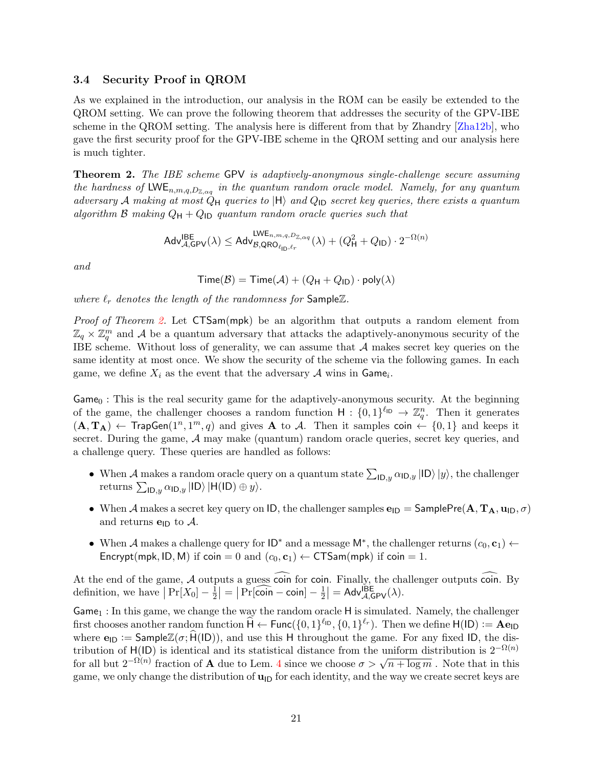### <span id="page-20-2"></span><span id="page-20-0"></span>3.4 Security Proof in QROM

As we explained in the introduction, our analysis in the ROM can be easily be extended to the QROM setting. We can prove the following theorem that addresses the security of the GPV-IBE scheme in the QROM setting. The analysis here is different from that by Zhandry [\[Zha12b\]](#page-37-1), who gave the first security proof for the GPV-IBE scheme in the QROM setting and our analysis here is much tighter.

<span id="page-20-1"></span>Theorem 2. The IBE scheme GPV is adaptively-anonymous single-challenge secure assuming the hardness of  $\text{LWE}_{n,m,q,D_{\mathbb{Z},\alpha q}}$  in the quantum random oracle model. Namely, for any quantum adversary A making at most  $Q_H$  queries to  $|H\rangle$  and  $Q_{ID}$  secret key queries, there exists a quantum algorithm B making  $Q_H + Q_{ID}$  quantum random oracle queries such that

$$
\mathsf{Adv}_{\mathcal{A},\mathsf{GPV}}^{\mathsf{IBE}}(\lambda) \leq \mathsf{Adv}_{\mathcal{B},\mathsf{QRO}_{\ell_{\mathsf{ID}},\ell_r}}^{\mathsf{LWE}_{n,m,q,D_{\mathbb{Z},\alpha q}}}(\lambda) + (Q_{\mathsf{H}}^2 + Q_{\mathsf{ID}}) \cdot 2^{-\Omega(n)}
$$

and

 $Time(B) = Time(A) + (Q_H + Q_{ID}) \cdot poly(\lambda)$ 

where  $\ell_r$  denotes the length of the randomness for SampleZ.

*Proof of Theorem [2.](#page-20-1)* Let CTSam(mpk) be an algorithm that outputs a random element from  $\mathbb{Z}_q \times \mathbb{Z}_q^m$  and A be a quantum adversary that attacks the adaptively-anonymous security of the IBE scheme. Without loss of generality, we can assume that A makes secret key queries on the same identity at most once. We show the security of the scheme via the following games. In each game, we define  $X_i$  as the event that the adversary  $A$  wins in Game<sub>i</sub>.

 $Game_0$ : This is the real security game for the adaptively-anonymous security. At the beginning of the game, the challenger chooses a random function  $H: \{0,1\}^{\ell_{\text{ID}}} \to \mathbb{Z}_q^n$ . Then it generates  $(A, T_A) \leftarrow$  TrapGen $(1^n, 1^m, q)$  and gives A to A. Then it samples coin  $\leftarrow \{0, 1\}$  and keeps it secret. During the game,  $A$  may make (quantum) random oracle queries, secret key queries, and a challenge query. These queries are handled as follows:

- When A makes a random oracle query on a quantum state  $\sum_{\mathsf{ID},y} \alpha_{\mathsf{ID},y} | \mathsf{ID} \rangle |y\rangle$ , the challenger returns  $\sum_{\mathsf{ID},y} \alpha_{\mathsf{ID},y} | \mathsf{ID}\rangle |\mathsf{H}(\mathsf{ID}) \oplus y\rangle.$
- When A makes a secret key query on ID, the challenger samples  $e_{ID} =$  SamplePre $(A, T_A, u_{ID}, \sigma)$ and returns  $e_{\text{ID}}$  to A.
- When A makes a challenge query for  $ID^*$  and a message  $M^*$ , the challenger returns  $(c_0, c_1) \leftarrow$ Encrypt(mpk, ID, M) if coin = 0 and  $(c_0, c_1) \leftarrow \text{CTSam(mpk)}$  if coin = 1.

At the end of the game,  $A$  outputs a guess coin for coin. Finally, the challenger outputs coin. By definition, we have  $\left| \Pr[X_0] - \frac{1}{2} \right|$  $\frac{1}{2}$  =  $\Pr[\widehat{\text{coin}} - \text{coin}] - \frac{1}{2}$  $\frac{1}{2}$  = Adv<sup>IBE</sup><sub>A,GPV</sub>( $\lambda$ ).

 $Game_1$ : In this game, we change the way the random oracle H is simulated. Namely, the challenger first chooses another random function  $\hat{\mathsf{H}} \leftarrow \mathsf{Func}(\{0, 1\}^{\ell_{\mathsf{D}}}, \{0, 1\}^{\ell_{\mathsf{F}}})$ . Then we define  $\mathsf{H}(\mathsf{ID}) := \mathbf{Ae}_{\mathsf{ID}}$ where  $e_{ID} :=$  Sample $\mathbb{Z}(\sigma; H(ID))$ , and use this H throughout the game. For any fixed ID, the distribution of H(ID) is identical and its statistical distance from the uniform distribution is  $2^{-\Omega(n)}$ for all but  $2^{-\Omega(n)}$  fraction of **A** due to Lem. [4](#page-13-3) since we choose  $\sigma > \sqrt{n + \log m}$ . Note that in this game, we only change the distribution of  $\mathbf{u}_{\text{ID}}$  for each identity, and the way we create secret keys are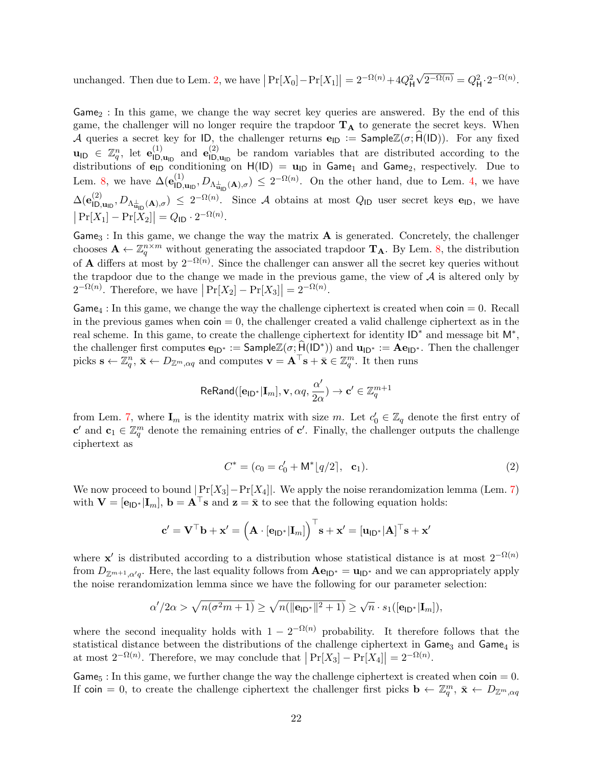unchanged. Then due to Lem. [2,](#page-10-2) we have  $|Pr[X_0] - Pr[X_1]| = 2^{-\Omega(n)} + 4Q_{\rm H}^2$ √  $\overline{2^{-\Omega(n)}} = Q_H^2 \cdot 2^{-\Omega(n)}.$ 

 $Game<sub>2</sub>$ : In this game, we change the way secret key queries are answered. By the end of this game, the challenger will no longer require the trapdoor  $T_A$  to generate the secret keys. When A queries a secret key for ID, the challenger returns  $e_{ID} := Sample\mathbb{Z}(\sigma; H(ID)).$  For any fixed  $\mathbf{u}_{\mathsf{ID}} \in \mathbb{Z}_q^n$ , let  $\mathbf{e}_{\mathsf{ID},n}^{(1)}$  $_{\text{ID},\textbf{u}_{\text{ID}}}^{(1)}$  and  $\mathbf{e}_{\text{ID},}^{(2)}$  $\mathbf{I}_{\mathsf{ID},\mathbf{u}_{\mathsf{ID}}}^{(2)}$  be random variables that are distributed according to the distributions of  $e_{\text{ID}}$  conditioning on  $H(\text{ID}) = u_{\text{ID}}$  in Game<sub>1</sub> and Game<sub>2</sub>, respectively. Due to Lem. [8,](#page-13-1) we have  $\Delta(\mathbf{e}_{\mathsf{ID}}^{(1)})$  $I_{\mathsf{ID},\mathsf{u}_{\mathsf{ID}}(D,\mathsf{u}_{\mathsf{ID}})}^{(1)}$ ,  $D_{\Lambda_{\mathsf{u}_{\mathsf{ID}}}^{\perp}(\mathbf{A}),\sigma$  and  $2^{-\Omega(n)}$ . On the other hand, due to Lem. [4,](#page-13-3) we have  $\Delta(\mathbf{e}_{\mathsf{ID}}^{(2)}% )^{1/2}$  $I_{\text{ID},\text{u}_D}^{(2)}, D_{\Lambda_{\text{u}_D}^{\perp}(\mathbf{A}),\sigma} \leq 2^{-\Omega(n)}$ . Since A obtains at most  $Q_{\text{ID}}$  user secret keys  $\mathbf{e}_{\text{ID}}$ , we have  $|Pr[X_1] - Pr[X_2]| = Q_{\text{ID}} \cdot 2^{-\Omega(n)}$ .

 $Game_3$ : In this game, we change the way the matrix  $\bf{A}$  is generated. Concretely, the challenger chooses  $\mathbf{A} \leftarrow \mathbb{Z}_q^{n \times m}$  without generating the associated trapdoor  $\mathbf{T}_\mathbf{A}$ . By Lem. [8,](#page-13-1) the distribution of **A** differs at most by  $2^{-\Omega(n)}$ . Since the challenger can answer all the secret key queries without the trapdoor due to the change we made in the previous game, the view of  $A$  is altered only by  $2^{-\Omega(n)}$ . Therefore, we have  $|Pr[X_2] - Pr[X_3]| = 2^{-\Omega(n)}$ .

 $Game_4$ : In this game, we change the way the challenge ciphertext is created when  $coin = 0$ . Recall in the previous games when  $\dot{\rm coin} = 0$ , the challenger created a valid challenge ciphertext as in the real scheme. In this game, to create the challenge ciphertext for identity ID<sup>\*</sup> and message bit M<sup>\*</sup>, the challenger first computes  $\mathbf{e}_{\mathsf{ID}^*} := \mathsf{SampleZ}(\sigma; \widehat{\mathsf{H}}(\mathsf{ID}^*))$  and  $\mathbf{u}_{\mathsf{ID}^*} := \mathbf{A}\mathbf{e}_{\mathsf{ID}^*}$ . Then the challenger picks  $\mathbf{s} \leftarrow \mathbb{Z}_q^n$ ,  $\bar{\mathbf{x}} \leftarrow D_{\mathbb{Z}^m, \alpha q}$  and computes  $\mathbf{v} = \mathbf{A}^\top \mathbf{s} + \bar{\mathbf{x}} \in \mathbb{Z}_q^m$ . It then runs

$$
\mathsf{ReRand}([\mathbf{e}_{\mathsf{ID}^*}|\mathbf{I}_m],\mathbf{v},\alpha q,\frac{\alpha'}{2\alpha})\rightarrow \mathbf{c'}\in \mathbb{Z}_q^{m+1}
$$

from Lem. [7,](#page-13-5) where  $I_m$  is the identity matrix with size m. Let  $c'_0 \in \mathbb{Z}_q$  denote the first entry of  $\mathbf{c}'$  and  $\mathbf{c}_1 \in \mathbb{Z}_q^m$  denote the remaining entries of  $\mathbf{c}'$ . Finally, the challenger outputs the challenge ciphertext as

<span id="page-21-0"></span>
$$
C^* = (c_0 = c'_0 + \mathsf{M}^* \lfloor q/2 \rfloor, \mathbf{c}_1). \tag{2}
$$

We now proceed to bound  $|Pr[X_3]-Pr[X_4]|$ . We apply the noise rerandomization lemma (Lem. [7\)](#page-13-5) with  $\mathbf{V} = [\mathbf{e}_{\mathsf{ID}^*}|\mathbf{I}_m], \mathbf{b} = \mathbf{A}^\top \mathbf{s}$  and  $\mathbf{z} = \bar{\mathbf{x}}$  to see that the following equation holds:

$$
\mathbf{c}' = \mathbf{V}^\top \mathbf{b} + \mathbf{x}' = \left(\mathbf{A} \cdot [\mathbf{e}_{\mathsf{ID}^*}|\mathbf{I}_m]\right)^\top \mathbf{s} + \mathbf{x}' = [\mathbf{u}_{\mathsf{ID}^*}|\mathbf{A}]^\top \mathbf{s} + \mathbf{x}'
$$

where  $\mathbf{x}'$  is distributed according to a distribution whose statistical distance is at most  $2^{-\Omega(n)}$ from  $D_{\mathbb{Z}^{m+1},\alpha'q}$ . Here, the last equality follows from  $\mathbf{Ae}_{\mathsf{ID}^*} = \mathbf{u}_{\mathsf{ID}^*}$  and we can appropriately apply the noise rerandomization lemma since we have the following for our parameter selection:

$$
\alpha'/2\alpha > \sqrt{n(\sigma^2 m + 1)} \geq \sqrt{n(\|\mathbf{e}_{\mathsf{ID}^*}\|^2 + 1)} \geq \sqrt{n} \cdot s_1([\mathbf{e}_{\mathsf{ID}^*}|\mathbf{I}_m]),
$$

where the second inequality holds with  $1 - 2^{-\Omega(n)}$  probability. It therefore follows that the statistical distance between the distributions of the challenge ciphertext in  $\mathsf{Game}_3$  and  $\mathsf{Game}_4$  is at most  $2^{-\Omega(n)}$ . Therefore, we may conclude that  $|Pr[X_3] - Pr[X_4]| = 2^{-\Omega(n)}$ .

 $\mathsf{Game}_5$ : In this game, we further change the way the challenge ciphertext is created when  $\mathsf{coin} = 0$ . If coin = 0, to create the challenge ciphertext the challenger first picks  $\mathbf{b} \leftarrow \mathbb{Z}_q^m$ ,  $\bar{\mathbf{x}} \leftarrow D_{\mathbb{Z}^m, \alpha q}$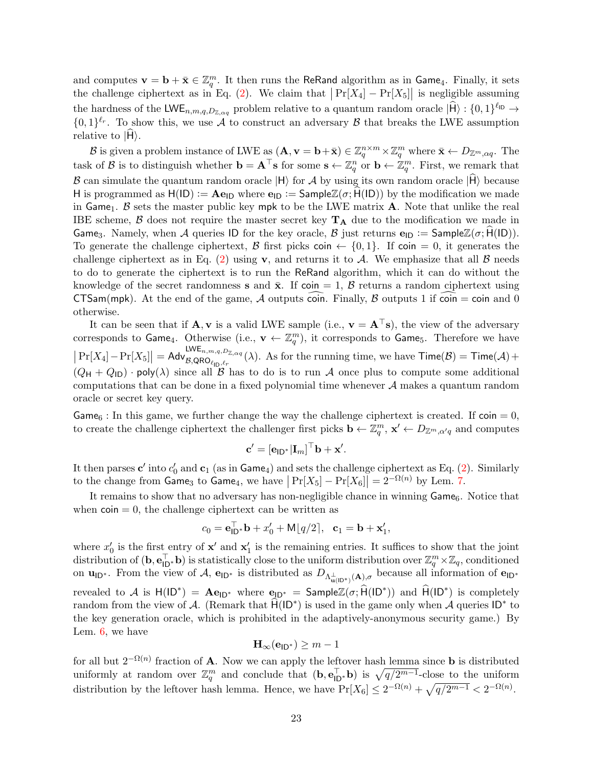and computes  $\mathbf{v} = \mathbf{b} + \bar{\mathbf{x}} \in \mathbb{Z}_q^m$ . It then runs the ReRand algorithm as in Game<sub>4</sub>. Finally, it sets the challenge ciphertext as in Eq. [\(2\)](#page-21-0). We claim that  $\left|\Pr[X_4] - \Pr[X_5]\right|$  is negligible assuming the hardness of the LWE<sub>n,m,q,D<sub>Z, $\alpha$ q</sub> problem relative to a quantum random oracle  $|\hat{H}\rangle : \{0, 1\}^{\ell_{\text{ID}}} \to$ </sub>  $\{0,1\}^{\ell_r}$ . To show this, we use A to construct an adversary B that breaks the LWE assumption relative to  $|H\rangle$ .

B is given a problem instance of LWE as  $(A, v = b + \bar{x}) \in \mathbb{Z}_q^{n \times m} \times \mathbb{Z}_q^m$  where  $\bar{x} \leftarrow D_{\mathbb{Z}^m, \alpha q}$ . The task of  $\mathcal B$  is to distinguish whether  $\mathbf{b} = \mathbf{A}^\top \mathbf{s}$  for some  $\mathbf{s} \leftarrow \mathbb{Z}_q^n$  or  $\mathbf{b} \leftarrow \mathbb{Z}_q^m$ . First, we remark that B can simulate the quantum random oracle  $|H\rangle$  for A by using its own random oracle  $|H\rangle$  because H is programmed as  $H(ID) := Ae_{ID}$  where  $e_{ID} := Sample\mathbb{Z}(\sigma; H(ID))$  by the modification we made in Game<sub>1</sub>. B sets the master public key mpk to be the LWE matrix  $\bf{A}$ . Note that unlike the real IBE scheme,  $\beta$  does not require the master secret key  $T_A$  due to the modification we made in Game<sub>3</sub>. Namely, when A queries ID for the key oracle, B just returns  $e_{ID} := Sample\mathbb{Z}(\sigma; H(ID)).$ To generate the challenge ciphertext, B first picks coin  $\leftarrow \{0,1\}$ . If coin = 0, it generates the challenge ciphertext as in Eq. [\(2\)](#page-21-0) using v, and returns it to A. We emphasize that all  $\beta$  needs to do to generate the ciphertext is to run the ReRand algorithm, which it can do without the knowledge of the secret randomness **s** and  $\bar{x}$ . If coin = 1, B returns a random ciphertext using CTSam(mpk). At the end of the game, A outputs coin. Finally, B outputs 1 if coin = coin and 0 otherwise.

It can be seen that if  $\mathbf{A}, \mathbf{v}$  is a valid LWE sample (i.e.,  $\mathbf{v} = \mathbf{A}^{\top} \mathbf{s}$ ), the view of the adversary corresponds to  $\mathsf{Game}_4$ . Otherwise (i.e.,  $\mathbf{v} \leftarrow \mathbb{Z}_q^m$ ), it corresponds to  $\mathsf{Game}_5$ . Therefore we have  $\left|\Pr[X_4]\!-\!\Pr[X_5]\right| = \mathsf{Adv}_{\mathcal{B},\mathsf{QRO}_{\ell_{\mathsf{ID}},\ell_r}}^{\mathsf{LWE}_{n,m,q,D_{\mathbb{Z},\alpha q}}}$  $B_{\alpha}(\mathcal{B}) = \text{Time}(\mathcal{A}) + B_{\beta}(\mathcal{B}(\mathcal{B}_{\mathsf{ID}},\ell_r))$ . As for the running time, we have  $\text{Time}(\mathcal{B}) = \text{Time}(\mathcal{A}) + B_{\beta}(\mathcal{B}(\mathcal{B}_{\mathsf{ID}},\ell_r))$  $(Q_H + Q_{ID}) \cdot \text{poly}(\lambda)$  since all B has to do is to run A once plus to compute some additional computations that can be done in a fixed polynomial time whenever  $A$  makes a quantum random oracle or secret key query.

Game<sub>6</sub>: In this game, we further change the way the challenge ciphertext is created. If coin = 0, to create the challenge ciphertext the challenger first picks  $\mathbf{b} \leftarrow \mathbb{Z}_q^m$ ,  $\mathbf{x}' \leftarrow D_{\mathbb{Z}^m, \alpha'q}$  and computes

$$
\mathbf{c}' = [\mathbf{e}_{\mathsf{ID}^*}|\mathbf{I}_m]^\top \mathbf{b} + \mathbf{x}'.
$$

It then parses  $c'$  into  $c'_0$  and  $c_1$  (as in Game<sub>4</sub>) and sets the challenge ciphertext as Eq. [\(2\)](#page-21-0). Similarly to the change from Game<sub>3</sub> to Game<sub>4</sub>, we have  $|Pr[X_5] - Pr[X_6]| = 2^{-\Omega(n)}$  by Lem. [7.](#page-13-5)

It remains to show that no adversary has non-negligible chance in winning  $\mathsf{Game}_6$ . Notice that when  $\text{coin} = 0$ , the challenge ciphertext can be written as

$$
c_0 = \mathbf{e}_{\mathsf{ID}^*}^{\top} \mathbf{b} + x_0' + \mathsf{M}[q/2], \ \mathbf{c}_1 = \mathbf{b} + \mathbf{x}_1',
$$

where  $x'_0$  is the first entry of  $x'$  and  $x'_1$  is the remaining entries. It suffices to show that the joint distribution of  $(\mathbf{b}, \mathbf{e}_{\mathsf{ID}^*}^\top \mathbf{b})$  is statistically close to the uniform distribution over  $\mathbb{Z}_q^m \times \mathbb{Z}_q$ , conditioned on  $u_{\mathsf{ID}^*}$ . From the view of  $\mathcal{A}$ ,  $e_{\mathsf{ID}^*}$  is distributed as  $D_{\Lambda_{\mathbf{u}(\mathsf{ID}^*)}^{\perp}(\mathbf{A}),\sigma}$  because all information of  $e_{\mathsf{ID}^*}$ revealed to A is  $H(ID^*) = Ae_{ID^*}$  where  $e_{ID^*} = SampleZ(\sigma; \hat{H}(ID^*))$  and  $\hat{H}(ID^*)$  is completely random from the view of A. (Remark that  $\widehat{H}(ID^*)$  is used in the game only when A queries  $ID^*$  to the key generation oracle, which is prohibited in the adaptively-anonymous security game.) By Lem. [6,](#page-13-4) we have

$$
\mathbf{H}_{\infty}(\mathbf{e}_{\mathsf{ID}^*}) \geq m - 1
$$

for all but  $2^{-\Omega(n)}$  fraction of **A**. Now we can apply the leftover hash lemma since **b** is distributed uniformly at random over  $\mathbb{Z}_q^m$  and conclude that  $(\mathbf{b}, \mathbf{e}_{\mathsf{ID}^*}^{\top} \mathbf{b})$  is  $\sqrt{q/2^{m-1}}$ -close to the uniform distribution by the leftover hash lemma. Hence, we have  $Pr[X_6] \leq 2^{-\Omega(n)} + \sqrt{q/2^{m-1}} < 2^{-\Omega(n)}$ .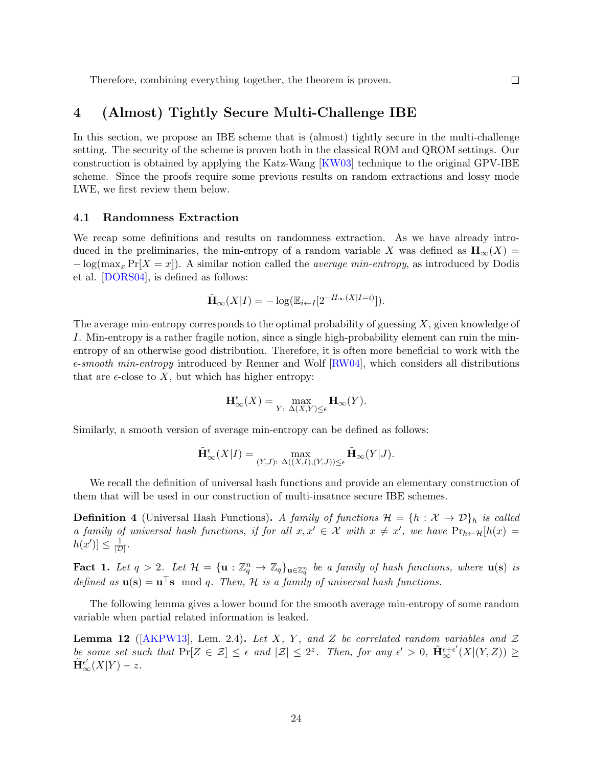## <span id="page-23-4"></span><span id="page-23-0"></span>4 (Almost) Tightly Secure Multi-Challenge IBE

In this section, we propose an IBE scheme that is (almost) tightly secure in the multi-challenge setting. The security of the scheme is proven both in the classical ROM and QROM settings. Our construction is obtained by applying the Katz-Wang [\[KW03\]](#page-36-5) technique to the original GPV-IBE scheme. Since the proofs require some previous results on random extractions and lossy mode LWE, we first review them below.

### <span id="page-23-1"></span>4.1 Randomness Extraction

We recap some definitions and results on randomness extraction. As we have already introduced in the preliminaries, the min-entropy of a random variable X was defined as  $\mathbf{H}_{\infty}(X) =$  $-\log(\max_x \Pr[X = x])$ . A similar notion called the *average min-entropy*, as introduced by Dodis et al. [\[DORS04\]](#page-35-15), is defined as follows:

$$
\tilde{\mathbf{H}}_{\infty}(X|I) = -\log(\mathbb{E}_{i \leftarrow I}[2^{-H_{\infty}(X|I=i)}]).
$$

The average min-entropy corresponds to the optimal probability of guessing  $X$ , given knowledge of I. Min-entropy is a rather fragile notion, since a single high-probability element can ruin the minentropy of an otherwise good distribution. Therefore, it is often more beneficial to work with the  $\epsilon$ -smooth min-entropy introduced by Renner and Wolf [\[RW04\]](#page-37-10), which considers all distributions that are  $\epsilon$ -close to X, but which has higher entropy:

$$
\mathbf{H}_{\infty}^{\epsilon}(X) = \max_{Y: \ \Delta(X,Y) \leq \epsilon} \mathbf{H}_{\infty}(Y).
$$

Similarly, a smooth version of average min-entropy can be defined as follows:

$$
\tilde{\mathbf{H}}_{\infty}^{\epsilon}(X|I) = \max_{(Y,J): \Delta((X,I),(Y,J)) \leq \epsilon} \tilde{\mathbf{H}}_{\infty}(Y|J).
$$

We recall the definition of universal hash functions and provide an elementary construction of them that will be used in our construction of multi-insatnce secure IBE schemes.

**Definition 4** (Universal Hash Functions). A family of functions  $\mathcal{H} = \{h : \mathcal{X} \to \mathcal{D}\}_h$  is called a family of universal hash functions, if for all  $x, x' \in \mathcal{X}$  with  $x \neq x'$ , we have  $Pr_{h \leftarrow H}[h(x) =$  $h(x') \leq \frac{1}{|D|}.$ 

<span id="page-23-3"></span>Fact 1. Let  $q > 2$ . Let  $\mathcal{H} = {\mathbf{u} : \mathbb{Z}_q^n \to \mathbb{Z}_q}$  be a family of hash functions, where  $\mathbf{u}(s)$  is defined as  $\mathbf{u}(\mathbf{s}) = \mathbf{u}^\top \mathbf{s} \mod q$ . Then, H is a family of universal hash functions.

The following lemma gives a lower bound for the smooth average min-entropy of some random variable when partial related information is leaked.

<span id="page-23-2"></span>**Lemma 12** ( $[AKPW13]$ , Lem. 2.4). Let X, Y, and Z be correlated random variables and Z be some set such that  $Pr[Z \in \mathcal{Z}] \leq \epsilon$  and  $|\mathcal{Z}| \leq 2^z$ . Then, for any  $\epsilon' > 0$ ,  $\tilde{H}_{\infty}^{\epsilon+\epsilon'}(X|(Y,Z)) \geq$  $\tilde{\mathbf H}^{\epsilon'}_\infty(X|Y) - z.$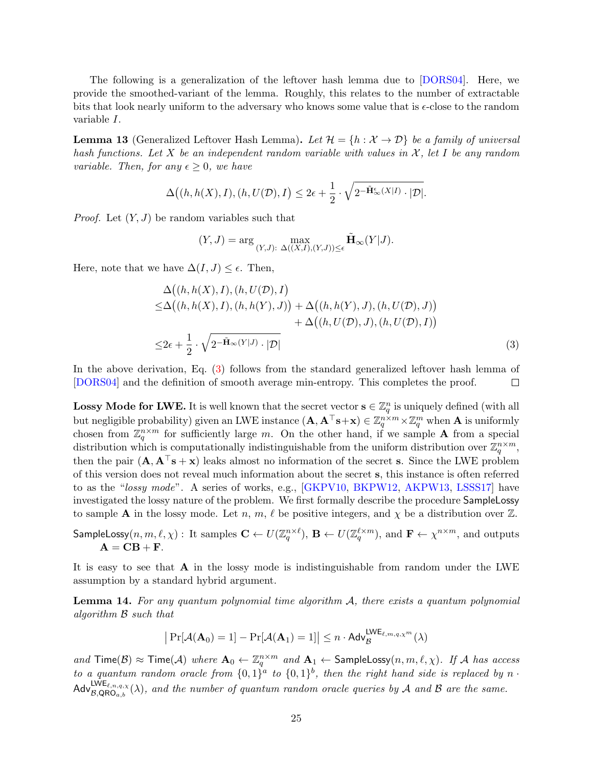<span id="page-24-3"></span>The following is a generalization of the leftover hash lemma due to [\[DORS04\]](#page-35-15). Here, we provide the smoothed-variant of the lemma. Roughly, this relates to the number of extractable bits that look nearly uniform to the adversary who knows some value that is  $\epsilon$ -close to the random variable I.

<span id="page-24-2"></span>**Lemma 13** (Generalized Leftover Hash Lemma). Let  $\mathcal{H} = \{h : \mathcal{X} \to \mathcal{D}\}\$  be a family of universal hash functions. Let X be an independent random variable with values in  $\mathcal{X}$ , let I be any random variable. Then, for any  $\epsilon \geq 0$ , we have

$$
\Delta\big((h, h(X), I), (h, U(\mathcal{D}), I\big) \leq 2\epsilon + \frac{1}{2} \cdot \sqrt{2^{-\tilde{\mathbf{H}}_{\infty}^{\epsilon}(X|I)} \cdot |\mathcal{D}|}.
$$

*Proof.* Let  $(Y, J)$  be random variables such that

<span id="page-24-0"></span>
$$
(Y, J) = \arg \max_{(Y, J): \Delta((X, I), (Y, J)) \le \epsilon} \tilde{\mathbf{H}}_{\infty}(Y | J).
$$

Here, note that we have  $\Delta(I, J) \leq \epsilon$ . Then,

$$
\Delta((h, h(X), I), (h, U(\mathcal{D}), I)\leq \Delta((h, h(X), I), (h, h(Y), J)) + \Delta((h, h(Y), J), (h, U(\mathcal{D}), J))+\Delta((h, U(\mathcal{D}), J), (h, U(\mathcal{D}), I))\leq 2\epsilon + \frac{1}{2} \cdot \sqrt{2^{-\tilde{\mathbf{H}}_{\infty}(Y|J)} \cdot |\mathcal{D}|}
$$
\n(3)

In the above derivation, Eq. [\(3\)](#page-24-0) follows from the standard generalized leftover hash lemma of [\[DORS04\]](#page-35-15) and the definition of smooth average min-entropy. This completes the proof.  $\Box$ 

**Lossy Mode for LWE.** It is well known that the secret vector  $\mathbf{s} \in \mathbb{Z}_q^n$  is uniquely defined (with all but negligible probability) given an LWE instance  $(A, A^\top s+x) \in \mathbb{Z}_q^{n \times m} \times \mathbb{Z}_q^m$  when  $A$  is uniformly chosen from  $\mathbb{Z}_q^{n \times m}$  for sufficiently large m. On the other hand, if we sample **A** from a special distribution which is computationally indistinguishable from the uniform distribution over  $\mathbb{Z}_q^{n \times m}$ , then the pair  $(A, A^T s + x)$  leaks almost no information of the secret s. Since the LWE problem of this version does not reveal much information about the secret s, this instance is often referred to as the "lossy mode". A series of works, e.g., [\[GKPV10,](#page-35-5) [BKPW12,](#page-34-2) [AKPW13,](#page-34-3) [LSSS17\]](#page-36-4) have investigated the lossy nature of the problem. We first formally describe the procedure SampleLossy to sample **A** in the lossy mode. Let n, m,  $\ell$  be positive integers, and  $\chi$  be a distribution over  $\mathbb{Z}$ .

SampleLossy
$$
(n, m, \ell, \chi)
$$
: It samples  $\mathbf{C} \leftarrow U(\mathbb{Z}_q^{n \times \ell})$ ,  $\mathbf{B} \leftarrow U(\mathbb{Z}_q^{\ell \times m})$ , and  $\mathbf{F} \leftarrow \chi^{n \times m}$ , and outputs  $\mathbf{A} = \mathbf{C}\mathbf{B} + \mathbf{F}$ .

It is easy to see that A in the lossy mode is indistinguishable from random under the LWE assumption by a standard hybrid argument.

<span id="page-24-1"></span>Lemma 14. For any quantum polynomial time algorithm A, there exists a quantum polynomial algorithm B such that

$$
\left| \Pr[\mathcal{A}(\mathbf{A}_0) = 1] - \Pr[\mathcal{A}(\mathbf{A}_1) = 1] \right| \le n \cdot \mathsf{Adv}_{\mathcal{B}}^{\mathsf{LWE}_{\ell,m,q,\chi^m}}(\lambda)
$$

and  $\textsf{Time}(\mathcal{B}) \approx \textsf{Time}(\mathcal{A})$  where  $\mathbf{A}_0 \leftarrow \mathbb{Z}_q^{n \times m}$  and  $\mathbf{A}_1 \leftarrow \textsf{SampleLossy}(n, m, \ell, \chi)$ . If A has access to a quantum random oracle from  $\{0,1\}^a$  to  $\{0,1\}^b$ , then the right hand side is replaced by n.  $\mathsf{Adv}_{\mathcal{B},\mathsf{QRO}_{a,b}}^{\mathsf{LWE}_{\ell,n,q,\chi}}(\lambda)$ , and the number of quantum random oracle queries by A and B are the same.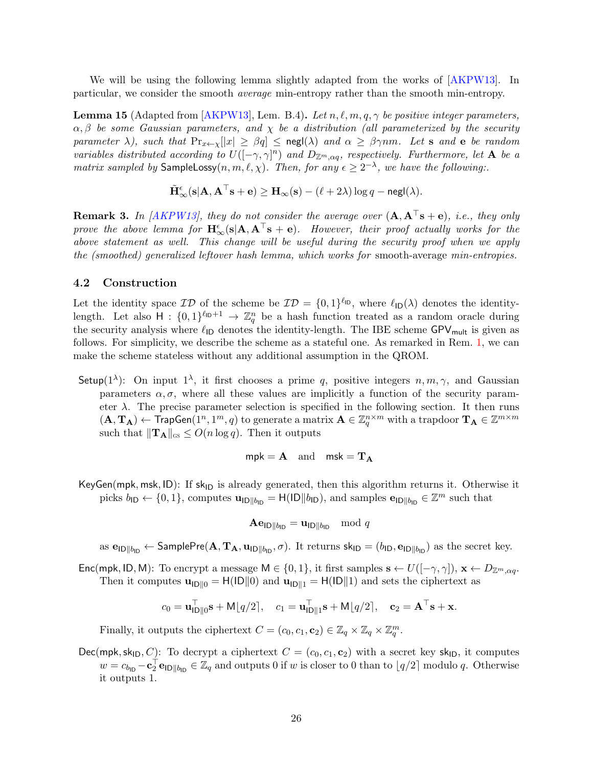<span id="page-25-2"></span>We will be using the following lemma slightly adapted from the works of [\[AKPW13\]](#page-34-3). In particular, we consider the smooth average min-entropy rather than the smooth min-entropy.

<span id="page-25-1"></span>**Lemma 15** (Adapted from [\[AKPW13\]](#page-34-3), Lem. B.4). Let  $n, \ell, m, q, \gamma$  be positive integer parameters,  $\alpha, \beta$  be some Gaussian parameters, and  $\chi$  be a distribution (all parameterized by the security parameter  $\lambda$ ), such that  $Pr_{x \leftarrow \chi}[|x| \geq \beta q] \leq$  negl $(\lambda)$  and  $\alpha \geq \beta \gamma nm$ . Let s and e be random variables distributed according to  $U((-\gamma, \gamma]^n)$  and  $D_{\mathbb{Z}^m, \alpha q}$ , respectively. Furthermore, let **A** be a matrix sampled by SampleLossy $(n, m, \ell, \chi)$ . Then, for any  $\epsilon \geq 2^{-\lambda}$ , we have the following:

$$
\tilde{\mathbf{H}}_{\infty}^{\epsilon}(\mathbf{s}|\mathbf{A}, \mathbf{A}^{\top}\mathbf{s} + \mathbf{e}) \geq \mathbf{H}_{\infty}(\mathbf{s}) - (\ell + 2\lambda) \log q - \mathsf{negl}(\lambda).
$$

**Remark 3.** In [\[AKPW13\]](#page-34-3), they do not consider the average over  $(A, A^T s + e)$ , i.e., they only prove the above lemma for  $H_{\infty}^{\epsilon}(s|A, A^{\top}s + e)$ . However, their proof actually works for the above statement as well. This change will be useful during the security proof when we apply the (smoothed) generalized leftover hash lemma, which works for smooth-average min-entropies.

### <span id="page-25-0"></span>4.2 Construction

Let the identity space  $\mathcal{ID}$  of the scheme be  $\mathcal{ID} = \{0,1\}^{\ell_{\text{ID}}}$ , where  $\ell_{\text{ID}}(\lambda)$  denotes the identitylength. Let also  $H: \{0,1\}^{\ell_{\text{ID}}+1} \to \mathbb{Z}_q^n$  be a hash function treated as a random oracle during the security analysis where  $\ell_{\text{ID}}$  denotes the identity-length. The IBE scheme GPV<sub>mult</sub> is given as follows. For simplicity, we describe the scheme as a stateful one. As remarked in Rem. [1,](#page-12-1) we can make the scheme stateless without any additional assumption in the QROM.

Setup(1<sup> $\lambda$ </sup>): On input 1<sup> $\lambda$ </sup>, it first chooses a prime q, positive integers  $n, m, \gamma$ , and Gaussian parameters  $\alpha, \sigma$ , where all these values are implicitly a function of the security parameter  $\lambda$ . The precise parameter selection is specified in the following section. It then runs  $(A, \mathrm{T_A}) \leftarrow \mathsf{TrapGen}(1^n, 1^m, q)$  to generate a matrix  $\mathbf{A} \in \mathbb{Z}_q^{n \times m}$  with a trapdoor  $\mathbf{T_A} \in \mathbb{Z}^{m \times m}$ such that  $\|\mathbf{T}_A\|_{\text{gs}} \leq O(n \log q)$ . Then it outputs

$$
\mathsf{mpk} = \mathbf{A} \quad \text{and} \quad \mathsf{msk} = \mathbf{T_A}
$$

KeyGen(mpk, msk, ID): If  $sk_{ID}$  is already generated, then this algorithm returns it. Otherwise it picks  $b_{\text{ID}} \leftarrow \{0, 1\}$ , computes  $\mathbf{u}_{\text{ID}||b_{\text{ID}}} = \mathsf{H}(\mathsf{ID}||b_{\text{ID}})$ , and samples  $\mathbf{e}_{\text{ID}||b_{\text{ID}}} \in \mathbb{Z}^m$  such that

$$
\mathbf{A}\mathbf{e}_{\mathsf{ID}||b_{\mathsf{ID}}} = \mathbf{u}_{\mathsf{ID}||b_{\mathsf{ID}}} \mod q
$$

as  $e_{|D||b_{|D}} \leftarrow$  SamplePre $(A, T_A, u_{|D||b_{|D}}, \sigma)$ . It returns  $sk_{|D} = (b_{|D}, e_{|D||b_{|D}})$  as the secret key.

Enc(mpk, ID, M): To encrypt a message  $M \in \{0, 1\}$ , it first samples  $s \leftarrow U([-\gamma, \gamma]), x \leftarrow D_{\mathbb{Z}^m, \alpha q}$ . Then it computes  $\mathbf{u}_{\text{ID||0}} = H(\text{ID}||0)$  and  $\mathbf{u}_{\text{ID}||1} = H(\text{ID}||1)$  and sets the ciphertext as

$$
c_0 = \mathbf{u}_{\mathsf{ID}||0}^\top \mathbf{s} + \mathsf{M}[q/2], \quad c_1 = \mathbf{u}_{\mathsf{ID}||1}^\top \mathbf{s} + \mathsf{M}[q/2], \quad \mathbf{c}_2 = \mathbf{A}^\top \mathbf{s} + \mathbf{x}.
$$

Finally, it outputs the ciphertext  $C = (c_0, c_1, \mathbf{c}_2) \in \mathbb{Z}_q \times \mathbb{Z}_q \times \mathbb{Z}_q^m$ .

Dec(mpk, sk<sub>ID</sub>, C): To decrypt a ciphertext  $C = (c_0, c_1, c_2)$  with a secret key sk<sub>ID</sub>, it computes  $w = c_{b_{\text{ID}}} - \mathbf{c}_2^{\top} \mathbf{e}_{\text{ID} || b_{\text{ID}}} \in \mathbb{Z}_q$  and outputs 0 if w is closer to 0 than to  $\lfloor q/2 \rfloor$  modulo q. Otherwise it outputs 1.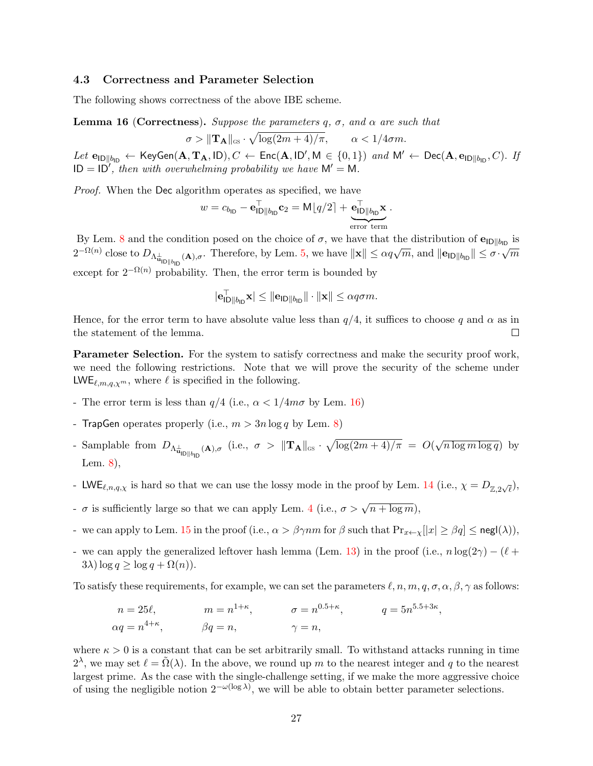### <span id="page-26-0"></span>4.3 Correctness and Parameter Selection

The following shows correctness of the above IBE scheme.

<span id="page-26-1"></span>**Lemma 16 (Correctness).** Suppose the parameters  $q, \sigma$ , and  $\alpha$  are such that

$$
\sigma > ||\mathbf{T_A}||_{\text{cs}} \cdot \sqrt{\log(2m+4)/\pi}, \qquad \alpha < 1/4\sigma m.
$$

 $Let$   $e_{ID||b_{ID}} \leftarrow$  KeyGen $(A, T_A, ID), C \leftarrow$  Enc $(A, ID', M \in \{0, 1\})$  and  $M' \leftarrow$  Dec $(A, e_{ID||b_{ID}}, C)$ . If  $ID = ID'$ , then with overwhelming probability we have  $M' = M$ .

Proof. When the Dec algorithm operates as specified, we have

$$
w = c_{b_{\text{ID}}} - \mathbf{e}_{\text{ID} \parallel b_{\text{ID}}}^{\top} \mathbf{c}_2 = \mathsf{M} \lfloor q/2 \rceil + \underbrace{\mathbf{e}_{\text{ID} \parallel b_{\text{ID}}}^{\top} \mathbf{x}}_{\text{error term}}.
$$

By Lem. [8](#page-13-1) and the condition posed on the choice of  $\sigma$ , we have that the distribution of  $e_{\text{ID}||b_{\text{ID}}}$  is  $2^{-\Omega(n)}$  close to  $D_{\Lambda_{\mathbf{u}_{|\mathcal{D}|}|\mathcal{b}_{|\mathcal{D}}}}(\mathbf{A}),\sigma$ . Therefore, by Lem. [5,](#page-13-2) we have  $\|\mathbf{x}\| \leq \alpha q\sqrt{m}$ , and  $\|\mathbf{e}_{|\mathcal{D}||\mathcal{b}_{|\mathcal{D}}}\| \leq \sigma \cdot \sqrt{m}$ except for  $2^{-\Omega(n)}$  probability. Then, the error term is bounded by

$$
|\mathbf{e}_{\mathsf{ID}||b_{\mathsf{ID}}}^{\top} \mathbf{x}| \leq ||\mathbf{e}_{\mathsf{ID}||b_{\mathsf{ID}}}|| \cdot ||\mathbf{x}|| \leq \alpha q \sigma m.
$$

Hence, for the error term to have absolute value less than  $q/4$ , it suffices to choose q and  $\alpha$  as in the statement of the lemma.  $\Box$ 

Parameter Selection. For the system to satisfy correctness and make the security proof work, we need the following restrictions. Note that we will prove the security of the scheme under  $LWE_{\ell,m,q,\chi^m}$ , where  $\ell$  is specified in the following.

- The error term is less than  $q/4$  (i.e.,  $\alpha < 1/4m\sigma$  by Lem. [16\)](#page-26-1)
- TrapGen operates properly (i.e.,  $m > 3n \log q$  by Lem. [8\)](#page-13-1)
- Samplable from  $D_{\Lambda_{\mathbf{u}_{|\mathbf{D}||b_{\mathbf{I}\mathbf{D}}}}(\mathbf{A}),\sigma}$  (i.e.,  $\sigma > ||\mathbf{T}_{\mathbf{A}}||_{\text{cs}} \cdot \sqrt{\log((2m+4)/\pi)} = O(m)$ √  $\sqrt{n \log m \log q}$  by Lem. [8\)](#page-13-1),
- LWE<sub> $\ell,n,q,\chi$ </sub> is hard so that we can use the lossy mode in the proof by Lem. [14](#page-24-1) (i.e.,  $\chi = D_{\mathbb{Z},2\sqrt{\ell}}$ ),
- $\sigma$  is sufficiently large so that we can apply Lem. [4](#page-13-3) (i.e.,  $\sigma > \sqrt{n + \log m}$ ),
- we can apply to Lem. [15](#page-25-1) in the proof (i.e.,  $\alpha > \beta \gamma nm$  for  $\beta$  such that  $Pr_{x \leftarrow \chi}[|x| \geq \beta q] \leq \mathsf{negl}(\lambda)),$
- we can apply the generalized leftover hash lemma (Lem. [13\)](#page-24-2) in the proof (i.e.,  $n \log(2\gamma) (\ell +$  $3\lambda$ ) log  $q \ge \log q + \Omega(n)$ ).

To satisfy these requirements, for example, we can set the parameters  $\ell, n, m, q, \sigma, \alpha, \beta, \gamma$  as follows:

$$
n = 25\ell, \qquad m = n^{1+\kappa}, \qquad \sigma = n^{0.5+\kappa}, \qquad q = 5n^{5.5+3\kappa},
$$
  

$$
\alpha q = n^{4+\kappa}, \qquad \beta q = n, \qquad \gamma = n,
$$

where  $\kappa > 0$  is a constant that can be set arbitrarily small. To withstand attacks running in time  $2^{\lambda}$ , we may set  $\ell = \tilde{\Omega}(\lambda)$ . In the above, we round up m to the nearest integer and q to the nearest largest prime. As the case with the single-challenge setting, if we make the more aggressive choice of using the negligible notion  $2^{-\omega(\log \lambda)}$ , we will be able to obtain better parameter selections.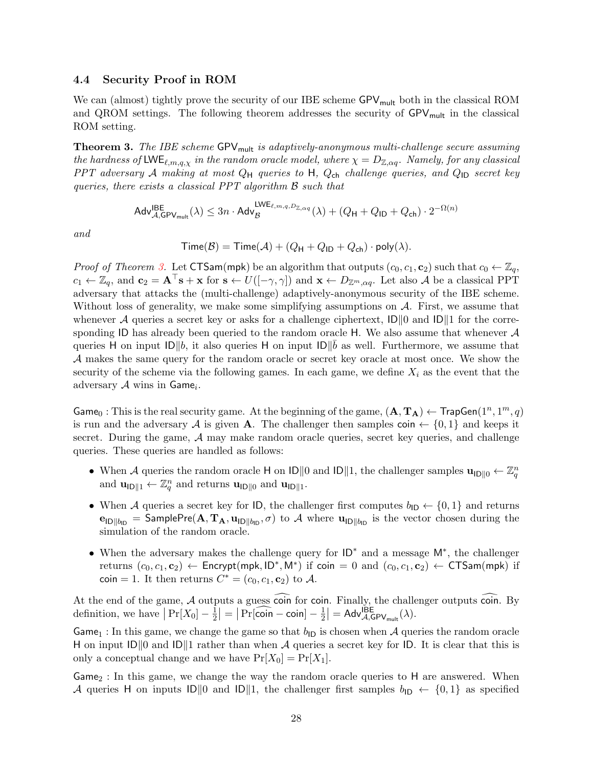### <span id="page-27-0"></span>4.4 Security Proof in ROM

We can (almost) tightly prove the security of our IBE scheme  $GPV_{mult}$  both in the classical ROM and QROM settings. The following theorem addresses the security of  $GPV_{mult}$  in the classical ROM setting.

<span id="page-27-1"></span>**Theorem 3.** The IBE scheme  $GPV_{mult}$  is adaptively-anonymous multi-challenge secure assuming the hardness of LWE<sub> $\ell,m,q,\chi$ </sub> in the random oracle model, where  $\chi = D_{\mathbb{Z},\alpha q}$ . Namely, for any classical PPT adversary  $A$  making at most  $Q_H$  queries to H,  $Q_{ch}$  challenge queries, and  $Q_{ID}$  secret key queries, there exists a classical PPT algorithm B such that

$$
\mathsf{Adv}_{\mathcal{A},\mathsf{GPV}_{\mathsf{mult}}}^{\mathsf{IBE}}(\lambda) \leq 3n \cdot \mathsf{Adv}_{\mathcal{B}}^{\mathsf{LWE}_{\ell,m,q,D_{\mathbb{Z},\alpha q}}}(\lambda) + (Q_{\mathsf{H}} + Q_{\mathsf{ID}} + Q_{\mathsf{ch}}) \cdot 2^{-\Omega(n)}
$$

and

$$
\mathsf{Time}(\mathcal{B}) = \mathsf{Time}(\mathcal{A}) + (Q_{\mathsf{H}} + Q_{\mathsf{ID}} + Q_{\mathsf{ch}}) \cdot \mathsf{poly}(\lambda).
$$

*Proof of Theorem [3.](#page-27-1)* Let CTSam(mpk) be an algorithm that outputs  $(c_0, c_1, c_2)$  such that  $c_0 \leftarrow \mathbb{Z}_q$ ,  $c_1 \leftarrow \mathbb{Z}_q$ , and  $\mathbf{c}_2 = \mathbf{A}^\top \mathbf{s} + \mathbf{x}$  for  $\mathbf{s} \leftarrow U([-\gamma, \gamma])$  and  $\mathbf{x} \leftarrow D_{\mathbb{Z}^m, \alpha q}$ . Let also A be a classical PPT adversary that attacks the (multi-challenge) adaptively-anonymous security of the IBE scheme. Without loss of generality, we make some simplifying assumptions on  $A$ . First, we assume that whenever A queries a secret key or asks for a challenge ciphertext,  $|D||0$  and  $|D||1$  for the corresponding ID has already been queried to the random oracle H. We also assume that whenever  $A$ queries H on input  $\text{ID} \| b$ , it also queries H on input  $\text{ID} \| \bar{b}$  as well. Furthermore, we assume that A makes the same query for the random oracle or secret key oracle at most once. We show the security of the scheme via the following games. In each game, we define  $X_i$  as the event that the adversary  $\mathcal A$  wins in Game<sub>i</sub>.

Game<sub>0</sub>: This is the real security game. At the beginning of the game,  $(A, T_A) \leftarrow$  TrapGen $(1^n, 1^m, q)$ is run and the adversary A is given A. The challenger then samples coin  $\leftarrow \{0,1\}$  and keeps it secret. During the game,  $A$  may make random oracle queries, secret key queries, and challenge queries. These queries are handled as follows:

- When A queries the random oracle H on  $\text{ID} \parallel 0$  and  $\text{ID} \parallel 1$ , the challenger samples  $\mathbf{u}_{\text{ID} \parallel 0} \leftarrow \mathbb{Z}_q^n$ and  $\mathbf{u}_{\text{ID}\parallel1} \leftarrow \mathbb{Z}_q^n$  and returns  $\mathbf{u}_{\text{ID}\parallel0}$  and  $\mathbf{u}_{\text{ID}\parallel1}$ .
- When A queries a secret key for ID, the challenger first computes  $b_{ID} \leftarrow \{0, 1\}$  and returns  $e_{\text{ID}||b_{\text{ID}}}$  = SamplePre( $A, T_A, u_{\text{ID}||b_{\text{ID}}}, \sigma$ ) to A where  $u_{\text{ID}||b_{\text{ID}}}$  is the vector chosen during the simulation of the random oracle.
- When the adversary makes the challenge query for ID<sup>∗</sup> and a message M<sup>∗</sup> , the challenger returns  $(c_0, c_1, \mathbf{c}_2) \leftarrow \mathsf{Encryption}(\mathsf{mpk}, \mathsf{ID}^*, \mathsf{M}^*)$  if  $\mathsf{coin} = 0$  and  $(c_0, c_1, \mathbf{c}_2) \leftarrow \mathsf{CTSam}(\mathsf{mpk})$  if coin = 1. It then returns  $C^* = (c_0, c_1, \mathbf{c}_2)$  to A.

At the end of the game,  $A$  outputs a guess coin for coin. Finally, the challenger outputs coin. By definition, we have  $\left| \Pr[X_0] - \frac{1}{2} \right|$  $\frac{1}{2}$  =  $\left| \Pr[\widehat{\text{coin}} - \text{coin}] - \frac{1}{2} \right|$  $\frac{1}{2}$  = Adv<sup>IBE</sup><sub>A,GPV<sub>mult</sub>( $\lambda$ ).</sub>

Game<sub>1</sub> : In this game, we change the game so that  $b_{\text{ID}}$  is chosen when A queries the random oracle H on input  $\text{ID} \parallel 0$  and  $\text{ID} \parallel 1$  rather than when A queries a secret key for ID. It is clear that this is only a conceptual change and we have  $Pr[X_0] = Pr[X_1]$ .

 $Game_2$ : In this game, we change the way the random oracle queries to H are answered. When A queries H on inputs  $\text{ID} \| 0$  and  $\text{ID} \| 1$ , the challenger first samples  $b_{\text{ID}} \leftarrow \{0, 1\}$  as specified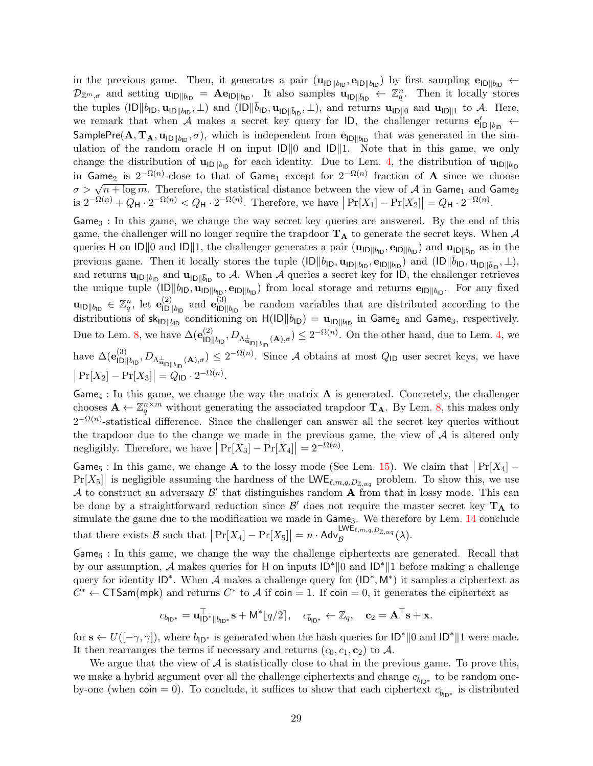in the previous game. Then, it generates a pair  $(\mathbf{u}_{\vert \mathsf{D} \vert \vert b_{\vert \mathsf{D}}}, \mathbf{e}_{\vert \mathsf{D} \vert \vert b_{\vert \mathsf{D}}})$  by first sampling  $\mathbf{e}_{\vert \mathsf{D} \vert \vert b_{\vert \mathsf{D}}}$   $\leftarrow$  $\mathcal{D}_{\mathbb{Z}^m,\sigma}$  and setting  $\mathbf{u}_{|\mathsf{D}||b_{|\mathsf{D}}} = \mathbf{A}\mathbf{e}_{|\mathsf{D}||b_{|\mathsf{D}}}$ . It also samples  $\mathbf{u}_{|\mathsf{D}||\bar{b}_{|\mathsf{D}}} \leftarrow \mathbb{Z}_q^n$ . Then it locally stores the tuples  $(\text{ID} || b_{\text{ID}}, \mathbf{u}_{\text{ID}} ||_{b_{\text{ID}}}, \perp)$  and  $(\text{ID} || \bar{b}_{\text{ID}}, \mathbf{u}_{\text{ID}} ||_{\bar{b}_{\text{ID}}}, \perp)$ , and returns  $\mathbf{u}_{\text{ID} || 0}$  and  $\mathbf{u}_{\text{ID} || 1}$  to A. Here, we remark that when  $\mathcal{A}$  makes a secret key query for ID, the challenger returns  $\mathbf{e}'_{\text{ID}||b_{\text{ID}}}$ SamplePre( $\mathbf{A}, \mathbf{T_A}, \mathbf{u}_{|\mathbf{D}||b_{\mathbf{ID}}}, \sigma$ ), which is independent from  $\mathbf{e}_{|\mathbf{D}||b_{\mathbf{ID}}|}$  that was generated in the simulation of the random oracle H on input  $\text{ID} \parallel 0$  and  $\text{ID} \parallel 1$ . Note that in this game, we only change the distribution of  $\mathbf{u}_{\vert \text{D} \vert \vert b_{\vert \text{D}}}$  for each identity. Due to Lem. [4,](#page-13-3) the distribution of  $\mathbf{u}_{\vert \text{D} \vert \vert b_{\vert \text{D}}}$ in Game<sub>2</sub> is  $2^{-\Omega(n)}$ -close to that of Game<sub>1</sub> except for  $2^{-\Omega(n)}$  fraction of **A** since we choose of  $\sigma > \sqrt{n + \log m}$ . Therefore, the statistical distance between the view of A in Game<sub>1</sub> and Game<sub>2</sub> is  $2^{-\Omega(n)} + Q_{\mathsf{H}} \cdot 2^{-\Omega(n)} < Q_{\mathsf{H}} \cdot 2^{-\Omega(n)}$ . Therefore, we have  $|Pr[X_1] - Pr[X_2]| = Q_{\mathsf{H}} \cdot 2^{-\Omega(n)}$ .

 $Game_3$ : In this game, we change the way secret key queries are answered. By the end of this game, the challenger will no longer require the trapdoor  $T_A$  to generate the secret keys. When  $A$ queries H on  $|D||0$  and  $|D||1$ , the challenger generates a pair  $(\mathbf{u}_{|D||b_{|D}}, \mathbf{e}_{|D||b_{|D}})$  and  $\mathbf{u}_{|D||\bar{b}_{|D}}$  as in the previous game. Then it locally stores the tuple  $(|D||b_{\text{ID}}, \mathbf{u}_{\text{ID}}||_{b_{\text{ID}}}, \mathbf{e}_{\text{ID}}||_{b_{\text{ID}}})$  and  $(|D||\overline{b}_{\text{ID}}, \mathbf{u}_{\text{ID}}||_{\overline{b}_{\text{ID}}}, \perp)$ , and returns  $\mathbf{u}_{\mathsf{ID}||b_{\mathsf{ID}}}$  and  $\mathbf{u}_{\mathsf{ID}||\bar{b}_{\mathsf{ID}}}$  to A. When A queries a secret key for ID, the challenger retrieves the unique tuple  $(|D||b_{ID}, \mathbf{u}_{ID||b_{ID}}, \mathbf{e}_{ID||b_{ID}})$  from local storage and returns  $\mathbf{e}_{ID||b_{ID}}$ . For any fixed  $\mathbf{u}_{\mathsf{ID}||b_{\mathsf{ID}}} \in \mathbb{Z}_q^n,$  let  $\mathbf{e}_{\mathsf{ID}||}^{(2)}$  $\overset{(2)}{\mathsf{ID}}|_{b_\mathsf{ID}}$  and  $\mathbf{e}_{\mathsf{ID}|}^{(3)}$  $\frac{1}{|D||b_{1D}|}$  be random variables that are distributed according to the distributions of  $sk_{|D||b_{|D}}$  conditioning on  $H(|D||b_{|D}) = u_{|D||b_{|D}}$  in Game<sub>2</sub> and Game<sub>3</sub>, respectively. Due to Lem. [8,](#page-13-1) we have  $\Delta(\mathbf{e}_{\mathsf{ID}}^{(2)})$  $\sum_{\textbf{ID} \mid b_{\text{ID}}} D_{\Lambda_{\textbf{U}_{\text{ID}}\mid b_{\text{ID}}}}(\mathbf{A})$ <sub>, $\sigma$ </sub>)  $\leq 2^{-\Omega(n)}$ . On the other hand, due to Lem. [4,](#page-13-3) we have  $\Delta(\mathbf{e}_{\mathsf{ID}}^{(3)}$  $\int_{\text{ID} \|b_{\text{ID}}\|_{b_{\text{ID}}}}^{(3)} D_{\Lambda_{\text{U}}^{\perp}(\text{A}),\sigma}(\text{A}) \leq 2^{-\Omega(n)}$ . Since A obtains at most  $Q_{\text{ID}}$  user secret keys, we have  $|Pr[X_2] - Pr[X_3]| = Q_{\text{ID}} \cdot 2^{-\Omega(n)}$ .

 $Game_4$ : In this game, we change the way the matrix  $\bf{A}$  is generated. Concretely, the challenger chooses  $\mathbf{A} \leftarrow \mathbb{Z}_q^{n \times m}$  without generating the associated trapdoor  $\mathbf{T}_\mathbf{A}$ . By Lem. [8,](#page-13-1) this makes only  $2^{-\Omega(n)}$ -statistical difference. Since the challenger can answer all the secret key queries without the trapdoor due to the change we made in the previous game, the view of  $A$  is altered only negligibly. Therefore, we have  $|Pr[X_3] - Pr[X_4]| = 2^{-\Omega(n)}$ .

 $\mathsf{Game}_5 : \text{In this game, we change } \mathbf{A}$  to the lossy mode (See Lem. [15\)](#page-25-1). We claim that  $\Pr[X_4] - \Pr[X_5]$  $Pr[X_5]$  is negligible assuming the hardness of the  $LWE_{\ell,m,q,D_{\mathbb{Z},\alpha q}}$  problem. To show this, we use A to construct an adversary  $\mathcal{B}'$  that distinguishes random **A** from that in lossy mode. This can be done by a straightforward reduction since  $\mathcal{B}'$  does not require the master secret key  $T_A$  to simulate the game due to the modification we made in Game<sub>3</sub>. We therefore by Lem. [14](#page-24-1) conclude that there exists  $\mathcal{B}$  such that  $\left|\Pr[X_4]-\Pr[X_5]\right|=n \cdot \mathsf{Adv}_{\mathcal{B}}^{\mathsf{LWE}_{\ell,m,q,D_{\mathbb{Z},\alpha q}}}$  $\mathcal{B} \mathcal{B} \left( \lambda \right).$ 

 $Game<sub>6</sub>$ : In this game, we change the way the challenge ciphertexts are generated. Recall that by our assumption, A makes queries for H on inputs  $D^*||0$  and  $D^*||1$  before making a challenge query for identity  $ID^*$ . When A makes a challenge query for  $(ID^*, M^*)$  it samples a ciphertext as  $C^* \leftarrow \text{CTSam(mpk)}$  and returns  $C^*$  to A if coin = 1. If coin = 0, it generates the ciphertext as

$$
c_{b_{\mathsf{ID}^*}} = \mathbf{u}_{\mathsf{ID}^* \parallel b_{\mathsf{ID}^*}}^\top \mathbf{s} + \mathsf{M}^* \lfloor q/2 \rceil, \quad c_{\overline{b}_{\mathsf{ID}^*}} \leftarrow \mathbb{Z}_q, \quad \mathbf{c}_2 = \mathbf{A}^\top \mathbf{s} + \mathbf{x}.
$$

for  $\mathbf{s} \leftarrow U([-\gamma, \gamma])$ , where  $b_{\mathsf{ID}^*}$  is generated when the hash queries for  $\mathsf{ID}^* \| 0$  and  $\mathsf{ID}^* \| 1$  were made. It then rearranges the terms if necessary and returns  $(c_0, c_1, c_2)$  to A.

We argue that the view of  $\mathcal A$  is statistically close to that in the previous game. To prove this, we make a hybrid argument over all the challenge ciphertexts and change  $c_{\overline{b}_{\vert D^*}}$  to be random oneby-one (when coin = 0). To conclude, it suffices to show that each ciphertext  $c_{\bar{b}_{\vert D^*}}$  is distributed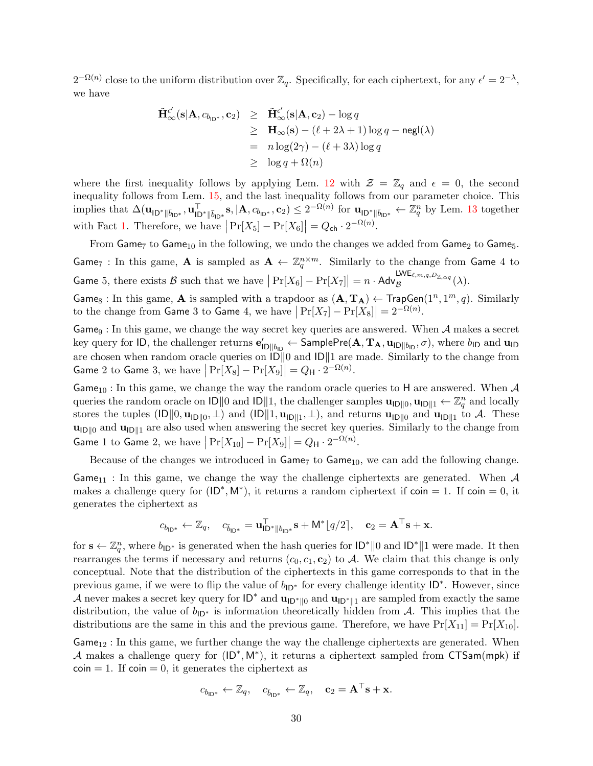$2^{-\Omega(n)}$  close to the uniform distribution over  $\mathbb{Z}_q$ . Specifically, for each ciphertext, for any  $\epsilon' = 2^{-\lambda}$ , we have

$$
\tilde{\mathbf{H}}_{\infty}^{\epsilon'}(\mathbf{s}|\mathbf{A}, c_{b_{\mathsf{ID}^*}}, \mathbf{c}_2) \geq \tilde{\mathbf{H}}_{\infty}^{\epsilon'}(\mathbf{s}|\mathbf{A}, \mathbf{c}_2) - \log q \n\geq \mathbf{H}_{\infty}(\mathbf{s}) - (\ell + 2\lambda + 1) \log q - \mathsf{negl}(\lambda) \n= n \log(2\gamma) - (\ell + 3\lambda) \log q \n\geq \log q + \Omega(n)
$$

where the first inequality follows by applying Lem. [12](#page-23-2) with  $\mathcal{Z} = \mathbb{Z}_q$  and  $\epsilon = 0$ , the second inequality follows from Lem. [15,](#page-25-1) and the last inequality follows from our parameter choice. This  $\text{implies that } \Delta(\mathbf{u}_{\mathsf{ID}^* \| \bar{b}_{\mathsf{ID}^*}}, \mathbf{u}_{\mathsf{ID}^* \| \bar{b}_{\mathsf{ID}^*}}^{\top} \mathbf{s}, | \mathbf{A}, c_{b_{\mathsf{ID}^*}}, \mathbf{c}_2) \leq 2^{-\Omega(n)} \text{ for } \mathbf{u}_{\mathsf{ID}^* \| \bar{b}_{\mathsf{ID}^*}} \leftarrow \mathbb{Z}_q^n \text{ by Lem. 13 together}$  $\text{implies that } \Delta(\mathbf{u}_{\mathsf{ID}^* \| \bar{b}_{\mathsf{ID}^*}}, \mathbf{u}_{\mathsf{ID}^* \| \bar{b}_{\mathsf{ID}^*}}^{\top} \mathbf{s}, | \mathbf{A}, c_{b_{\mathsf{ID}^*}}, \mathbf{c}_2) \leq 2^{-\Omega(n)} \text{ for } \mathbf{u}_{\mathsf{ID}^* \| \bar{b}_{\mathsf{ID}^*}} \leftarrow \mathbb{Z}_q^n \text{ by Lem. 13 together}$  $\text{implies that } \Delta(\mathbf{u}_{\mathsf{ID}^* \| \bar{b}_{\mathsf{ID}^*}}, \mathbf{u}_{\mathsf{ID}^* \| \bar{b}_{\mathsf{ID}^*}}^{\top} \mathbf{s}, | \mathbf{A}, c_{b_{\mathsf{ID}^*}}, \mathbf{c}_2) \leq 2^{-\Omega(n)} \text{ for } \mathbf{u}_{\mathsf{ID}^* \| \bar{b}_{\mathsf{ID}^*}} \leftarrow \mathbb{Z}_q^n \text{ by Lem. 13 together}$ with Fact [1.](#page-23-3) Therefore, we have  $|Pr[X_5] - Pr[X_6]| = Q_{ch} \cdot 2^{-\Omega(n)}$ .

From Game<sub>7</sub> to Game<sub>10</sub> in the following, we undo the changes we added from Game<sub>2</sub> to Game<sub>5</sub>. Game<sub>7</sub>: In this game, **A** is sampled as  $A \leftarrow \mathbb{Z}_q^{n \times m}$ . Similarly to the change from Game 4 to Game 5, there exists B such that we have  $|Pr[X_6] - Pr[X_7]| = n \cdot \mathsf{Adv}_{\mathcal{B}}^{\mathsf{LWE}_{\ell,m,q,D_{\mathbb{Z},\alpha q}}}$  $\mathcal{B} \mathcal{B}^{1-\epsilon,m,q,D_{\mathbb{Z},\alpha q}}(\lambda).$ 

Game<sub>8</sub>: In this game, **A** is sampled with a trapdoor as  $(A, T_A) \leftarrow$  TrapGen $(1^n, 1^m, q)$ . Similarly to the change from Game 3 to Game 4, we have  $|Pr[X_7]-Pr[X_8]|=2^{-\Omega(n)}$ .

 $Game_9$ : In this game, we change the way secret key queries are answered. When  $A$  makes a secret key query for ID, the challenger returns  ${\bf e}'_{\sf ID\parallel b_{\sf ID}}\leftarrow{\sf SamplePre}({\bf A},{\bf T_{A}},{\bf u}_{\sf ID\parallel b_{\sf ID}},\sigma),$  where  $b_{\sf ID}$  and  ${\bf u}_{\sf ID}$ are chosen when random oracle queries on  $\overline{D}$  0 and  $\overline{D}$  are made. Similarly to the change from Game 2 to Game 3, we have  $|Pr[X_8] - Pr[X_9]| = Q_H \cdot 2^{-\Omega(n)}$ .

Game<sub>10</sub>: In this game, we change the way the random oracle queries to H are answered. When  $A$ queries the random oracle on  $\text{ID} \parallel 0$  and  $\text{ID} \parallel 1$ , the challenger samples  $\textbf{u}_{\text{ID} \parallel 0}$ ,  $\textbf{u}_{\text{ID} \parallel 1} \leftarrow \mathbb{Z}_q^n$  and locally stores the tuples  $(\textsf{ID} \| 0, \mathbf{u}_{\textsf{ID} \| 0}, \perp)$  and  $(\textsf{ID} \| 1, \mathbf{u}_{\textsf{ID} \| 1}, \perp)$ , and returns  $\mathbf{u}_{\textsf{ID} \| 0}$  and  $\mathbf{u}_{\textsf{ID} \| 1}$  to A. These  $\mathbf{u}_{|\mathbf{D}||0}$  and  $\mathbf{u}_{|\mathbf{D}||1}$  are also used when answering the secret key queries. Similarly to the change from Game 1 to Game 2, we have  $|Pr[X_{10}]-Pr[X_9]|=Q_H \cdot 2^{-\Omega(n)}$ .

Because of the changes we introduced in  $Game_7$  to  $Game_{10}$ , we can add the following change.

Game<sub>11</sub> : In this game, we change the way the challenge ciphertexts are generated. When  $A$ makes a challenge query for  $(ID^*, M^*)$ , it returns a random ciphertext if coin = 1. If coin = 0, it generates the ciphertext as

$$
c_{b_{\mathsf{ID}^*}} \leftarrow \mathbb{Z}_q, \quad c_{\overline{b}_{\mathsf{ID}^*}} = \mathbf{u}_{\mathsf{ID}^* \| b_{\mathsf{ID}^*}}^\top \mathbf{s} + \mathsf{M}^* \lfloor q/2 \rceil, \quad \mathbf{c}_2 = \mathbf{A}^\top \mathbf{s} + \mathbf{x}.
$$

for  $\mathbf{s} \leftarrow \mathbb{Z}_q^n$ , where  $b_{\mathsf{ID}^*}$  is generated when the hash queries for  $\mathsf{ID}^* \| 0$  and  $\mathsf{ID}^* \| 1$  were made. It then rearranges the terms if necessary and returns  $(c_0, c_1, c_2)$  to A. We claim that this change is only conceptual. Note that the distribution of the ciphertexts in this game corresponds to that in the previous game, if we were to flip the value of  $b_{ID}^*$  for every challenge identity  $ID^*$ . However, since A never makes a secret key query for  $D^*$  and  $\mathbf{u}_{|D^*||0}$  and  $\mathbf{u}_{|D^*||1}$  are sampled from exactly the same distribution, the value of  $b_{ID^*}$  is information theoretically hidden from A. This implies that the distributions are the same in this and the previous game. Therefore, we have  $Pr[X_{11}] = Pr[X_{10}]$ .

 $Game<sub>12</sub>$ : In this game, we further change the way the challenge ciphertexts are generated. When A makes a challenge query for  $(ID^*, M^*)$ , it returns a ciphertext sampled from CTSam(mpk) if  $\text{coin} = 1$ . If  $\text{coin} = 0$ , it generates the ciphertext as

$$
c_{b_{\mathsf{ID}^*}} \leftarrow \mathbb{Z}_q, \quad c_{\overline{b}_{\mathsf{ID}^*}} \leftarrow \mathbb{Z}_q, \quad \mathbf{c}_2 = \mathbf{A}^\top \mathbf{s} + \mathbf{x}.
$$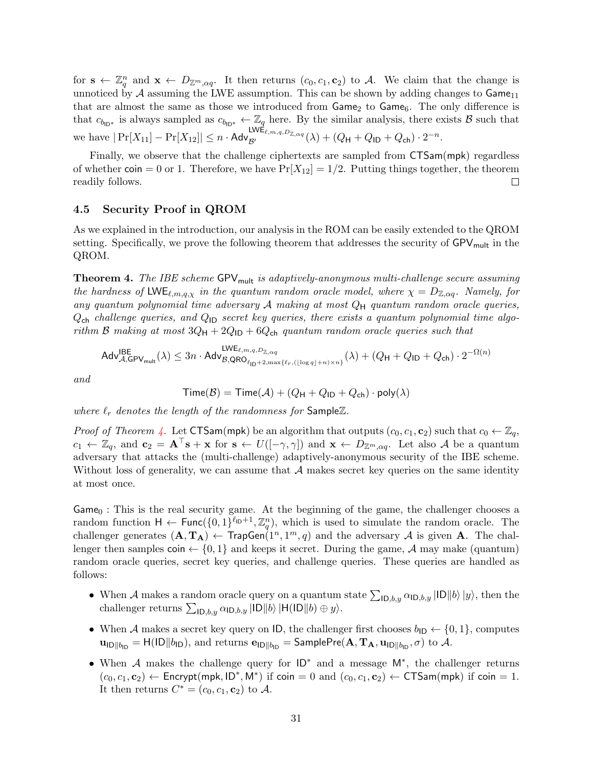for  $\mathbf{s} \leftarrow \mathbb{Z}_q^n$  and  $\mathbf{x} \leftarrow D_{\mathbb{Z}^m,\alpha q}$ . It then returns  $(c_0, c_1, \mathbf{c}_2)$  to A. We claim that the change is unnoticed by  $A$  assuming the LWE assumption. This can be shown by adding changes to  $\mathsf{Game}_{11}$ that are almost the same as those we introduced from  $Game_2$  to  $Game_6$ . The only difference is that  $c_{b_{\text{ID}*}}$  is always sampled as  $c_{b_{\text{ID}*}} \leftarrow \mathbb{Z}_q$  here. By the similar analysis, there exists  $\mathcal{B}$  such that we have  $|\Pr[X_{11}] - \Pr[X_{12}]| \le n \cdot \mathsf{Adv}_{\mathcal{B}'}^{\mathsf{LWE}_{\ell,m,q,D_{\mathbb{Z},\alpha q}}}(\lambda) + (Q_{\mathsf{H}} + Q_{\mathsf{ID}} + Q_{\mathsf{ch}}) \cdot 2^{-n}$ .

Finally, we observe that the challenge ciphertexts are sampled from CTSam(mpk) regardless of whether coin = 0 or 1. Therefore, we have  $Pr[X_{12}] = 1/2$ . Putting things together, the theorem readily follows.  $\Box$ 

### <span id="page-30-0"></span>4.5 Security Proof in QROM

As we explained in the introduction, our analysis in the ROM can be easily extended to the QROM setting. Specifically, we prove the following theorem that addresses the security of  $\text{GPV}_{\text{mult}}$  in the QROM.

<span id="page-30-1"></span>**Theorem 4.** The IBE scheme  $GPV_{mult}$  is adaptively-anonymous multi-challenge secure assuming the hardness of LWE<sub> $\ell,m,q,\chi$ </sub> in the quantum random oracle model, where  $\chi = D_{\mathbb{Z},\alpha q}$ . Namely, for any quantum polynomial time adversary  $A$  making at most  $Q_H$  quantum random oracle queries,  $Q_{ch}$  challenge queries, and  $Q_{ID}$  secret key queries, there exists a quantum polynomial time algorithm B making at most  $3Q_H + 2Q_{ID} + 6Q_{ch}$  quantum random oracle queries such that

$$
\mathsf{Adv}_{\mathcal{A},\mathsf{GPV}_{\mathsf{mult}}}^{\mathsf{IDE}}(\lambda) \leq 3n \cdot \mathsf{Adv}_{\mathcal{B},\mathsf{QRO}_{\ell_{|\mathsf{D}}+2,\max\{\ell_{r},(\lfloor\log q\rfloor+n)\times n\}}}^{\mathsf{LWE}_{\ell,m,q},\mathcal{D}_{\mathbb{Z},\alpha q}}(\lambda) + (Q_{\mathsf{H}} + Q_{\mathsf{ID}} + Q_{\mathsf{ch}}) \cdot 2^{-\Omega(n)}
$$

and

$$
\mathsf{Time}(\mathcal{B}) = \mathsf{Time}(\mathcal{A}) + (Q_{\mathsf{H}} + Q_{\mathsf{ID}} + Q_{\mathsf{ch}}) \cdot \mathsf{poly}(\lambda)
$$

where  $\ell_r$  denotes the length of the randomness for SampleZ.

*Proof of Theorem [4.](#page-30-1)* Let CTSam(mpk) be an algorithm that outputs  $(c_0, c_1, c_2)$  such that  $c_0 \leftarrow \mathbb{Z}_q$ ,  $c_1 \leftarrow \mathbb{Z}_q$ , and  $\mathbf{c}_2 = \mathbf{A}^\top \mathbf{s} + \mathbf{x}$  for  $\mathbf{s} \leftarrow U([-\gamma, \gamma])$  and  $\mathbf{x} \leftarrow D_{\mathbb{Z}^m, \alpha q}$ . Let also A be a quantum adversary that attacks the (multi-challenge) adaptively-anonymous security of the IBE scheme. Without loss of generality, we can assume that  $A$  makes secret key queries on the same identity at most once.

 $Game_0$ : This is the real security game. At the beginning of the game, the challenger chooses a random function  $H \leftarrow \text{Func}(\{0,1\}^{\ell_{\text{ID}}+1}, \mathbb{Z}_q^n)$ , which is used to simulate the random oracle. The challenger generates  $(A, T_A) \leftarrow$  TrapGen $(1^n, 1^m, q)$  and the adversary A is given A. The challenger then samples coin  $\leftarrow \{0,1\}$  and keeps it secret. During the game, A may make (quantum) random oracle queries, secret key queries, and challenge queries. These queries are handled as follows:

- When A makes a random oracle query on a quantum state  $\sum_{\mathsf{ID},b,y} \alpha_{\mathsf{ID},b,y} |\mathsf{ID}||b\rangle |y\rangle$ , then the challenger returns  $\sum_{\mathsf{ID},b,y} \alpha_{\mathsf{ID},b,y} \ket{\mathsf{ID} \ket{b} \ket{\mathsf{H}(\mathsf{ID} \ket{b} \oplus y}}.$
- When A makes a secret key query on ID, the challenger first chooses  $b_{ID} \leftarrow \{0, 1\}$ , computes  $\mathbf{u}_{\mathsf{ID}||b_{\mathsf{ID}}} = \mathsf{H}(\mathsf{ID}||b_{\mathsf{ID}})$ , and returns  $\mathbf{e}_{\mathsf{ID}||b_{\mathsf{ID}}} = \mathsf{SamplePre}(\mathbf{A}, \mathbf{T}_{\mathbf{A}}, \mathbf{u}_{\mathsf{ID}||b_{\mathsf{ID}}}, \sigma)$  to A.
- When A makes the challenge query for ID<sup>∗</sup> and a message M<sup>∗</sup> , the challenger returns  $(c_0, c_1, c_2) \leftarrow$  Encrypt(mpk, ID<sup>\*</sup>, M<sup>\*</sup>) if coin = 0 and  $(c_0, c_1, c_2) \leftarrow$  CTSam(mpk) if coin = 1. It then returns  $C^* = (c_0, c_1, \mathbf{c}_2)$  to A.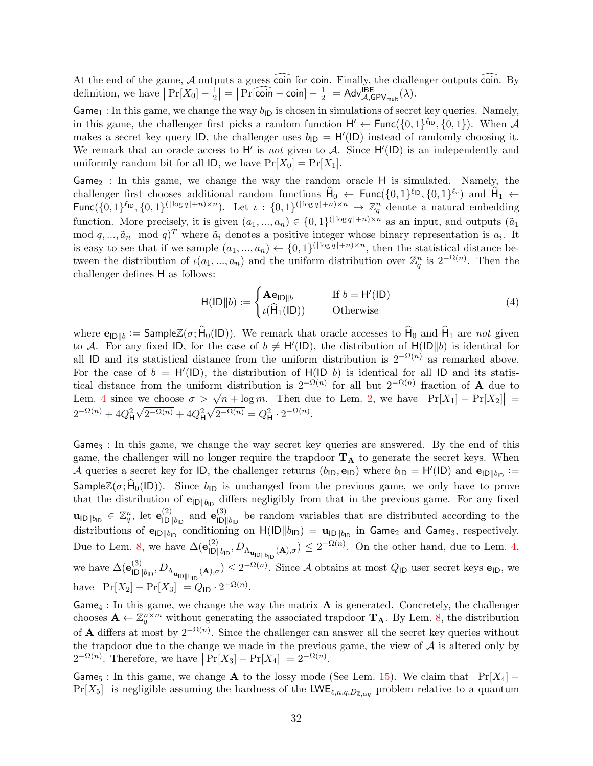At the end of the game,  $A$  outputs a guess coin for coin. Finally, the challenger outputs coin. By definition, we have  $\left| \Pr[X_0] - \frac{1}{2} \right|$  $\frac{1}{2}$  =  $\left| \Pr[\widehat{\text{coin}} - \text{coin}] - \frac{1}{2} \right|$  $\frac{1}{2}$  = Adv<sup>IBE</sup><sub>A,GPV<sub>mult</sub>( $\lambda$ ).</sub>

Game<sub>1</sub> : In this game, we change the way  $b_{\text{ID}}$  is chosen in simulations of secret key queries. Namely, in this game, the challenger first picks a random function  $H' \leftarrow \text{Func}(\{0, 1\}^{\ell_{\text{ID}}}, \{0, 1\})$ . When A makes a secret key query ID, the challenger uses  $b_{\text{ID}} = H'(1D)$  instead of randomly choosing it. We remark that an oracle access to  $H'$  is not given to A. Since  $H'(ID)$  is an independently and uniformly random bit for all ID, we have  $Pr[X_0] = Pr[X_1]$ .

 $Game<sub>2</sub>$ : In this game, we change the way the random oracle H is simulated. Namely, the challenger first chooses additional random functions  $\hat{H}_0 \leftarrow \text{Func}(\{0, 1\}^{\ell_{\text{ID}}}, \{0, 1\}^{\ell_{\text{P}}})$  and  $\hat{H}_1 \leftarrow$ Func $(\{0,1\}^{\ell_{\text{ID}}}, \{0,1\}^{(\lfloor \log q \rfloor + n) \times n})$ . Let  $\iota : \{0,1\}^{(\lfloor \log q \rfloor + n) \times n} \to \mathbb{Z}_q^n$  denote a natural embedding function. More precisely, it is given  $(a_1, ..., a_n) \in \{0, 1\}^{(\lfloor \log q \rfloor + n) \times n}$  as an input, and outputs  $(\tilde{a}_1)$ mod  $q, ..., \tilde{a}_n \mod q$ <sup>T</sup> where  $\tilde{a}_i$  denotes a positive integer whose binary representation is  $a_i$ . It is easy to see that if we sample  $(a_1, ..., a_n) \leftarrow \{0,1\}^{(\lfloor \log q \rfloor + n) \times n}$ , then the statistical distance between the distribution of  $\iota(a_1, ..., a_n)$  and the uniform distribution over  $\mathbb{Z}_q^n$  is  $2^{-\Omega(n)}$ . Then the challenger defines H as follows:

<span id="page-31-0"></span>
$$
H(ID||b) := \begin{cases} A\mathbf{e}_{|D||b} & \text{If } b = H'(ID) \\ \iota(\hat{H}_1(ID)) & \text{Otherwise} \end{cases}
$$
(4)

where  $\mathbf{e}_{|\mathsf{D}||b} := \mathsf{SampleZ}(\sigma; \hat{\mathsf{H}}_0(\mathsf{ID}))$ . We remark that oracle accesses to  $\hat{\mathsf{H}}_0$  and  $\hat{\mathsf{H}}_1$  are not given to A. For any fixed ID, for the case of  $b \neq H'(ID)$ , the distribution of  $H(ID||b)$  is identical for all ID and its statistical distance from the uniform distribution is  $2^{-\Omega(n)}$  as remarked above. For the case of  $b = H'(1D)$ , the distribution of  $H(1D||b)$  is identical for all ID and its statistical distance from the uniform distribution is  $2^{-\Omega(n)}$  for all but  $2^{-\Omega(n)}$  fraction of A due to Lem. [4](#page-13-3) since we choose  $\sigma > \sqrt{n + \log m}$ . Then due to Lem. [2,](#page-10-2) we have  $|\Pr[X_1] - \Pr[X_2]| =$  $2^{-\Omega(n)} + 4Q_{\mathsf{H}}^2 \sqrt{2^{-\Omega(n)}} + 4Q_{\mathsf{H}}^2 \sqrt{2^{-\Omega(n)}} = Q_{\mathsf{H}}^2 \cdot 2^{-\Omega(n)}.$ 

Game<sub>3</sub> : In this game, we change the way secret key queries are answered. By the end of this game, the challenger will no longer require the trapdoor  $T_A$  to generate the secret keys. When A queries a secret key for ID, the challenger returns  $(b_{\mathsf{ID}}, e_{\mathsf{ID}})$  where  $b_{\mathsf{ID}} = \mathsf{H}'(\mathsf{ID})$  and  $e_{\mathsf{ID}||b_{\mathsf{ID}}} :=$ Sample $\mathbb{Z}(\sigma; H_0(\mathsf{ID}))$ . Since  $b_{\mathsf{ID}}$  is unchanged from the previous game, we only have to prove that the distribution of  $e_{\text{ID}}|_{b_{\text{ID}}}$  differs negligibly from that in the previous game. For any fixed  $\mathbf{u}_{\mathsf{ID}||b_{\mathsf{ID}}} \in \mathbb{Z}_q^n,$  let  $\mathbf{e}_{\mathsf{ID}||}^{(2)}$  $\overset{(2)}{\mathsf{ID}}\parallel_{b_\mathsf{ID}}$  and  $\mathbf{e}_{\mathsf{ID}\parallel}^{(3)}$  $\frac{1}{|D||b_{1D}|}$  be random variables that are distributed according to the distributions of  $e_{|D||b_{|D}}$  conditioning on  $H(|D||b_{|D}) = u_{|D||b_{|D}}$  in Game<sub>2</sub> and Game<sub>3</sub>, respectively. Due to Lem. [8,](#page-13-1) we have  $\Delta(\mathbf{e}_{\mathsf{ID}}^{(2)})$  $\lim_{\textbf{ID} \parallel b_{\text{ID}}} D_{\Lambda_{\mathbf{U}_{\text{ID}} \parallel b_{\text{ID}}}}(\mathbf{A})$ ,  $\sigma$ )  $\leq 2^{-\Omega(n)}$ . On the other hand, due to Lem. [4,](#page-13-3) we have  $\Delta(\mathbf{e}_{\mathsf{ID}}^{(3)})$  $\frac{d}{d}$ <sub>UD</sub>( $D_{\Lambda_{\mathbf{u}_{\mathsf{ID}}\|\mathsf{b}_{\mathsf{ID}}}}(A)$ , $\sigma$ )  $\leq 2^{-\Omega(n)}$ . Since A obtains at most  $Q_{\mathsf{ID}}$  user secret keys  $\mathbf{e}_{\mathsf{ID}}$ , we have  $|Pr[X_2] - Pr[X_3]| = Q_{\mathsf{ID}} \cdot 2^{-\Omega(n)}$ .

Game<sub>4</sub> : In this game, we change the way the matrix  $A$  is generated. Concretely, the challenger chooses  $\mathbf{A} \leftarrow \mathbb{Z}_q^{n \times m}$  without generating the associated trapdoor  $\mathbf{T}_\mathbf{A}$ . By Lem. [8,](#page-13-1) the distribution of **A** differs at most by  $2^{-\Omega(n)}$ . Since the challenger can answer all the secret key queries without the trapdoor due to the change we made in the previous game, the view of  $A$  is altered only by  $2^{-\Omega(n)}$ . Therefore, we have  $|Pr[X_3] - Pr[X_4]| = 2^{-\Omega(n)}$ .

 $\mathsf{Game}_5 : \text{In this game, we change } \mathbf{A}$  to the lossy mode (See Lem. [15\)](#page-25-1). We claim that  $|\Pr[X_4] - \Pr[X_5] |$  $Pr[X_5]$  is negligible assuming the hardness of the  $LWE_{\ell,n,q,D_{\mathbb{Z},\alpha q}}$  problem relative to a quantum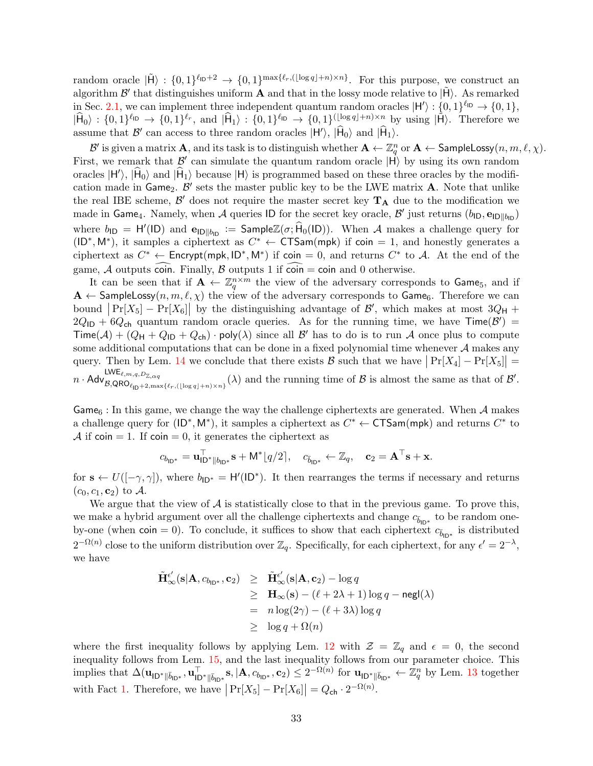random oracle  $|\tilde{H}\rangle : \{0,1\}^{\ell_{\text{ID}}+2} \rightarrow \{0,1\}^{\max\{\ell_r, (\lfloor \log q \rfloor + n) \times n\}}$ . For this purpose, we construct an algorithm  $\mathcal{B}'$  that distinguishes uniform  $\mathbf{\hat{A}}$  and that in the lossy mode relative to  $|\tilde{\mathsf{H}}\rangle$ . As remarked in Sec. [2.1,](#page-9-1) we can implement three independent quantum random oracles  $|H'\rangle : \{0,1\}^{\ell_{\text{ID}}} \to \{0,1\},\$  $|\hat{H}_0\rangle : \{0,1\}^{\ell_{\text{ID}}} \to \{0,1\}^{\ell_r}$ , and  $|\hat{H}_1\rangle : \{0,1\}^{\ell_{\text{ID}}} \to \{0,1\}^{(\lfloor \log q \rfloor + n) \times n}$  by using  $|\hat{H}\rangle$ . Therefore we assume that  $\mathcal{B}'$  can access to three random oracles  $|H'\rangle$ ,  $|\widehat{H}_0\rangle$  and  $|\widehat{H}_1\rangle$ .

 $\mathcal{B}'$  is given a matrix  $\mathbf{A}$ , and its task is to distinguish whether  $\mathbf{A} \leftarrow \mathbb{Z}_q^n$  or  $\mathbf{A} \leftarrow$  SampleLossy $(n, m, \ell, \chi)$ . First, we remark that  $\mathcal{B}'$  can simulate the quantum random oracle  $|H\rangle$  by using its own random oracles  $|H'\rangle$ ,  $|\hat{H}_0\rangle$  and  $|\hat{H}_1\rangle$  because  $|H\rangle$  is programmed based on these three oracles by the modification made in Game<sub>2</sub>. B' sets the master public key to be the LWE matrix  $\bf{A}$ . Note that unlike the real IBE scheme,  $\mathcal{B}'$  does not require the master secret key  $T_A$  due to the modification we made in Game<sub>4</sub>. Namely, when A queries ID for the secret key oracle,  $\mathcal{B}'$  just returns  $(b_{\mathsf{ID}}, \mathbf{e}_{\mathsf{ID}||b_{\mathsf{ID}}})$ where  $b_{\text{ID}} = H'(1D)$  and  $e_{\text{ID}}||b_{\text{ID}} := \text{SampleZ}(\sigma; \hat{H}_0(1D))$ . When A makes a challenge query for (ID<sup>\*</sup>, M<sup>\*</sup>), it samples a ciphertext as  $C^* \leftarrow \text{CTSam(mpk)}$  if coin = 1, and honestly generates a ciphertext as  $C^* \leftarrow$  Encrypt(mpk, ID<sup>\*</sup>, M<sup>\*</sup>) if coin = 0, and returns  $C^*$  to A. At the end of the game, A outputs coin. Finally, B outputs 1 if coin  $=$  coin and 0 otherwise.

It can be seen that if  $\mathbf{A} \leftarrow \mathbb{Z}_q^{n \times m}$  the view of the adversary corresponds to Game<sub>5</sub>, and if  $A \leftarrow$  SampleLossy $(n, m, \ell, \chi)$  the view of the adversary corresponds to Game<sub>6</sub>. Therefore we can bound  $|\Pr[X_5] - \Pr[X_6]|$  by the distinguishing advantage of  $\mathcal{B}'$ , which makes at most  $3Q_H +$  $2Q_{\text{ID}} + 6Q_{\text{ch}}$  quantum random oracle queries. As for the running time, we have  $\text{Time}(\mathcal{B}')$  $Time(\mathcal{A}) + (Q_H + Q_{ID} + Q_{ch}) \cdot poly(\lambda)$  since all  $\mathcal{B}'$  has to do is to run  $\mathcal{A}$  once plus to compute some additional computations that can be done in a fixed polynomial time whenever  $A$  makes any query. Then by Lem. [14](#page-24-1) we conclude that there exists  $\mathcal{B}$  such that we have  $|\Pr[X_4] - \Pr[X_5]| =$  $n \cdot \mathsf{Adv}_{\mathcal{B},\mathsf{QRO}_{\ell_{\mathsf{ID}}+2,\max\{\ell_r,(\lfloor \log q\rfloor+n)\times n\}}}^{\mathsf{LUCL},m,q,D_{\mathbb{Z},\alpha q}}(\lambda)$  and the running time of  $\mathcal{B}$  is almost the same as that of  $\mathcal{B}'$ . LWE $_{\ell,m,q,D_{\mathbb{Z},\alpha q}}$ 

 $Game_6$ : In this game, we change the way the challenge ciphertexts are generated. When A makes a challenge query for  $(\mathsf{ID}^*, \mathsf{M}^*)$ , it samples a ciphertext as  $C^* \leftarrow \mathsf{CTSam(mpk)}$  and returns  $C^*$  to A if coin  $= 1$ . If coin  $= 0$ , it generates the ciphertext as

$$
c_{b_{\mathsf{ID}^*}} = \mathbf{u}_{\mathsf{ID}^* \| b_{\mathsf{ID}^*}}^\top \mathbf{s} + \mathsf{M}^* \lfloor q/2 \rceil, \quad c_{\overline{b}_{\mathsf{ID}^*}} \leftarrow \mathbb{Z}_q, \quad \mathbf{c}_2 = \mathbf{A}^\top \mathbf{s} + \mathbf{x}.
$$

for  $\mathbf{s} \leftarrow U([-\gamma, \gamma])$ , where  $b_{\mathsf{ID}^*} = \mathsf{H}'(\mathsf{ID}^*)$ . It then rearranges the terms if necessary and returns  $(c_0, c_1, \mathbf{c}_2)$  to A.

We argue that the view of  $A$  is statistically close to that in the previous game. To prove this, we make a hybrid argument over all the challenge ciphertexts and change  $c_{\overline{b}_{\vert D^*}}$  to be random oneby-one (when coin = 0). To conclude, it suffices to show that each ciphertext  $c_{\bar{b}_{\vert D^*}}$  is distributed  $2^{-\Omega(n)}$  close to the uniform distribution over  $\mathbb{Z}_q$ . Specifically, for each ciphertext, for any  $\epsilon' = 2^{-\lambda}$ , we have

$$
\tilde{\mathbf{H}}_{\infty}^{\epsilon'}(\mathbf{s}|\mathbf{A}, c_{b_{\mathsf{ID}^*}}, \mathbf{c}_2) \geq \tilde{\mathbf{H}}_{\infty}^{\epsilon'}(\mathbf{s}|\mathbf{A}, \mathbf{c}_2) - \log q \n\geq \mathbf{H}_{\infty}(\mathbf{s}) - (\ell + 2\lambda + 1) \log q - \mathsf{negl}(\lambda) \n= n \log(2\gamma) - (\ell + 3\lambda) \log q \n\geq \log q + \Omega(n)
$$

where the first inequality follows by applying Lem. [12](#page-23-2) with  $\mathcal{Z} = \mathbb{Z}_q$  and  $\epsilon = 0$ , the second inequality follows from Lem. [15,](#page-25-1) and the last inequality follows from our parameter choice. This  $\text{implies that } \Delta(\mathbf{u}_{\mathsf{ID}^*||\bar{b}_{\mathsf{ID}^*}}, \mathbf{u}_{\mathsf{ID}^*||\bar{b}_{\mathsf{ID}^*}}^{\top} \mathbf{s}, |\mathbf{A}, c_{b_{\mathsf{ID}^*}}, \mathbf{c}_2) \leq 2^{-\Omega(n)} \text{ for } \mathbf{u}_{\mathsf{ID}^*||\bar{b}_{\mathsf{ID}^*}} \leftarrow \mathbb{Z}_q^n \text{ by Lem. 13 together}$  $\text{implies that } \Delta(\mathbf{u}_{\mathsf{ID}^*||\bar{b}_{\mathsf{ID}^*}}, \mathbf{u}_{\mathsf{ID}^*||\bar{b}_{\mathsf{ID}^*}}^{\top} \mathbf{s}, |\mathbf{A}, c_{b_{\mathsf{ID}^*}}, \mathbf{c}_2) \leq 2^{-\Omega(n)} \text{ for } \mathbf{u}_{\mathsf{ID}^*||\bar{b}_{\mathsf{ID}^*}} \leftarrow \mathbb{Z}_q^n \text{ by Lem. 13 together}$  $\text{implies that } \Delta(\mathbf{u}_{\mathsf{ID}^*||\bar{b}_{\mathsf{ID}^*}}, \mathbf{u}_{\mathsf{ID}^*||\bar{b}_{\mathsf{ID}^*}}^{\top} \mathbf{s}, |\mathbf{A}, c_{b_{\mathsf{ID}^*}}, \mathbf{c}_2) \leq 2^{-\Omega(n)} \text{ for } \mathbf{u}_{\mathsf{ID}^*||\bar{b}_{\mathsf{ID}^*}} \leftarrow \mathbb{Z}_q^n \text{ by Lem. 13 together}$ with Fact [1.](#page-23-3) Therefore, we have  $|Pr[X_5] - Pr[X_6]| = Q_{\text{ch}} \cdot 2^{-\Omega(n)}$ .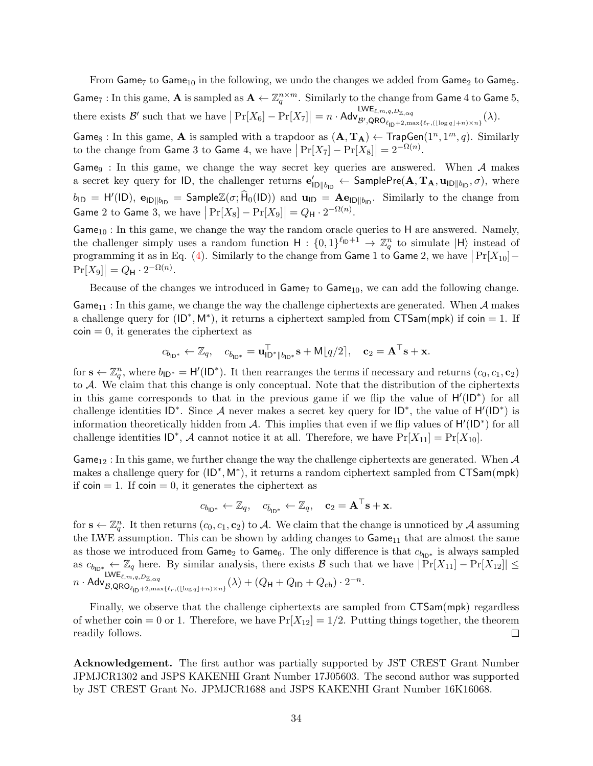From Game<sub>7</sub> to Game<sub>10</sub> in the following, we undo the changes we added from Game<sub>2</sub> to Game<sub>5</sub>. Game<sub>7</sub>: In this game, **A** is sampled as  $A \leftarrow \mathbb{Z}_q^{n \times m}$ . Similarly to the change from Game 4 to Game 5, there exists  $\mathcal{B}'$  such that we have  $\left|\Pr[X_6]-\Pr[X_7]\right|=n \cdot \mathsf{Adv}_{\mathcal{B}',\mathsf{QRO}_{\ell_{\mathsf{ID}}+2,\min}}^{\mathsf{LWE}_{\ell,m,q,D_{\mathbb{Z}},\alpha_{q}}}$  $B', \textsf{QRO}_{\ell_{\textsf{ID}}+2, \max\{\ell_r, (\lfloor \log q\rfloor+n) \times n\}}(\lambda).$ 

Game<sub>8</sub>: In this game, **A** is sampled with a trapdoor as  $(A, T_A) \leftarrow$  TrapGen $(1^n, 1^m, q)$ . Similarly to the change from Game 3 to Game 4, we have  $|Pr[X_7]-Pr[X_8]|=2^{-\Omega(n)}$ .

Game<sub>9</sub> : In this game, we change the way secret key queries are answered. When  $A$  makes a secret key query for ID, the challenger returns  $e'_{|D||b_{|D}} \leftarrow$  SamplePre $(\mathbf{A}, \mathbf{T_A}, \mathbf{u}_{|D||b_{|D}}, \sigma)$ , where  $b_{\text{ID}} = H'(1D)$ ,  $\mathbf{e}_{\text{ID}\|b_{\text{ID}}} = \text{SampleZ}(\sigma; \hat{H}_0(1D))$  and  $\mathbf{u}_{\text{ID}} = \mathbf{A}\mathbf{e}_{\text{ID}\|b_{\text{ID}}}$ . Similarly to the change from Game 2 to Game 3, we have  $|Pr[X_8] - Pr[X_9]| = Q_H \cdot 2^{-\Omega(n)}$ .

 $Game_{10}$ : In this game, we change the way the random oracle queries to H are answered. Namely, the challenger simply uses a random function  $H: \{0,1\}^{\ell_{\text{ID}}+1} \to \mathbb{Z}_q^n$  to simulate  $|H\rangle$  instead of programming it as in Eq. [\(4\)](#page-31-0). Similarly to the change from Game 1 to Game 2, we have  $|Pr[X_{10}] \Pr[X_9] \big| = Q_{\mathsf{H}} \cdot 2^{-\Omega(n)}$ .

Because of the changes we introduced in  $Game_7$  to  $Game_{10}$ , we can add the following change.

Game<sub>11</sub>: In this game, we change the way the challenge ciphertexts are generated. When  $\mathcal A$  makes a challenge query for  $(ID^*, M^*)$ , it returns a ciphertext sampled from CTSam(mpk) if coin = 1. If  $\sin = 0$ , it generates the ciphertext as

$$
c_{b_{\mathsf{ID}^*}} \leftarrow \mathbb{Z}_q, \quad c_{\overline{b}_{\mathsf{ID}^*}} = \mathbf{u}_{\mathsf{ID}^* \parallel b_{\mathsf{ID}^*}}^{\top} \mathbf{s} + \mathsf{M} \lfloor q/2 \rfloor, \quad \mathbf{c}_2 = \mathbf{A}^{\top} \mathbf{s} + \mathbf{x}.
$$

for  $\mathbf{s} \leftarrow \mathbb{Z}_q^n$ , where  $b_{\mathsf{ID}^*} = \mathsf{H}'(\mathsf{ID}^*)$ . It then rearranges the terms if necessary and returns  $(c_0, c_1, \mathbf{c}_2)$ to A. We claim that this change is only conceptual. Note that the distribution of the ciphertexts in this game corresponds to that in the previous game if we flip the value of  $H'(ID^*)$  for all challenge identities ID<sup>\*</sup>. Since A never makes a secret key query for ID<sup>\*</sup>, the value of H'(ID<sup>\*</sup>) is information theoretically hidden from A. This implies that even if we flip values of  $H'(ID^*)$  for all challenge identities  $ID^*$ , A cannot notice it at all. Therefore, we have  $Pr[X_{11}] = Pr[X_{10}]$ .

Game<sub>12</sub>: In this game, we further change the way the challenge ciphertexts are generated. When  $\mathcal A$ makes a challenge query for  $(ID^*, M^*)$ , it returns a random ciphertext sampled from CTSam(mpk) if  $\text{coin} = 1$ . If  $\text{coin} = 0$ , it generates the ciphertext as

$$
c_{b_{\mathsf{ID}^*}} \leftarrow \mathbb{Z}_q, \quad c_{\overline{b}_{\mathsf{ID}^*}} \leftarrow \mathbb{Z}_q, \quad \mathbf{c}_2 = \mathbf{A}^\top \mathbf{s} + \mathbf{x}.
$$

for  $\mathbf{s} \leftarrow \mathbb{Z}_q^n$ . It then returns  $(c_0, c_1, \mathbf{c}_2)$  to A. We claim that the change is unnoticed by A assuming the LWE assumption. This can be shown by adding changes to  $Game_{11}$  that are almost the same as those we introduced from Game<sub>2</sub> to Game<sub>6</sub>. The only difference is that  $c_{b_{\text{ID}*}}$  is always sampled as  $c_{b_{\mathsf{ID}^*}} \leftarrow \mathbb{Z}_q$  here. By similar analysis, there exists B such that we have  $|\Pr[X_{11}] - \Pr[X_{12}]| \leq$  $n \cdot \mathsf{Adv}_{\mathcal{B},\mathsf{ORQ}_{\ell,m,q},D_{\mathbb{Z},\alpha q}}$  $B_{\lambda}$ QRO $_{\ell_{\vert D}+2, \max\{\ell_{r}, (\lfloor \log q\rfloor+n)\times n\}}(\lambda) + (Q_{\mathsf{H}} + Q_{\mathsf{ID}} + Q_{\mathsf{ch}}) \cdot 2^{-n}.$ 

Finally, we observe that the challenge ciphertexts are sampled from CTSam(mpk) regardless of whether coin = 0 or 1. Therefore, we have  $Pr[X_{12}] = 1/2$ . Putting things together, the theorem readily follows.  $\Box$ 

Acknowledgement. The first author was partially supported by JST CREST Grant Number JPMJCR1302 and JSPS KAKENHI Grant Number 17J05603. The second author was supported by JST CREST Grant No. JPMJCR1688 and JSPS KAKENHI Grant Number 16K16068.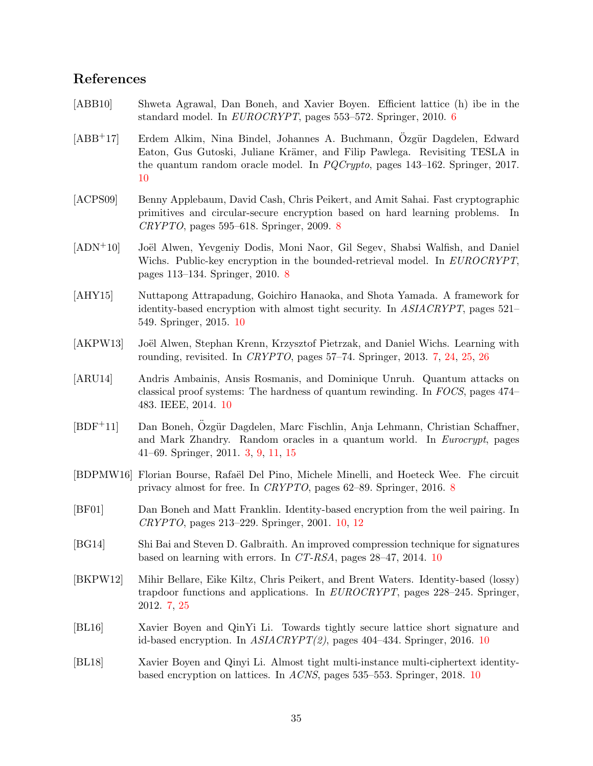# References

- <span id="page-34-1"></span>[ABB10] Shweta Agrawal, Dan Boneh, and Xavier Boyen. Efficient lattice (h) ibe in the standard model. In EUROCRYPT, pages 553-572. Springer, 2010. [6](#page-5-0)
- <span id="page-34-8"></span>[ABB<sup>+</sup>17] Erdem Alkim, Nina Bindel, Johannes A. Buchmann, Özgür Dagdelen, Edward Eaton, Gus Gutoski, Juliane Krämer, and Filip Pawlega. Revisiting TESLA in the quantum random oracle model. In PQCrypto, pages 143–162. Springer, 2017. [10](#page-9-2)
- <span id="page-34-5"></span>[ACPS09] Benny Applebaum, David Cash, Chris Peikert, and Amit Sahai. Fast cryptographic primitives and circular-secure encryption based on hard learning problems. In CRYPTO, pages 595–618. Springer, 2009. [8](#page-7-1)
- <span id="page-34-4"></span>[ADN<sup>+10]</sup> Joël Alwen, Yevgeniy Dodis, Moni Naor, Gil Segev, Shabsi Walfish, and Daniel Wichs. Public-key encryption in the bounded-retrieval model. In EUROCRYPT, pages 113–134. Springer, 2010. [8](#page-7-1)
- <span id="page-34-13"></span>[AHY15] Nuttapong Attrapadung, Goichiro Hanaoka, and Shota Yamada. A framework for identity-based encryption with almost tight security. In ASIACRYPT, pages 521– 549. Springer, 2015. [10](#page-9-2)
- <span id="page-34-3"></span>[AKPW13] Joël Alwen, Stephan Krenn, Krzysztof Pietrzak, and Daniel Wichs. Learning with rounding, revisited. In CRYPTO, pages 57–74. Springer, 2013. [7,](#page-6-0) [24,](#page-23-4) [25,](#page-24-3) [26](#page-25-2)
- <span id="page-34-7"></span>[ARU14] Andris Ambainis, Ansis Rosmanis, and Dominique Unruh. Quantum attacks on classical proof systems: The hardness of quantum rewinding. In FOCS, pages 474– 483. IEEE, 2014. [10](#page-9-2)
- <span id="page-34-0"></span>[BDF<sup>+</sup>11] Dan Boneh, Ozgür Dagdelen, Marc Fischlin, Anja Lehmann, Christian Schaffner, and Mark Zhandry. Random oracles in a quantum world. In Eurocrypt, pages 41–69. Springer, 2011. [3,](#page-2-2) [9,](#page-8-2) [11,](#page-10-3) [15](#page-14-2)
- <span id="page-34-6"></span>[BDPMW16] Florian Bourse, Rafaël Del Pino, Michele Minelli, and Hoeteck Wee. Fhe circuit privacy almost for free. In CRYPTO, pages 62–89. Springer, 2016. [8](#page-7-1)
- <span id="page-34-12"></span>[BF01] Dan Boneh and Matt Franklin. Identity-based encryption from the weil pairing. In CRYPTO, pages 213–229. Springer, 2001. [10,](#page-9-2) [12](#page-11-2)
- <span id="page-34-9"></span>[BG14] Shi Bai and Steven D. Galbraith. An improved compression technique for signatures based on learning with errors. In CT-RSA, pages 28–47, 2014. [10](#page-9-2)
- <span id="page-34-2"></span>[BKPW12] Mihir Bellare, Eike Kiltz, Chris Peikert, and Brent Waters. Identity-based (lossy) trapdoor functions and applications. In  $EUROCRYPT$ , pages 228–245. Springer, 2012. [7,](#page-6-0) [25](#page-24-3)
- <span id="page-34-10"></span>[BL16] Xavier Boyen and QinYi Li. Towards tightly secure lattice short signature and id-based encryption. In  $ASIACRYPT(2)$ , pages 404–434. Springer, 2016. [10](#page-9-2)
- <span id="page-34-11"></span>[BL18] Xavier Boyen and Qinyi Li. Almost tight multi-instance multi-ciphertext identitybased encryption on lattices. In ACNS, pages 535–553. Springer, 2018. [10](#page-9-2)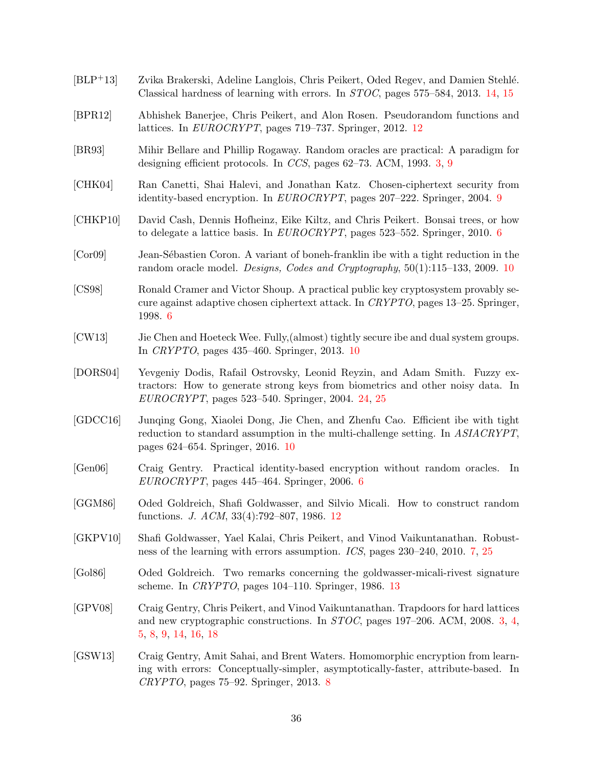- <span id="page-35-14"></span>[BLP+13] Zvika Brakerski, Adeline Langlois, Chris Peikert, Oded Regev, and Damien Stehl´e. Classical hardness of learning with errors. In STOC, pages 575–584, 2013. [14,](#page-13-6) [15](#page-14-2)
- <span id="page-35-12"></span>[BPR12] Abhishek Banerjee, Chris Peikert, and Alon Rosen. Pseudorandom functions and lattices. In EUROCRYPT, pages 719–737. Springer, 20[12](#page-11-2). 12
- <span id="page-35-0"></span>[BR93] Mihir Bellare and Phillip Rogaway. Random oracles are practical: A paradigm for designing efficient protocols. In CCS, pages 62–73. ACM, 1993. [3,](#page-2-2) [9](#page-8-2)
- <span id="page-35-7"></span>[CHK04] Ran Canetti, Shai Halevi, and Jonathan Katz. Chosen-ciphertext security from identity-based encryption. In EUROCRYPT, pages 207–222. Springer, 2004. [9](#page-8-2)
- <span id="page-35-2"></span>[CHKP10] David Cash, Dennis Hofheinz, Eike Kiltz, and Chris Peikert. Bonsai trees, or how to delegate a lattice basis. In EUROCRYPT, pages 523–552. Springer, 2010. [6](#page-5-0)
- <span id="page-35-8"></span>[Cor09] Jean-S´ebastien Coron. A variant of boneh-franklin ibe with a tight reduction in the random oracle model. *Designs, Codes and Cryptography*, 50(1):115–133, 2009. [10](#page-9-2)

<span id="page-35-3"></span>[CS98] Ronald Cramer and Victor Shoup. A practical public key cryptosystem provably secure against adaptive chosen ciphertext attack. In CRYPTO, pages 13–25. Springer, 1998. [6](#page-5-0)

- <span id="page-35-9"></span>[CW13] Jie Chen and Hoeteck Wee. Fully,(almost) tightly secure ibe and dual system groups. In CRYPTO, pages 435–460. Springer, 2013. [10](#page-9-2)
- <span id="page-35-15"></span>[DORS04] Yevgeniy Dodis, Rafail Ostrovsky, Leonid Reyzin, and Adam Smith. Fuzzy extractors: How to generate strong keys from biometrics and other noisy data. In EUROCRYPT, pages 523–540. Springer, 2004. [24,](#page-23-4) [25](#page-24-3)
- <span id="page-35-10"></span>[GDCC16] Junqing Gong, Xiaolei Dong, Jie Chen, and Zhenfu Cao. Efficient ibe with tight reduction to standard assumption in the multi-challenge setting. In ASIACRYPT, pages 624–654. Springer, 2016. [10](#page-9-2)
- <span id="page-35-4"></span>[Gen06] Craig Gentry. Practical identity-based encryption without random oracles. In  $EUROCRYPT$ , pages 445–4[6](#page-5-0)4. Springer, 2006. 6
- <span id="page-35-11"></span>[GGM86] Oded Goldreich, Shafi Goldwasser, and Silvio Micali. How to construct random functions. J. ACM, 33(4):792–807, 1986. [12](#page-11-2)
- <span id="page-35-5"></span>[GKPV10] Shafi Goldwasser, Yael Kalai, Chris Peikert, and Vinod Vaikuntanathan. Robustness of the learning with errors assumption. ICS, pages 230–240, 2010. [7,](#page-6-0) [25](#page-24-3)
- <span id="page-35-13"></span>[Gol86] Oded Goldreich. Two remarks concerning the goldwasser-micali-rivest signature scheme. In  $CRYPTO$ , pages 104–110. Springer, 1986. [13](#page-12-2)
- <span id="page-35-1"></span>[GPV08] Craig Gentry, Chris Peikert, and Vinod Vaikuntanathan. Trapdoors for hard lattices and new cryptographic constructions. In STOC, pages 197–206. ACM, 2008. [3,](#page-2-2) [4,](#page-3-2) [5,](#page-4-0) [8,](#page-7-1) [9,](#page-8-2) [14,](#page-13-6) [16,](#page-15-3) [18](#page-17-2)
- <span id="page-35-6"></span>[GSW13] Craig Gentry, Amit Sahai, and Brent Waters. Homomorphic encryption from learning with errors: Conceptually-simpler, asymptotically-faster, attribute-based. In CRYPTO, pages 75–92. Springer, 2013. [8](#page-7-1)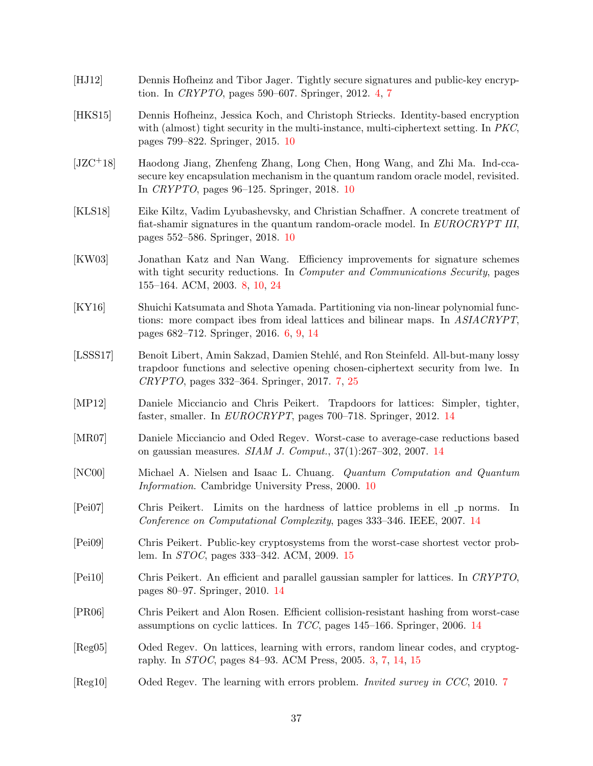- <span id="page-36-1"></span>[HJ12] Dennis Hofheinz and Tibor Jager. Tightly secure signatures and public-key encryption. In CRYPTO, pages 590–607. Springer, 2012. [4,](#page-3-2) [7](#page-6-0)
- <span id="page-36-8"></span>[HKS15] Dennis Hofheinz, Jessica Koch, and Christoph Striecks. Identity-based encryption with (almost) tight security in the multi-instance, multi-ciphertext setting. In PKC, pages 799–822. Springer, 2015. [10](#page-9-2)
- <span id="page-36-6"></span>[JZC+18] Haodong Jiang, Zhenfeng Zhang, Long Chen, Hong Wang, and Zhi Ma. Ind-ccasecure key encapsulation mechanism in the quantum random oracle model, revisited. In CRYPTO, pages 96–125. Springer, 2018. [10](#page-9-2)
- <span id="page-36-7"></span>[KLS18] Eike Kiltz, Vadim Lyubashevsky, and Christian Schaffner. A concrete treatment of fiat-shamir signatures in the quantum random-oracle model. In EUROCRYPT III, pages 552–586. Springer, 2018. [10](#page-9-2)
- <span id="page-36-5"></span>[KW03] Jonathan Katz and Nan Wang. Efficiency improvements for signature schemes with tight security reductions. In *Computer and Communications Security*, pages 155–164. ACM, 2003. [8,](#page-7-1) [10,](#page-9-2) [24](#page-23-4)
- <span id="page-36-2"></span>[KY16] Shuichi Katsumata and Shota Yamada. Partitioning via non-linear polynomial functions: more compact ibes from ideal lattices and bilinear maps. In ASIACRYPT, pages 682–712. Springer, 2016. [6,](#page-5-0) [9,](#page-8-2) [14](#page-13-6)
- <span id="page-36-4"></span>[LSSS17] Benoît Libert, Amin Sakzad, Damien Stehlé, and Ron Steinfeld. All-but-many lossy trapdoor functions and selective opening chosen-ciphertext security from lwe. In CRYPTO, pages 332–364. Springer, 2017. [7,](#page-6-0) [25](#page-24-3)
- <span id="page-36-14"></span>[MP12] Daniele Micciancio and Chris Peikert. Trapdoors for lattices: Simpler, tighter, faster, smaller. In *EUROCRYPT*, pages 700–718. Springer, 2012. [14](#page-13-6)
- <span id="page-36-10"></span>[MR07] Daniele Micciancio and Oded Regev. Worst-case to average-case reductions based on gaussian measures. SIAM J. Comput., 37(1):267–302, 2007. [14](#page-13-6)
- <span id="page-36-9"></span>[NC00] Michael A. Nielsen and Isaac L. Chuang. Quantum Computation and Quantum Information. Cambridge University Press, 2000. [10](#page-9-2)
- <span id="page-36-12"></span>[Pei07] Chris Peikert. Limits on the hardness of lattice problems in ell p norms. In Conference on Computational Complexity, pages 333–346. IEEE, 2007. [14](#page-13-6)
- <span id="page-36-15"></span>[Pei09] Chris Peikert. Public-key cryptosystems from the worst-case shortest vector problem. In STOC, pages 333–342. ACM, 2009. [15](#page-14-2)
- <span id="page-36-13"></span>[Pei10] Chris Peikert. An efficient and parallel gaussian sampler for lattices. In CRYPTO, pages 80–97. Springer, 2010. [14](#page-13-6)
- <span id="page-36-11"></span>[PR06] Chris Peikert and Alon Rosen. Efficient collision-resistant hashing from worst-case assumptions on cyclic lattices. In TCC, pages 145–166. Springer, 2006. [14](#page-13-6)
- <span id="page-36-0"></span>[Reg05] Oded Regev. On lattices, learning with errors, random linear codes, and cryptography. In STOC, pages 84–93. ACM Press, 2005. [3,](#page-2-2) [7,](#page-6-0) [14,](#page-13-6) [15](#page-14-2)
- <span id="page-36-3"></span>[Reg10] Oded Regev. The learning with errors problem. Invited survey in CCC, 2010. [7](#page-6-0)